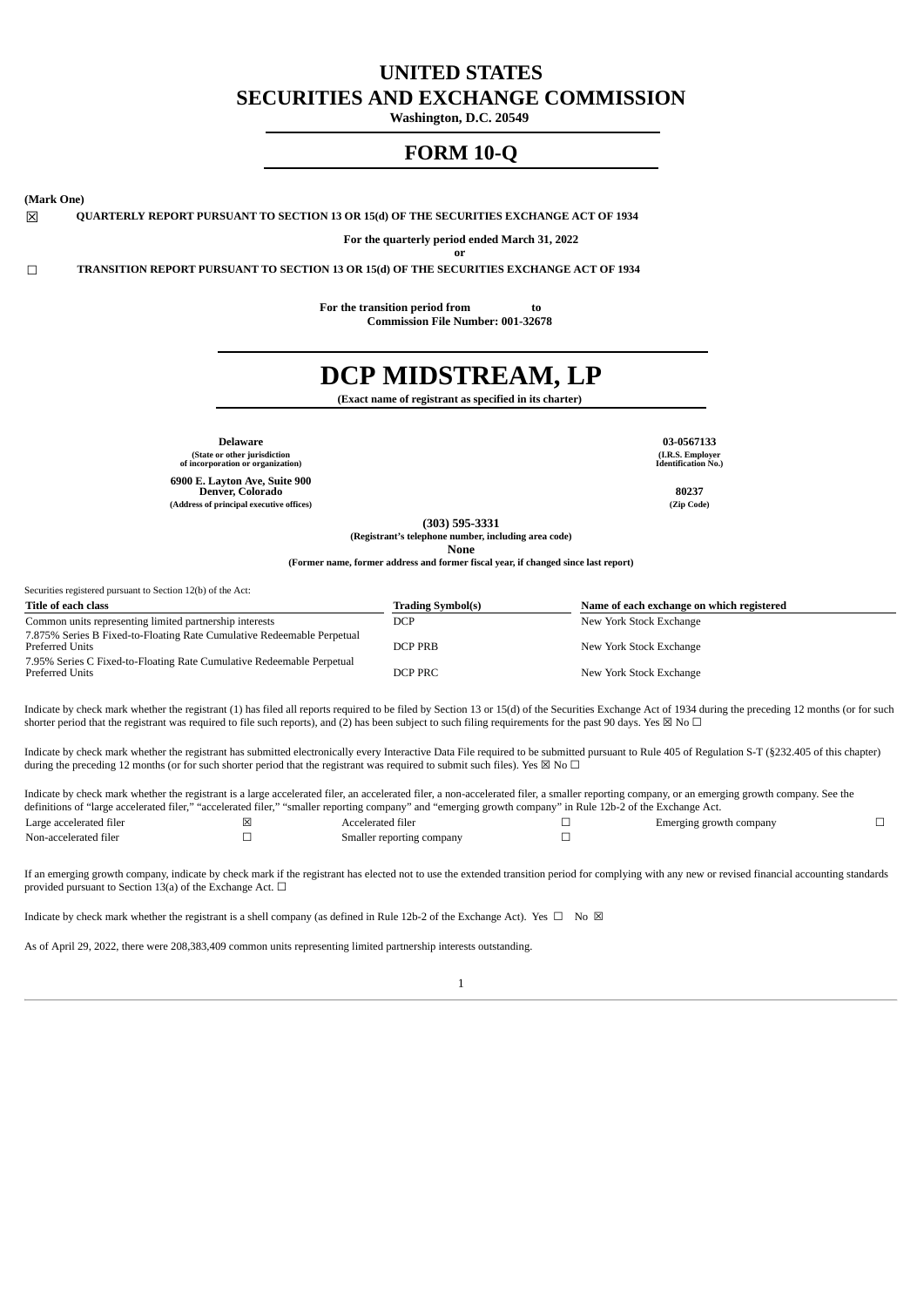# **UNITED STATES SECURITIES AND EXCHANGE COMMISSION**

**Washington, D.C. 20549**

# **FORM 10-Q**

**(Mark One)**

☒ **QUARTERLY REPORT PURSUANT TO SECTION 13 OR 15(d) OF THE SECURITIES EXCHANGE ACT OF 1934**

**For the quarterly period ended March 31, 2022 or**

☐ **TRANSITION REPORT PURSUANT TO SECTION 13 OR 15(d) OF THE SECURITIES EXCHANGE ACT OF 1934**

**For the transition period from to Commission File Number: 001-32678**

# **DCP MIDSTREAM, LP**

**(Exact name of registrant as specified in its charter)**

**(State or other jurisdiction of incorporation or organization) 6900 E. Layton Ave, Suite 900**

**Denver, Colorado 80237**<br> **Benver, Colorado 80237**<br> **80237**<br> **80237**<br> **80237**<br> **80237 (Address of principal executive offices) (Zip Code)**

**Delaware 03-0567133 (I.R.S. Employer Identification No.)**

**(303) 595-3331 (Registrant's telephone number, including area code)**

**None**

**(Former name, former address and former fiscal year, if changed since last report)**

Securities registered pursuant to Section 12(b) of the Act:

| Title of each class                                                                       | <b>Trading Symbol(s)</b> | Name of each exchange on which registered |
|-------------------------------------------------------------------------------------------|--------------------------|-------------------------------------------|
| Common units representing limited partnership interests                                   | DCP                      | New York Stock Exchange                   |
| 7.875% Series B Fixed-to-Floating Rate Cumulative Redeemable Perpetual<br>Preferred Units | DCP PRB                  | New York Stock Exchange                   |
| 7.95% Series C Fixed-to-Floating Rate Cumulative Redeemable Perpetual<br>Preferred Units  | DCP PRC                  | New York Stock Exchange                   |

Indicate by check mark whether the registrant (1) has filed all reports required to be filed by Section 13 or 15(d) of the Securities Exchange Act of 1934 during the preceding 12 months (or for such shorter period that the registrant was required to file such reports), and (2) has been subject to such filing requirements for the past 90 days. Yes  $\boxtimes$  No  $\Box$ 

Indicate by check mark whether the registrant has submitted electronically every Interactive Data File required to be submitted pursuant to Rule 405 of Regulation S-T (§232.405 of this chapter) during the preceding 12 months (or for such shorter period that the registrant was required to submit such files). Yes  $\boxtimes$  No  $\Box$ 

| Indicate by check mark whether the registrant is a large accelerated filer, an accelerated filer, a non-accelerated filer, a smaller reporting company, or an emerging growth company. See the |  |                           |  |                         |  |  |  |  |  |  |  |
|------------------------------------------------------------------------------------------------------------------------------------------------------------------------------------------------|--|---------------------------|--|-------------------------|--|--|--|--|--|--|--|
| definitions of "large accelerated filer," "accelerated filer," "smaller reporting company" and "emerging growth company" in Rule 12b-2 of the Exchange Act.                                    |  |                           |  |                         |  |  |  |  |  |  |  |
| Large accelerated filer                                                                                                                                                                        |  | Accelerated filer         |  | Emerging growth company |  |  |  |  |  |  |  |
| Non-accelerated filer                                                                                                                                                                          |  | Smaller reporting company |  |                         |  |  |  |  |  |  |  |

If an emerging growth company, indicate by check mark if the registrant has elected not to use the extended transition period for complying with any new or revised financial accounting standards provided pursuant to Section 13(a) of the Exchange Act.  $\Box$ 

Indicate by check mark whether the registrant is a shell company (as defined in Rule 12b-2 of the Exchange Act). Yes  $\square$  No  $\boxtimes$ 

As of April 29, 2022, there were 208,383,409 common units representing limited partnership interests outstanding.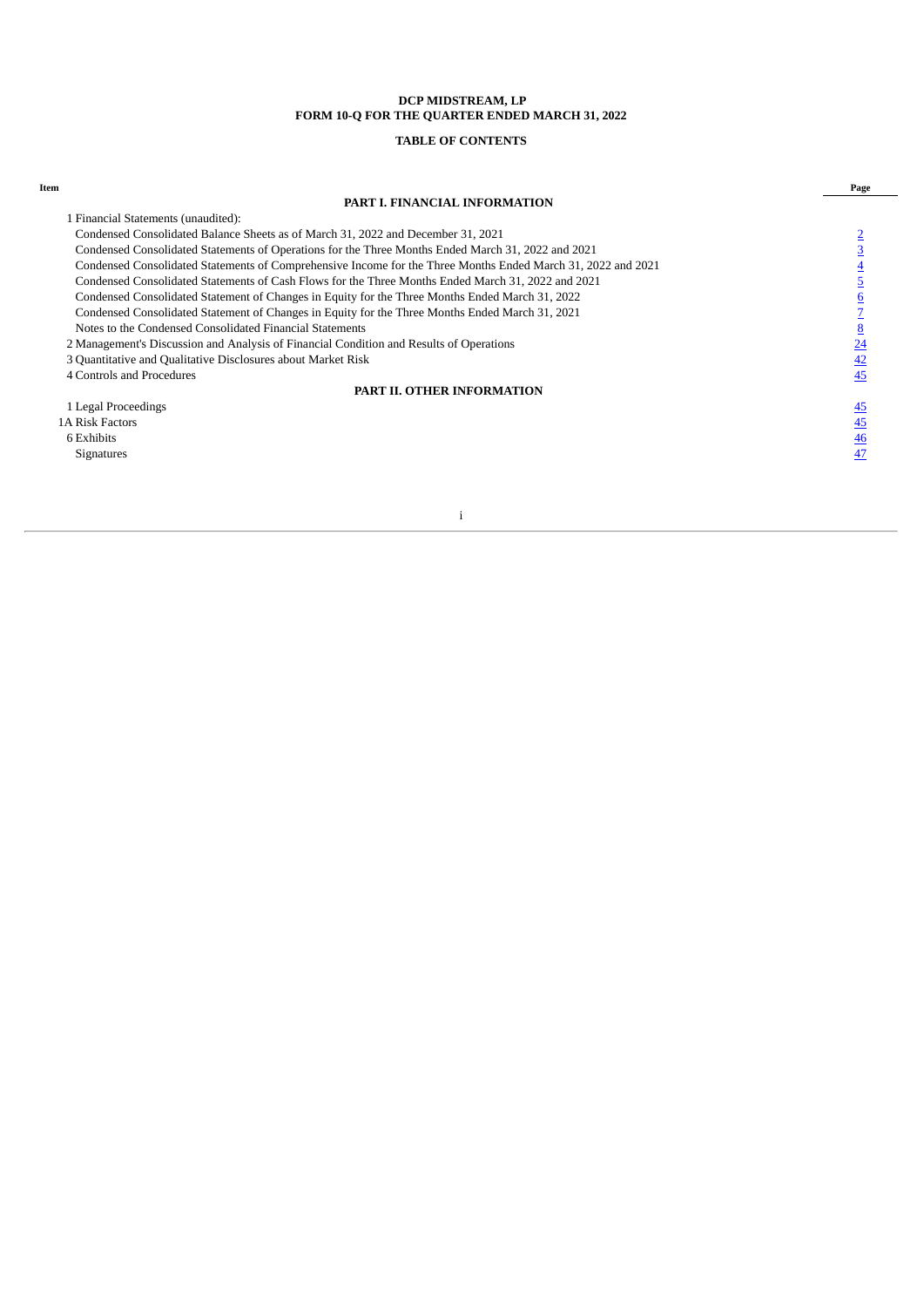# **DCP MIDSTREAM, LP FORM 10-Q FOR THE QUARTER ENDED MARCH 31, 2022**

# **TABLE OF CONTENTS**

 $\overline{\phantom{0}}$ 

| Item                                                                                                         | Page            |
|--------------------------------------------------------------------------------------------------------------|-----------------|
| PART I. FINANCIAL INFORMATION                                                                                |                 |
| 1 Financial Statements (unaudited):                                                                          |                 |
| Condensed Consolidated Balance Sheets as of March 31, 2022 and December 31, 2021                             |                 |
| Condensed Consolidated Statements of Operations for the Three Months Ended March 31, 2022 and 2021           |                 |
| Condensed Consolidated Statements of Comprehensive Income for the Three Months Ended March 31, 2022 and 2021 |                 |
| Condensed Consolidated Statements of Cash Flows for the Three Months Ended March 31, 2022 and 2021           | <u>5</u>        |
| Condensed Consolidated Statement of Changes in Equity for the Three Months Ended March 31, 2022              | 6               |
| Condensed Consolidated Statement of Changes in Equity for the Three Months Ended March 31, 2021              |                 |
| Notes to the Condensed Consolidated Financial Statements                                                     | $\underline{8}$ |
| 2 Management's Discussion and Analysis of Financial Condition and Results of Operations                      | 24              |
| 3 Quantitative and Qualitative Disclosures about Market Risk                                                 | 42              |
| 4 Controls and Procedures                                                                                    | 45              |
| <b>PART II. OTHER INFORMATION</b>                                                                            |                 |
| 1 Legal Proceedings                                                                                          | $\overline{45}$ |
| 1A Risk Factors                                                                                              | 45              |
| 6 Exhibits                                                                                                   | 46              |
| <b>Signatures</b>                                                                                            | 47              |
|                                                                                                              |                 |
|                                                                                                              |                 |

i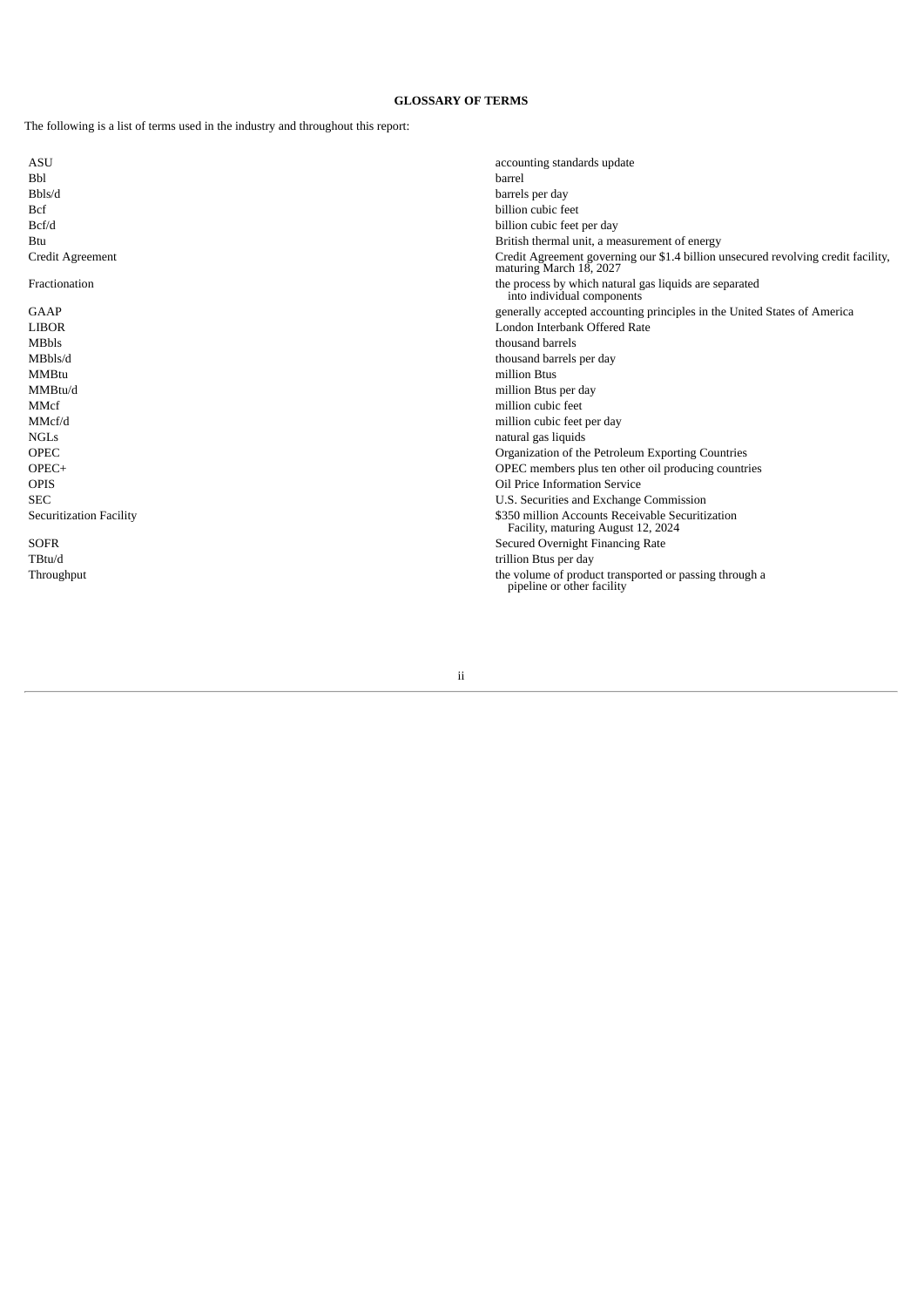# **GLOSSARY OF TERMS**

The following is a list of terms used in the industry and throughout this report:

| <b>ASU</b>              | accounting standards update                                                                                  |
|-------------------------|--------------------------------------------------------------------------------------------------------------|
| <b>Bbl</b>              | barrel                                                                                                       |
| Bbls/d                  | barrels per day                                                                                              |
| <b>B</b> cf             | billion cubic feet                                                                                           |
| Bcf/d                   | billion cubic feet per day                                                                                   |
| Btu                     | British thermal unit, a measurement of energy                                                                |
| Credit Agreement        | Credit Agreement governing our \$1.4 billion unsecured revolving credit facility,<br>maturing March 18, 2027 |
| Fractionation           | the process by which natural gas liquids are separated<br>into individual components                         |
| GAAP                    | generally accepted accounting principles in the United States of America                                     |
| <b>LIBOR</b>            | London Interbank Offered Rate                                                                                |
| <b>MBbls</b>            | thousand barrels                                                                                             |
| MBbls/d                 | thousand barrels per day                                                                                     |
| <b>MMBtu</b>            | million Btus                                                                                                 |
| MMBtu/d                 | million Btus per day                                                                                         |
| <b>MMcf</b>             | million cubic feet                                                                                           |
| MMcf/d                  | million cubic feet per day                                                                                   |
| <b>NGLs</b>             | natural gas liquids                                                                                          |
| <b>OPEC</b>             | Organization of the Petroleum Exporting Countries                                                            |
| OPEC+                   | OPEC members plus ten other oil producing countries                                                          |
| <b>OPIS</b>             | Oil Price Information Service                                                                                |
| <b>SEC</b>              | U.S. Securities and Exchange Commission                                                                      |
| Securitization Facility | \$350 million Accounts Receivable Securitization<br>Facility, maturing August 12, 2024                       |
| <b>SOFR</b>             | Secured Overnight Financing Rate                                                                             |
| TBtu/d                  | trillion Btus per day                                                                                        |
| Throughput              | the volume of product transported or passing through a<br>pipeline or other facility                         |
|                         |                                                                                                              |
|                         |                                                                                                              |

# ii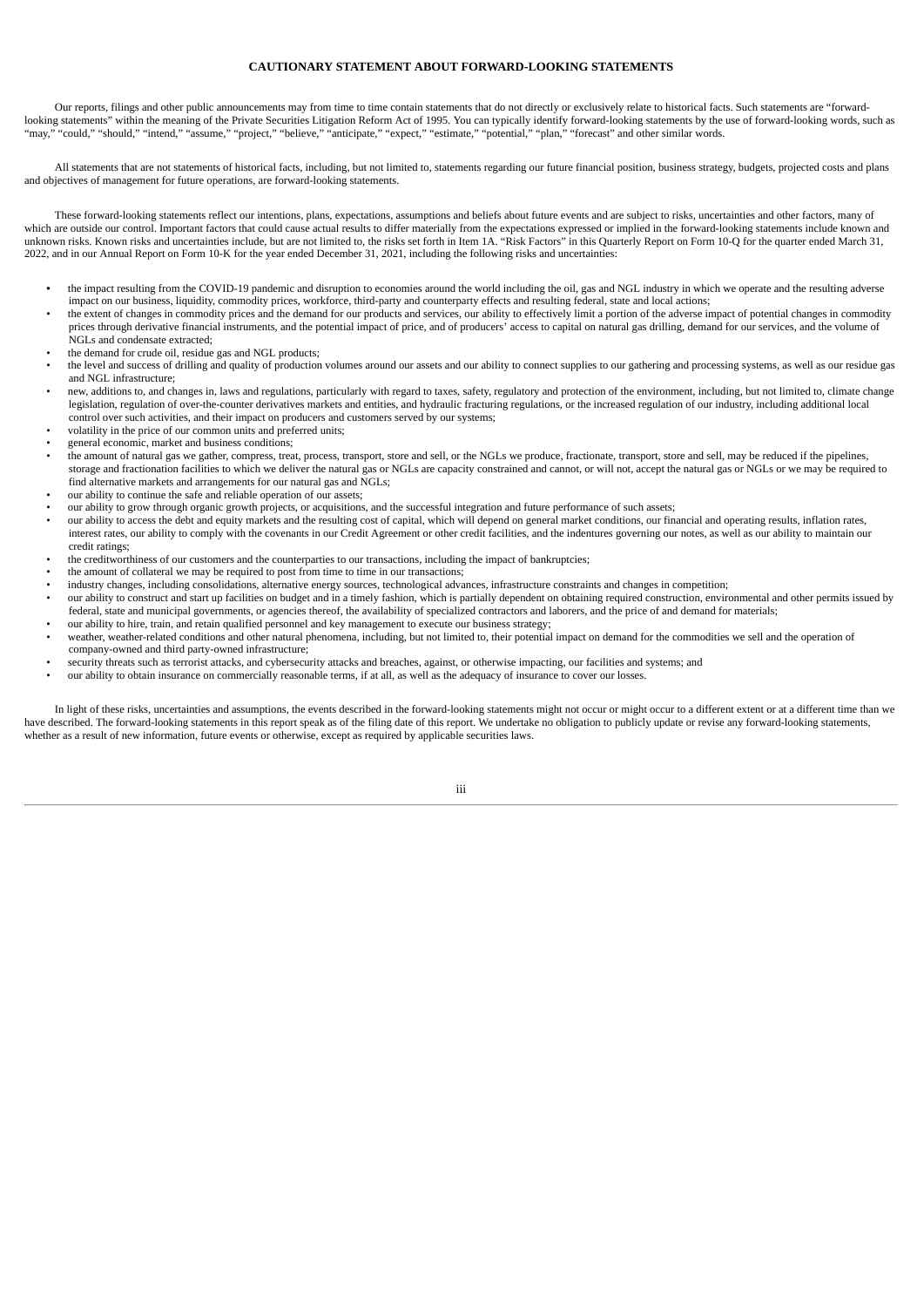# **CAUTIONARY STATEMENT ABOUT FORWARD-LOOKING STATEMENTS**

Our reports, filings and other public announcements may from time to time contain statements that do not directly or exclusively relate to historical facts. Such statements are "forwardlooking statements" within the meaning of the Private Securities Litigation Reform Act of 1995. You can typically identify forward-looking statements by the use of forward-looking words, such as "may," "could," "should," "intend," "assume," "project," "believe," "anticipate," "expect," "estimate," "potential," "plan," "forecast" and other similar words.

All statements that are not statements of historical facts, including, but not limited to, statements regarding our future financial position, business strategy, budgets, projected costs and plans and objectives of management for future operations, are forward-looking statements.

These forward-looking statements reflect our intentions, plans, expectations, assumptions and beliefs about future events and are subject to risks, uncertainties and other factors, many of which are outside our control. Important factors that could cause actual results to differ materially from the expectations expressed or implied in the forward-looking statements include known and unknown risks. Known risks and uncertainties include, but are not limited to, the risks set forth in Item 1A. "Risk Factors" in this Quarterly Report on Form 10-Q for the quarter ended March 31, 2022, and in our Annual Report on Form 10-K for the year ended December 31, 2021, including the following risks and uncertainties:

- the impact resulting from the COVID-19 pandemic and disruption to economies around the world including the oil, gas and NGL industry in which we operate and the resulting adverse impact on our business, liquidity, commodity prices, workforce, third-party and counterparty effects and resulting federal, state and local actions;
- the extent of changes in commodity prices and the demand for our products and services, our ability to effectively limit a portion of the adverse impact of potential changes in commodity prices through derivative financial instruments, and the potential impact of price, and of producers' access to capital on natural gas drilling, demand for our services, and the volume of NGLs and condensate extracted;
- the demand for crude oil, residue gas and NGL products;
- the level and success of drilling and quality of production volumes around our assets and our ability to connect supplies to our gathering and processing systems, as well as our residue gas and NGL infrastructure;
- new, additions to, and changes in, laws and regulations, particularly with regard to taxes, safety, regulatory and protection of the environment, including, but not limited to, climate change legislation, regulation of over-the-counter derivatives markets and entities, and hydraulic fracturing regulations, or the increased regulation of our industry, including additional local control over such activities, and their impact on producers and customers served by our systems;
- volatility in the price of our common units and preferred units;
- general economic, market and business conditions;
- the amount of natural gas we gather, compress, treat, process, transport, store and sell, or the NGLs we produce, fractionate, transport, store and sell, may be reduced if the pipelines, storage and fractionation facilities to which we deliver the natural gas or NGLs are capacity constrained and cannot, or will not, accept the natural gas or NGLs or we may be required to find alternative markets and arrangements for our natural gas and NGLs;
- our ability to continue the safe and reliable operation of our assets;
- our ability to grow through organic growth projects, or acquisitions, and the successful integration and future performance of such assets;
- our ability to access the debt and equity markets and the resulting cost of capital, which will depend on general market conditions, our financial and operating results, inflation rates, interest rates, our ability to comply with the covenants in our Credit Agreement or other credit facilities, and the indentures governing our notes, as well as our ability to maintain our credit ratings;
- the creditworthiness of our customers and the counterparties to our transactions, including the impact of bankruptcies;
- the amount of collateral we may be required to post from time to time in our transactions;
- industry changes, including consolidations, alternative energy sources, technological advances, infrastructure constraints and changes in competition;
- our ability to construct and start up facilities on budget and in a timely fashion, which is partially dependent on obtaining required construction, environmental and other permits issued by federal, state and municipal governments, or agencies thereof, the availability of specialized contractors and laborers, and the price of and demand for materials; • our ability to hire, train, and retain qualified personnel and key management to execute our business strategy;
- weather, weather-related conditions and other natural phenomena, including, but not limited to, their potential impact on demand for the commodities we sell and the operation of company-owned and third party-owned infrastructure;
- security threats such as terrorist attacks, and cybersecurity attacks and breaches, against, or otherwise impacting, our facilities and systems; and
- our ability to obtain insurance on commercially reasonable terms, if at all, as well as the adequacy of insurance to cover our losses.

In light of these risks, uncertainties and assumptions, the events described in the forward-looking statements might not occur or might occur to a different extent or at a different time than we have described. The forward-looking statements in this report speak as of the filing date of this report. We undertake no obligation to publicly update or revise any forward-looking statements, whether as a result of new information, future events or otherwise, except as required by applicable securities laws.

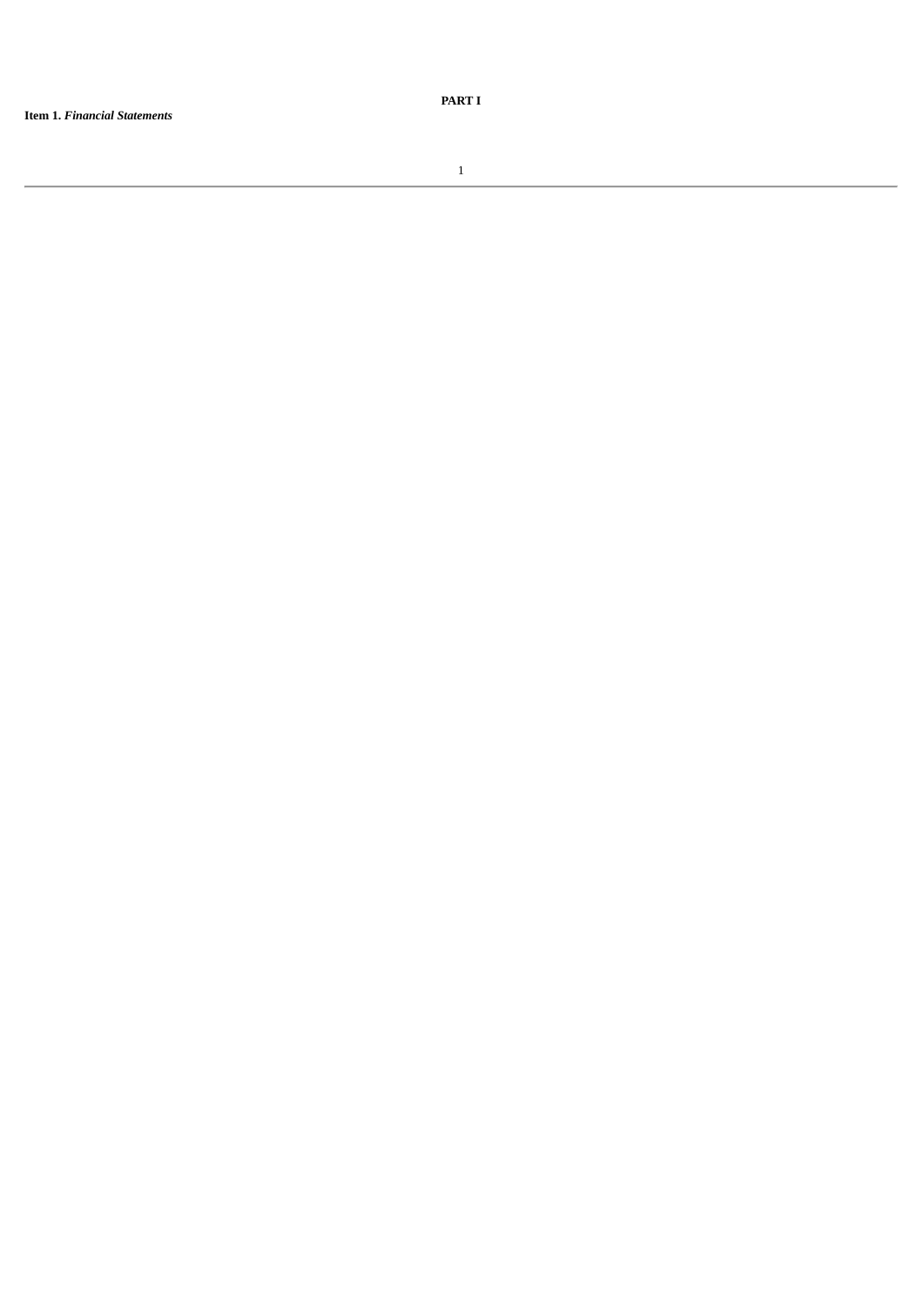<span id="page-4-1"></span><span id="page-4-0"></span>**Item 1.** *Financial Statements*

**PART I**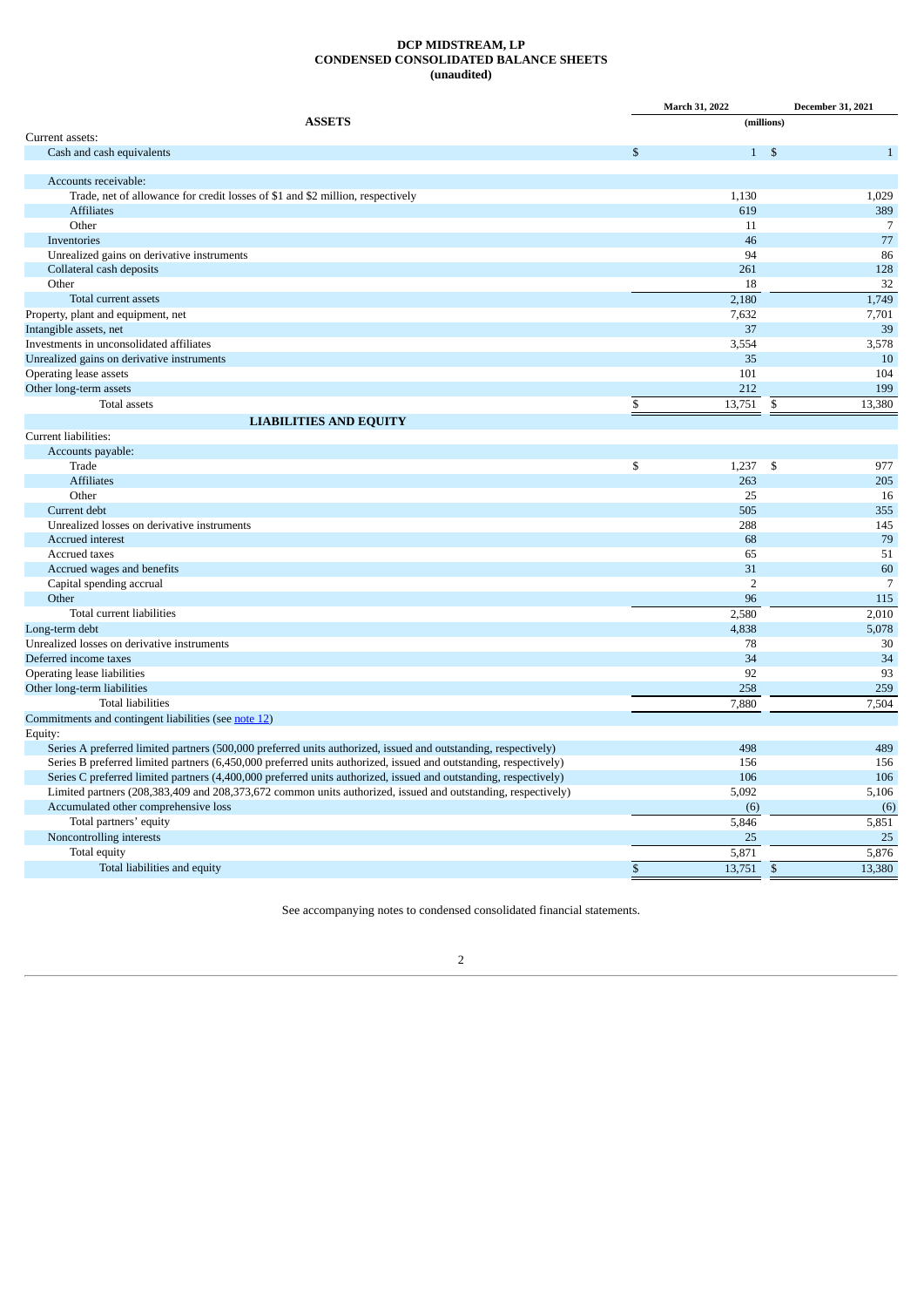# **DCP MIDSTREAM, LP CONDENSED CONSOLIDATED BALANCE SHEETS (unaudited)**

|                                                                                                                                                                                                                               |              | March 31, 2022 | <b>December 31, 2021</b> |              |  |
|-------------------------------------------------------------------------------------------------------------------------------------------------------------------------------------------------------------------------------|--------------|----------------|--------------------------|--------------|--|
| <b>ASSETS</b>                                                                                                                                                                                                                 |              |                | (millions)               |              |  |
| Current assets:                                                                                                                                                                                                               |              |                |                          |              |  |
| Cash and cash equivalents                                                                                                                                                                                                     | $\mathbb{S}$ |                | $1 \quad$ \$             | $\mathbf{1}$ |  |
| Accounts receivable:                                                                                                                                                                                                          |              |                |                          |              |  |
| Trade, net of allowance for credit losses of \$1 and \$2 million, respectively                                                                                                                                                |              | 1,130          |                          | 1,029        |  |
| <b>Affiliates</b>                                                                                                                                                                                                             |              | 619            |                          | 389          |  |
| Other                                                                                                                                                                                                                         |              | 11             |                          | 7            |  |
| <b>Inventories</b>                                                                                                                                                                                                            |              | 46             |                          | 77           |  |
| Unrealized gains on derivative instruments                                                                                                                                                                                    |              | 94             |                          | 86           |  |
| Collateral cash deposits                                                                                                                                                                                                      |              | 261            |                          | 128          |  |
| Other                                                                                                                                                                                                                         |              | 18             |                          | 32           |  |
| Total current assets                                                                                                                                                                                                          |              | 2,180          |                          | 1,749        |  |
|                                                                                                                                                                                                                               |              | 7,632          |                          | 7,701        |  |
| Property, plant and equipment, net                                                                                                                                                                                            |              |                |                          |              |  |
| Intangible assets, net                                                                                                                                                                                                        |              | 37             |                          | 39           |  |
| Investments in unconsolidated affiliates                                                                                                                                                                                      |              | 3,554          |                          | 3,578        |  |
| Unrealized gains on derivative instruments                                                                                                                                                                                    |              | 35             |                          | 10           |  |
| Operating lease assets                                                                                                                                                                                                        |              | 101            |                          | 104          |  |
| Other long-term assets                                                                                                                                                                                                        |              | 212            |                          | 199          |  |
| Total assets                                                                                                                                                                                                                  | \$           | 13,751         | \$                       | 13,380       |  |
| <b>LIABILITIES AND EQUITY</b>                                                                                                                                                                                                 |              |                |                          |              |  |
| Current liabilities:                                                                                                                                                                                                          |              |                |                          |              |  |
| Accounts payable:                                                                                                                                                                                                             |              |                |                          |              |  |
| Trade                                                                                                                                                                                                                         | \$           | 1,237          | \$                       | 977          |  |
| <b>Affiliates</b>                                                                                                                                                                                                             |              | 263            |                          | 205          |  |
| Other                                                                                                                                                                                                                         |              | 25             |                          | 16           |  |
| Current debt                                                                                                                                                                                                                  |              | 505            |                          | 355          |  |
| Unrealized losses on derivative instruments                                                                                                                                                                                   |              | 288            |                          | 145          |  |
| <b>Accrued</b> interest                                                                                                                                                                                                       |              | 68             |                          | 79           |  |
| Accrued taxes                                                                                                                                                                                                                 |              | 65             |                          | 51           |  |
| Accrued wages and benefits                                                                                                                                                                                                    |              | 31             |                          | 60           |  |
| Capital spending accrual                                                                                                                                                                                                      |              | $\overline{2}$ |                          | 7            |  |
| Other                                                                                                                                                                                                                         |              | 96             |                          | 115          |  |
| Total current liabilities                                                                                                                                                                                                     |              | 2,580          |                          | 2,010        |  |
| Long-term debt                                                                                                                                                                                                                |              | 4,838          |                          | 5,078        |  |
| Unrealized losses on derivative instruments                                                                                                                                                                                   |              | 78             |                          | 30           |  |
| Deferred income taxes                                                                                                                                                                                                         |              | 34             |                          | 34           |  |
| Operating lease liabilities                                                                                                                                                                                                   |              | 92             |                          | 93           |  |
| Other long-term liabilities                                                                                                                                                                                                   |              | 258            |                          | 259          |  |
| <b>Total liabilities</b>                                                                                                                                                                                                      |              | 7,880          |                          | 7,504        |  |
|                                                                                                                                                                                                                               |              |                |                          |              |  |
| Commitments and contingent liabilities (see note 12)                                                                                                                                                                          |              |                |                          |              |  |
| Equity:                                                                                                                                                                                                                       |              |                |                          |              |  |
| Series A preferred limited partners (500,000 preferred units authorized, issued and outstanding, respectively)                                                                                                                |              | 498            |                          | 489          |  |
| Series B preferred limited partners (6,450,000 preferred units authorized, issued and outstanding, respectively)                                                                                                              |              | 156            |                          | 156          |  |
| Series C preferred limited partners (4,400,000 preferred units authorized, issued and outstanding, respectively)<br>United pertains (200 202 400 per 200 272 673 common units suthorized issued and outstanding respectively) |              | 106<br>$E$ 002 |                          | 106<br>E 10C |  |

<span id="page-5-0"></span>Limited partners (208,383,409 and 208,373,672 common units authorized, issued and outstanding, respectively) 5,092 5,106 5,106 5,106 5,106 5,106 5,106 5,106 5,106 5,106 5,106 5,106 5,106 5,106 5,106 5,106 5,106 5,106 5,106 Accumulated other comprehensive loss Total partners' equity and the set of the set of the set of the set of the set of the set of the set of the set of the set of the set of the set of the set of the set of the set of the set of the set of the set of the set Noncontrolling interests Total equity 5,876 5,876 5,876 5,876 5,876 5,876 5,876 5,876 5,876 5,876 5,876 5,877 5,876 5,876 5,876 5,876 5,876 5,876 5,876 5,876 5,876 5,876 5,876 5,876 5,876 5,876 5,876 5,876 5,876 5,876 5,876 5,876 5,876 5,876 5,876 Total liabilities and equity  $\overline{\text{S}}$  13,751  $\overline{\text{S}}$  13,380

See accompanying notes to condensed consolidated financial statements.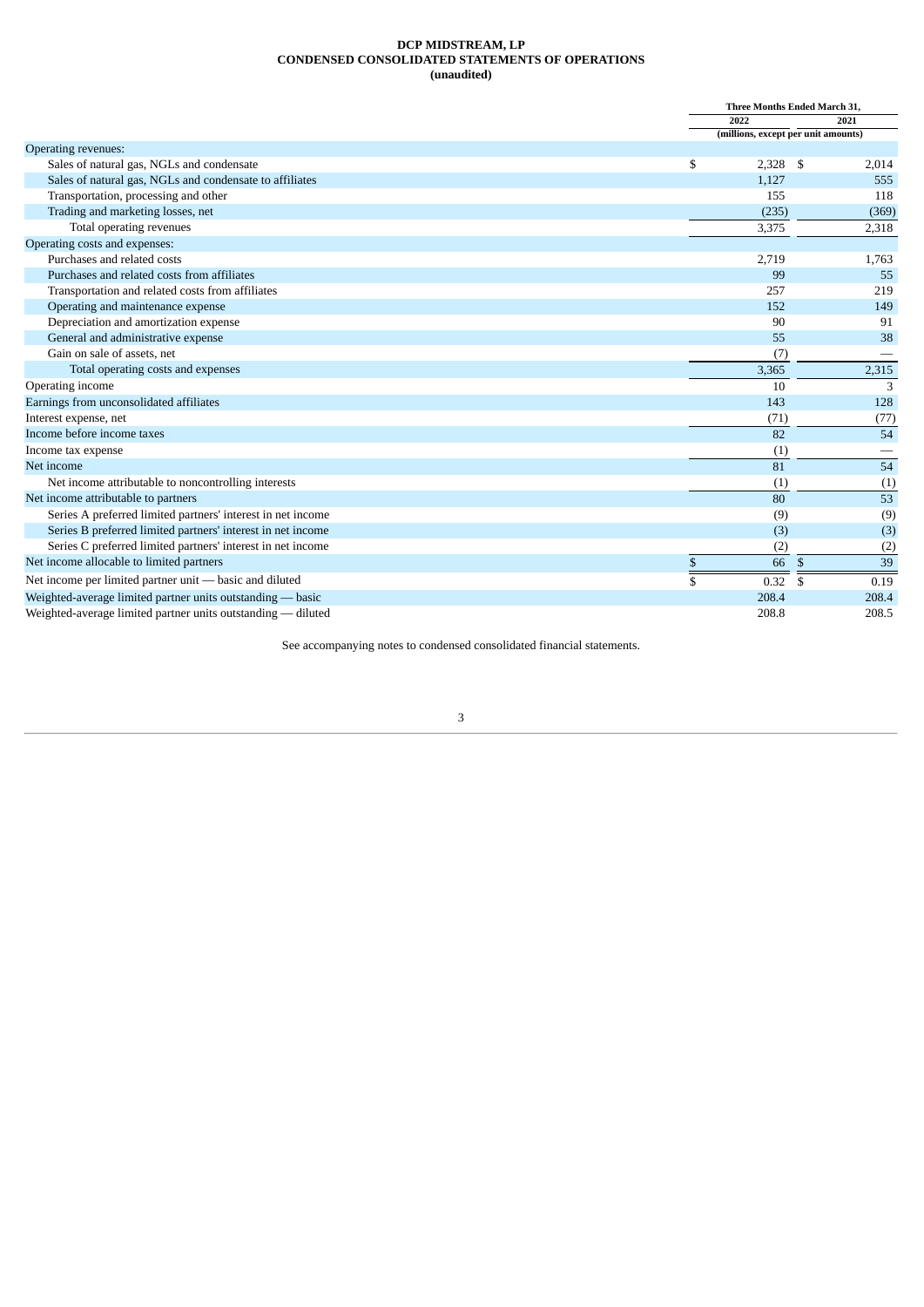## **DCP MIDSTREAM, LP CONDENSED CONSOLIDATED STATEMENTS OF OPERATIONS (unaudited)**

|                                                              | Three Months Ended March 31, |                                     |     |       |  |
|--------------------------------------------------------------|------------------------------|-------------------------------------|-----|-------|--|
|                                                              |                              | 2022                                |     | 2021  |  |
|                                                              |                              | (millions, except per unit amounts) |     |       |  |
| Operating revenues:                                          |                              |                                     |     |       |  |
| Sales of natural gas, NGLs and condensate                    | \$                           | 2,328                               | -\$ | 2,014 |  |
| Sales of natural gas, NGLs and condensate to affiliates      |                              | 1,127                               |     | 555   |  |
| Transportation, processing and other                         |                              | 155                                 |     | 118   |  |
| Trading and marketing losses, net                            |                              | (235)                               |     | (369) |  |
| Total operating revenues                                     |                              | 3,375                               |     | 2,318 |  |
| Operating costs and expenses:                                |                              |                                     |     |       |  |
| Purchases and related costs                                  |                              | 2,719                               |     | 1,763 |  |
| Purchases and related costs from affiliates                  |                              | 99                                  |     | 55    |  |
| Transportation and related costs from affiliates             |                              | 257                                 |     | 219   |  |
| Operating and maintenance expense                            |                              | 152                                 |     | 149   |  |
| Depreciation and amortization expense                        |                              | 90                                  |     | 91    |  |
| General and administrative expense                           |                              | 55                                  |     | 38    |  |
| Gain on sale of assets, net                                  |                              | (7)                                 |     |       |  |
| Total operating costs and expenses                           |                              | 3,365                               |     | 2,315 |  |
| Operating income                                             |                              | 10                                  |     | 3     |  |
| Earnings from unconsolidated affiliates                      |                              | 143                                 |     | 128   |  |
| Interest expense, net                                        |                              | (71)                                |     | (77)  |  |
| Income before income taxes                                   |                              | 82                                  |     | 54    |  |
| Income tax expense                                           |                              | (1)                                 |     |       |  |
| Net income                                                   |                              | 81                                  |     | 54    |  |
| Net income attributable to noncontrolling interests          |                              | (1)                                 |     | (1)   |  |
| Net income attributable to partners                          |                              | 80                                  |     | 53    |  |
| Series A preferred limited partners' interest in net income  |                              | (9)                                 |     | (9)   |  |
| Series B preferred limited partners' interest in net income  |                              | (3)                                 |     | (3)   |  |
| Series C preferred limited partners' interest in net income  |                              | (2)                                 |     | (2)   |  |
| Net income allocable to limited partners                     | \$                           | 66                                  | -\$ | 39    |  |
| Net income per limited partner unit — basic and diluted      |                              | 0.32                                | -\$ | 0.19  |  |
| Weighted-average limited partner units outstanding - basic   |                              | 208.4                               |     | 208.4 |  |
| Weighted-average limited partner units outstanding - diluted |                              | 208.8                               |     | 208.5 |  |

<span id="page-6-0"></span>See accompanying notes to condensed consolidated financial statements.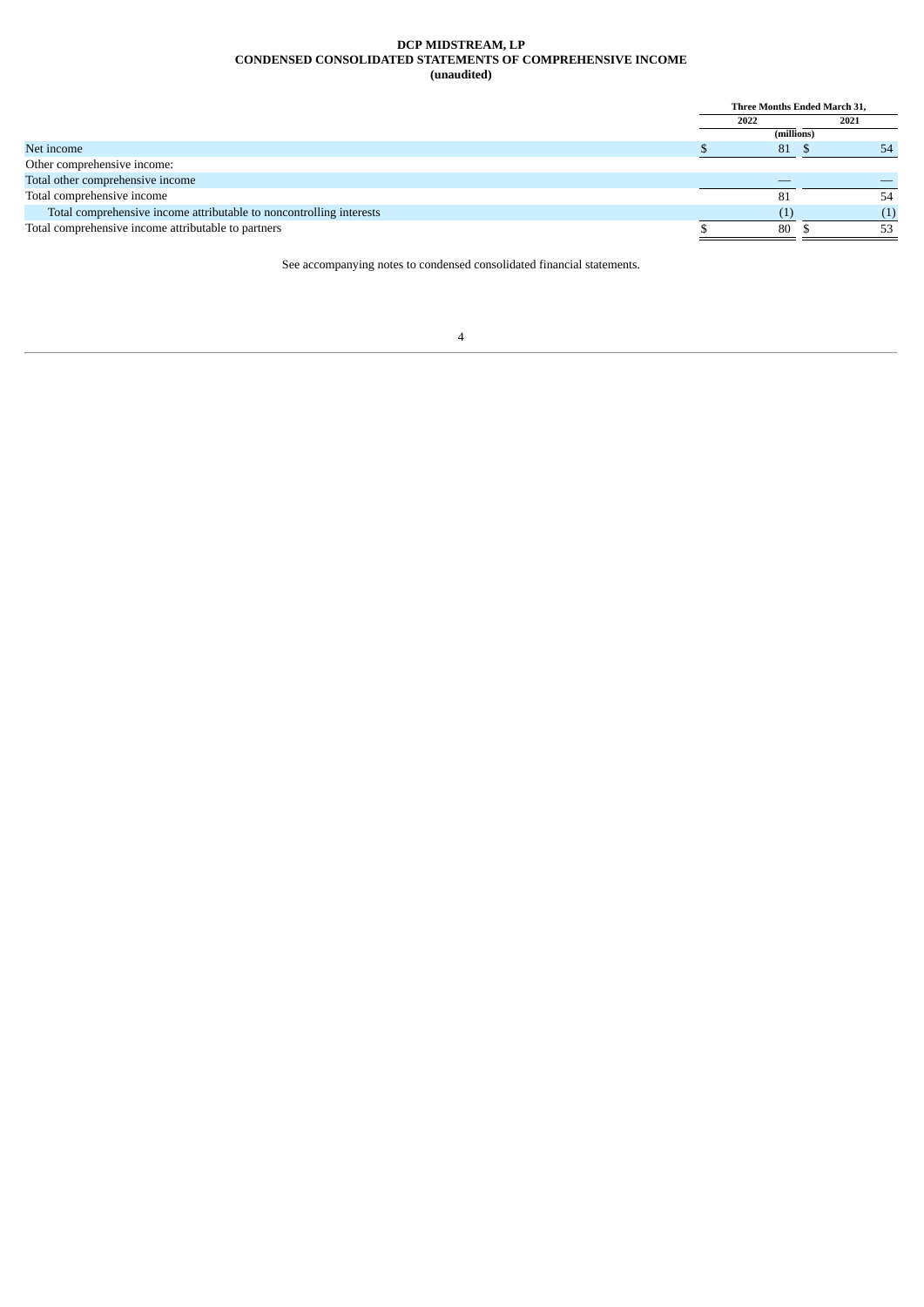# **DCP MIDSTREAM, LP CONDENSED CONSOLIDATED STATEMENTS OF COMPREHENSIVE INCOME (unaudited)**

<span id="page-7-0"></span>

|                                                                     |            | Three Months Ended March 31, |
|---------------------------------------------------------------------|------------|------------------------------|
|                                                                     | 2022       | 2021                         |
|                                                                     | (millions) |                              |
| Net income                                                          | 81 \$      | 54                           |
| Other comprehensive income:                                         |            |                              |
| Total other comprehensive income                                    |            |                              |
| Total comprehensive income                                          | 81         | 54                           |
| Total comprehensive income attributable to noncontrolling interests | (1)        | (1)                          |
| Total comprehensive income attributable to partners                 | 80         | 53                           |
|                                                                     |            |                              |

See accompanying notes to condensed consolidated financial statements.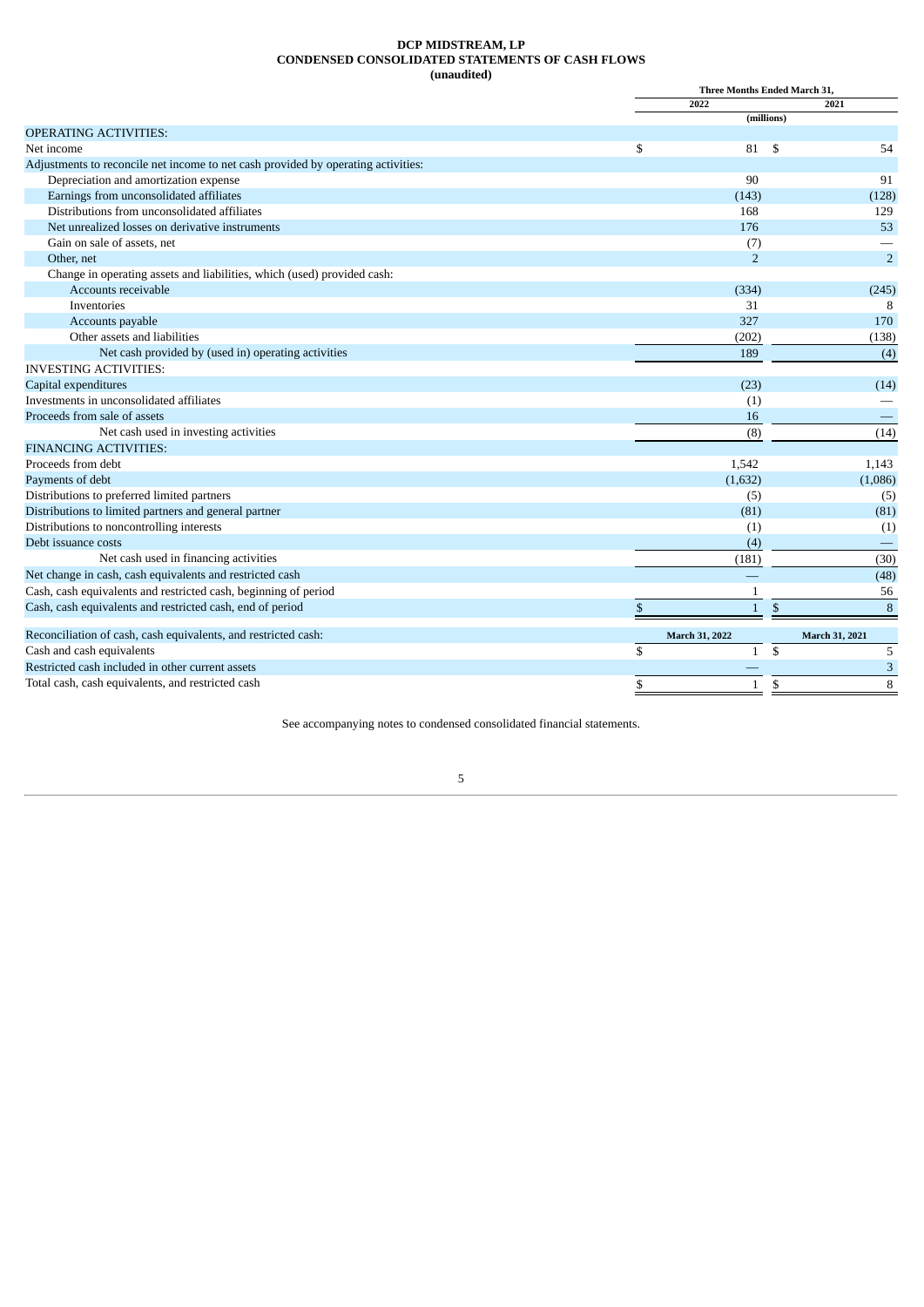#### **DCP MIDSTREAM, LP CONDENSED CONSOLIDATED STATEMENTS OF CASH FLOWS (unaudited)**

|                                                                                   | <b>Three Months Ended March 31,</b> |              |                   |  |  |  |
|-----------------------------------------------------------------------------------|-------------------------------------|--------------|-------------------|--|--|--|
|                                                                                   | 2022                                |              | 2021              |  |  |  |
|                                                                                   |                                     | (millions)   |                   |  |  |  |
| <b>OPERATING ACTIVITIES:</b>                                                      |                                     |              |                   |  |  |  |
| Net income                                                                        | \$<br>81                            | \$           | 54                |  |  |  |
| Adjustments to reconcile net income to net cash provided by operating activities: |                                     |              |                   |  |  |  |
| Depreciation and amortization expense                                             | 90                                  |              | 91                |  |  |  |
| Earnings from unconsolidated affiliates                                           | (143)                               |              | (128)             |  |  |  |
| Distributions from unconsolidated affiliates                                      | 168                                 |              | 129               |  |  |  |
| Net unrealized losses on derivative instruments                                   | 176                                 |              | 53                |  |  |  |
| Gain on sale of assets, net                                                       | (7)                                 |              |                   |  |  |  |
| Other, net                                                                        | $\overline{2}$                      |              | $\overline{2}$    |  |  |  |
| Change in operating assets and liabilities, which (used) provided cash:           |                                     |              |                   |  |  |  |
| Accounts receivable                                                               | (334)                               |              | (245)             |  |  |  |
| Inventories                                                                       | 31                                  |              |                   |  |  |  |
| Accounts payable                                                                  | 327                                 |              | 170               |  |  |  |
| Other assets and liabilities                                                      | (202)                               |              | (138)             |  |  |  |
| Net cash provided by (used in) operating activities                               | 189                                 |              | (4)               |  |  |  |
| <b>INVESTING ACTIVITIES:</b>                                                      |                                     |              |                   |  |  |  |
| Capital expenditures                                                              | (23)                                |              | (14)              |  |  |  |
| Investments in unconsolidated affiliates                                          | (1)                                 |              |                   |  |  |  |
| Proceeds from sale of assets                                                      | 16                                  |              |                   |  |  |  |
| Net cash used in investing activities                                             | (8)                                 |              | (14)              |  |  |  |
| <b>FINANCING ACTIVITIES:</b>                                                      |                                     |              |                   |  |  |  |
| Proceeds from debt                                                                | 1,542                               |              | 1,143             |  |  |  |
| Payments of debt                                                                  | (1,632)                             |              | (1,086)           |  |  |  |
| Distributions to preferred limited partners                                       | (5)                                 |              | (5)               |  |  |  |
| Distributions to limited partners and general partner                             | (81)                                |              | (81)              |  |  |  |
| Distributions to noncontrolling interests                                         | (1)                                 |              | (1)               |  |  |  |
| Debt issuance costs                                                               | (4)                                 |              | $\qquad \qquad -$ |  |  |  |
| Net cash used in financing activities                                             | (181)                               |              | (30)              |  |  |  |
| Net change in cash, cash equivalents and restricted cash                          |                                     |              | (48)              |  |  |  |
| Cash, cash equivalents and restricted cash, beginning of period                   | $\mathbf{1}$                        |              | 56                |  |  |  |
| Cash, cash equivalents and restricted cash, end of period                         | \$<br>$\mathbf{1}$                  | $\mathbb{S}$ | 8                 |  |  |  |
|                                                                                   |                                     |              |                   |  |  |  |
| Reconciliation of cash, cash equivalents, and restricted cash:                    | March 31, 2022                      |              | March 31, 2021    |  |  |  |
| Cash and cash equivalents                                                         | \$<br>$\mathbf{1}$                  | \$           | 5                 |  |  |  |
| Restricted cash included in other current assets                                  |                                     |              | 3                 |  |  |  |
| Total cash, cash equivalents, and restricted cash                                 | \$<br>$\mathbf{1}$                  | \$           | 8                 |  |  |  |

<span id="page-8-0"></span>See accompanying notes to condensed consolidated financial statements.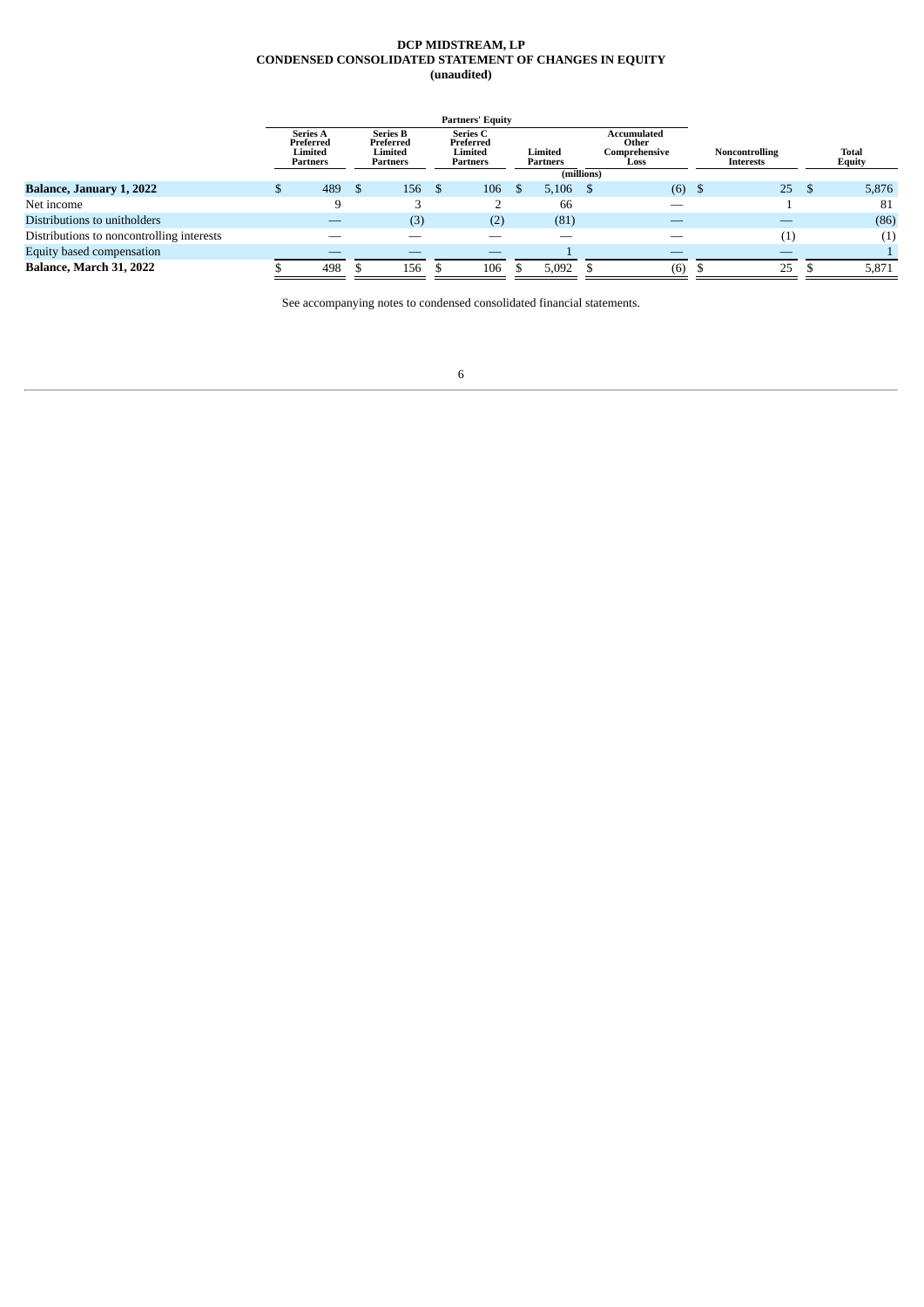# **DCP MIDSTREAM, LP CONDENSED CONSOLIDATED STATEMENT OF CHANGES IN EQUITY (unaudited)**

<span id="page-9-0"></span>

|                                           | <b>Partners' Equity</b> |                                                     |  |                                                     |                                                                     |     |                                               |            |                                    |          |  |                               |    |       |
|-------------------------------------------|-------------------------|-----------------------------------------------------|--|-----------------------------------------------------|---------------------------------------------------------------------|-----|-----------------------------------------------|------------|------------------------------------|----------|--|-------------------------------|----|-------|
|                                           |                         | <b>Series A</b><br>Preferred<br>Limited<br>Partners |  | <b>Series B</b><br>Preferred<br>Limited<br>Partners | Series C<br>Preferred<br>Limited<br>Limited<br>Partners<br>Partners |     | Accumulated<br>Other<br>Comprehensive<br>Loss |            | Noncontrolling<br><b>Interests</b> |          |  | <b>Total</b><br><b>Equity</b> |    |       |
|                                           |                         |                                                     |  |                                                     |                                                                     |     |                                               | (millions) |                                    |          |  |                               |    |       |
| <b>Balance, January 1, 2022</b>           |                         | 489                                                 |  | 156                                                 | -\$                                                                 | 106 |                                               | 5,106      | - \$                               | $(6)$ \$ |  | 25                            | -S | 5,876 |
| Net income                                |                         | q                                                   |  | 3                                                   |                                                                     |     |                                               | 66         |                                    | _        |  |                               |    | 81    |
| Distributions to unitholders              |                         |                                                     |  | (3)                                                 |                                                                     | (2) |                                               | (81)       |                                    |          |  |                               |    | (86)  |
| Distributions to noncontrolling interests |                         |                                                     |  |                                                     |                                                                     |     |                                               |            |                                    |          |  | (1)                           |    | (1)   |
| Equity based compensation                 |                         |                                                     |  |                                                     |                                                                     |     |                                               |            |                                    |          |  |                               |    |       |
| Balance, March 31, 2022                   |                         | 498                                                 |  | 156                                                 |                                                                     | 106 |                                               | 5,092      |                                    | (6)      |  | 25                            |    | 5,871 |

See accompanying notes to condensed consolidated financial statements.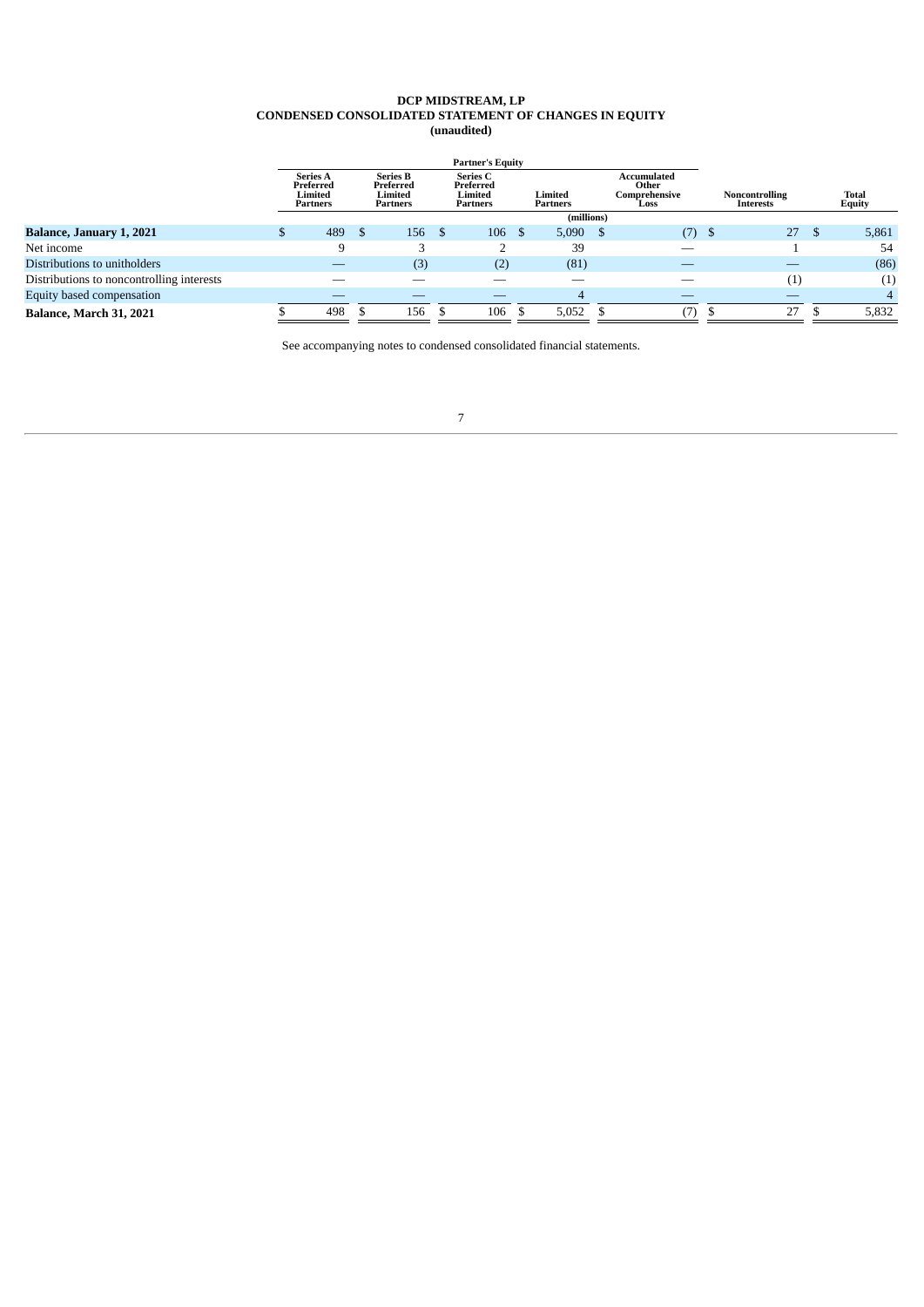## **DCP MIDSTREAM, LP CONDENSED CONSOLIDATED STATEMENT OF CHANGES IN EQUITY (unaudited)**

|                                           |                                                     |   |                                                                                                     |  | <b>Partner's Equity</b> |                                                      |            |     |                                    |                               |     |      |                |
|-------------------------------------------|-----------------------------------------------------|---|-----------------------------------------------------------------------------------------------------|--|-------------------------|------------------------------------------------------|------------|-----|------------------------------------|-------------------------------|-----|------|----------------|
|                                           | <b>Series A</b><br>Preferred<br>Limited<br>Partners |   | Series C<br><b>Series B</b><br>Preferred<br>Preferred<br>Limited<br>Limited<br>Partners<br>Partners |  | Limited<br>Partners     | <b>Accumulated</b><br>Other<br>Comprehensive<br>Loss |            |     | Noncontrolling<br><b>Interests</b> | <b>Total</b><br><b>Equity</b> |     |      |                |
|                                           |                                                     |   |                                                                                                     |  |                         |                                                      | (millions) |     |                                    |                               |     |      |                |
| <b>Balance, January 1, 2021</b>           | 489                                                 | D | 156                                                                                                 |  | 106                     | - \$                                                 | 5,090      | - 5 | $(7)$ \$                           |                               | 27  | - \$ | 5,861          |
| Net income                                | 9                                                   |   | R                                                                                                   |  |                         |                                                      | 39         |     |                                    |                               |     |      | 54             |
| Distributions to unitholders              |                                                     |   | (3)                                                                                                 |  | (2)                     |                                                      | (81)       |     | –                                  |                               | —   |      | (86)           |
| Distributions to noncontrolling interests |                                                     |   |                                                                                                     |  |                         |                                                      |            |     |                                    |                               | (1) |      | (1)            |
| Equity based compensation                 |                                                     |   |                                                                                                     |  |                         |                                                      | 4          |     |                                    |                               |     |      | $\overline{4}$ |
| Balance, March 31, 2021                   | 498                                                 |   | 156                                                                                                 |  | 106                     | .১                                                   | 5.052      |     |                                    |                               | 27  |      | 5,832          |

<span id="page-10-0"></span>See accompanying notes to condensed consolidated financial statements.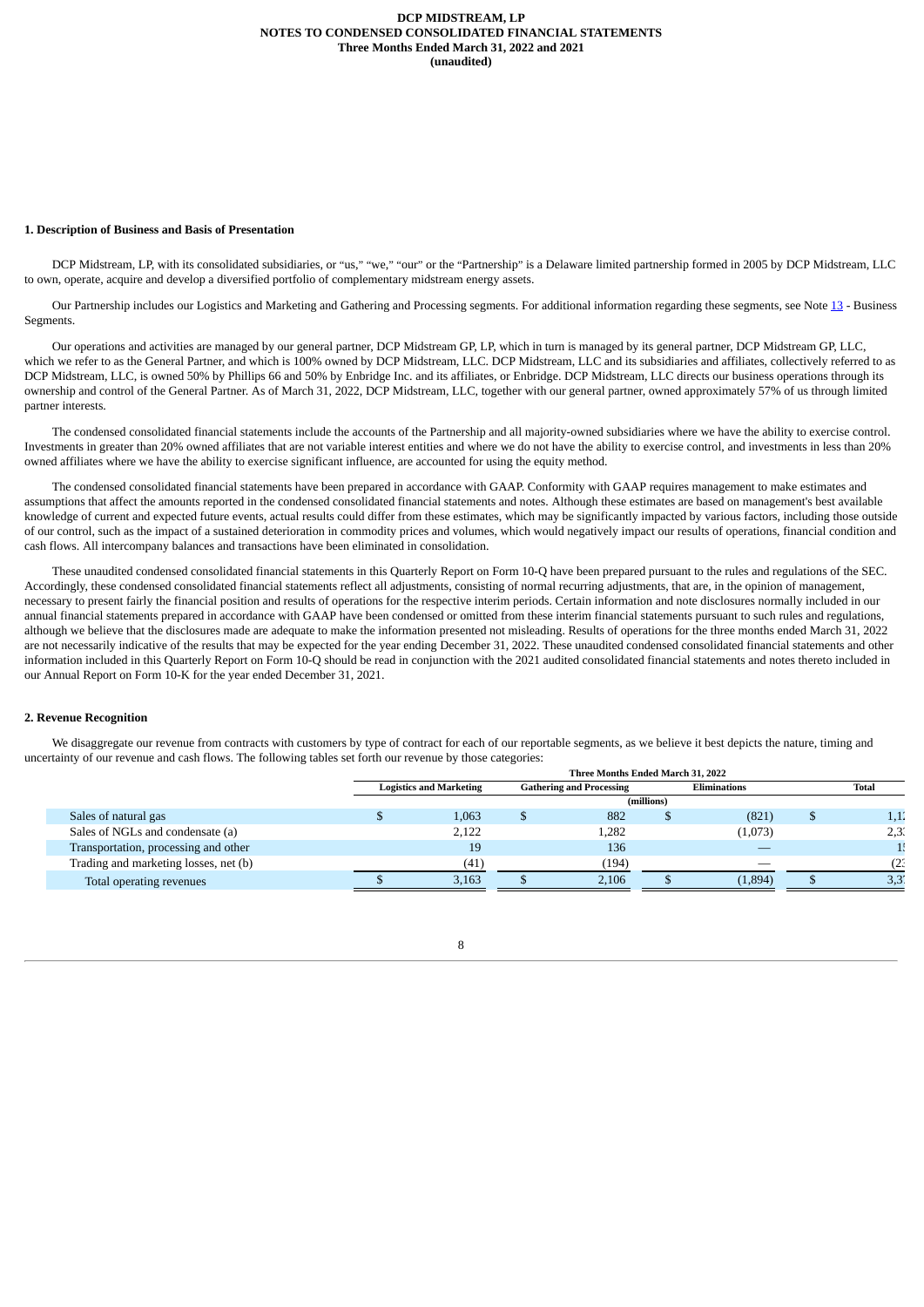#### **1. Description of Business and Basis of Presentation**

DCP Midstream, LP, with its consolidated subsidiaries, or "us," "we," "our" or the "Partnership" is a Delaware limited partnership formed in 2005 by DCP Midstream, LLC to own, operate, acquire and develop a diversified portfolio of complementary midstream energy assets.

Our Partnership includes our Logistics and Marketing and Gathering and Processing segments. For additional information regarding these segments, see Note [13](#page-24-0) - Business Segments.

Our operations and activities are managed by our general partner, DCP Midstream GP, LP, which in turn is managed by its general partner, DCP Midstream GP, LLC, which we refer to as the General Partner, and which is 100% owned by DCP Midstream, LLC. DCP Midstream, LLC and its subsidiaries and affiliates, collectively referred to as DCP Midstream, LLC, is owned 50% by Phillips 66 and 50% by Enbridge Inc. and its affiliates, or Enbridge. DCP Midstream, LLC directs our business operations through its ownership and control of the General Partner. As of March 31, 2022, DCP Midstream, LLC, together with our general partner, owned approximately 57% of us through limited partner interests.

The condensed consolidated financial statements include the accounts of the Partnership and all majority-owned subsidiaries where we have the ability to exercise control. Investments in greater than 20% owned affiliates that are not variable interest entities and where we do not have the ability to exercise control, and investments in less than 20% owned affiliates where we have the ability to exercise significant influence, are accounted for using the equity method.

The condensed consolidated financial statements have been prepared in accordance with GAAP. Conformity with GAAP requires management to make estimates and assumptions that affect the amounts reported in the condensed consolidated financial statements and notes. Although these estimates are based on management's best available knowledge of current and expected future events, actual results could differ from these estimates, which may be significantly impacted by various factors, including those outside of our control, such as the impact of a sustained deterioration in commodity prices and volumes, which would negatively impact our results of operations, financial condition and cash flows. All intercompany balances and transactions have been eliminated in consolidation.

These unaudited condensed consolidated financial statements in this Quarterly Report on Form 10-Q have been prepared pursuant to the rules and regulations of the SEC. Accordingly, these condensed consolidated financial statements reflect all adjustments, consisting of normal recurring adjustments, that are, in the opinion of management, necessary to present fairly the financial position and results of operations for the respective interim periods. Certain information and note disclosures normally included in our annual financial statements prepared in accordance with GAAP have been condensed or omitted from these interim financial statements pursuant to such rules and regulations, although we believe that the disclosures made are adequate to make the information presented not misleading. Results of operations for the three months ended March 31, 2022 are not necessarily indicative of the results that may be expected for the year ending December 31, 2022. These unaudited condensed consolidated financial statements and other information included in this Quarterly Report on Form 10-Q should be read in conjunction with the 2021 audited consolidated financial statements and notes thereto included in our Annual Report on Form 10-K for the year ended December 31, 2021.

# **2. Revenue Recognition**

We disaggregate our revenue from contracts with customers by type of contract for each of our reportable segments, as we believe it best depicts the nature, timing and uncertainty of our revenue and cash flows. The following tables set forth our revenue by those categories:

|                                       | Three Months Ended March 31, 2022 |                                |  |                                 |  |                     |  |                 |  |  |
|---------------------------------------|-----------------------------------|--------------------------------|--|---------------------------------|--|---------------------|--|-----------------|--|--|
|                                       |                                   | <b>Logistics and Marketing</b> |  | <b>Gathering and Processing</b> |  | <b>Eliminations</b> |  | Total           |  |  |
|                                       |                                   | (millions)                     |  |                                 |  |                     |  |                 |  |  |
| Sales of natural gas                  |                                   | 1,063                          |  | 882                             |  | (821)               |  | 1,11            |  |  |
| Sales of NGLs and condensate (a)      |                                   | 2,122                          |  | 1,282                           |  | (1,073)             |  | 2,3             |  |  |
| Transportation, processing and other  |                                   | 19                             |  | 136                             |  |                     |  |                 |  |  |
| Trading and marketing losses, net (b) |                                   | (41)                           |  | (194)                           |  |                     |  | (2 <sup>5</sup> |  |  |
| Total operating revenues              |                                   | 3,163                          |  | 2,106                           |  | (1,894)             |  | 3,3'            |  |  |

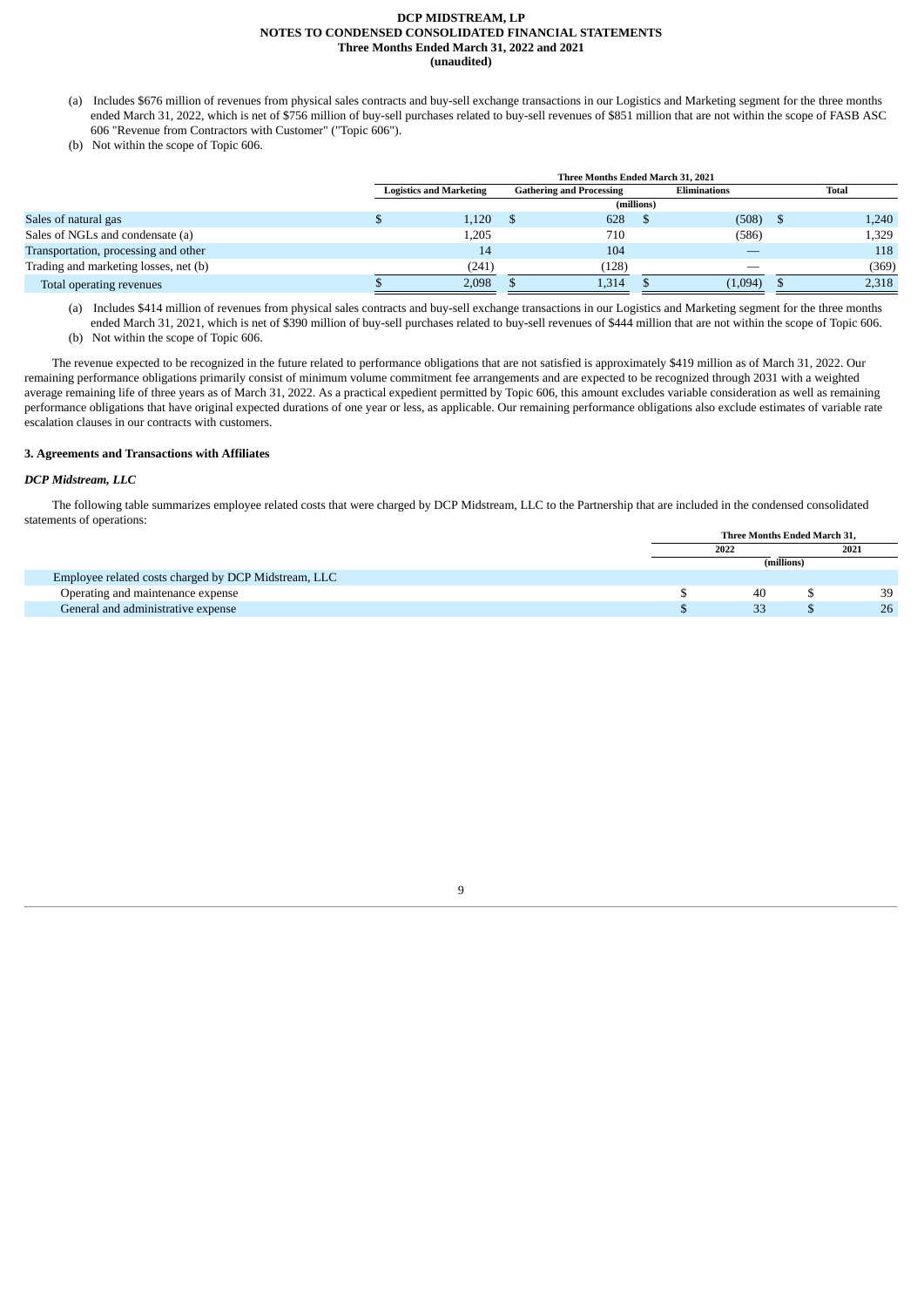- (a) Includes \$676 million of revenues from physical sales contracts and buy-sell exchange transactions in our Logistics and Marketing segment for the three months ended March 31, 2022, which is net of \$756 million of buy-sell purchases related to buy-sell revenues of \$851 million that are not within the scope of FASB ASC 606 "Revenue from Contractors with Customer" ("Topic 606").
- (b) Not within the scope of Topic 606.

|                                       | Three Months Ended March 31, 2021 |                                 |       |            |                     |  |       |  |  |  |
|---------------------------------------|-----------------------------------|---------------------------------|-------|------------|---------------------|--|-------|--|--|--|
|                                       | <b>Logistics and Marketing</b>    | <b>Gathering and Processing</b> |       |            | <b>Eliminations</b> |  | Total |  |  |  |
|                                       |                                   |                                 |       | (millions) |                     |  |       |  |  |  |
| Sales of natural gas                  | 1,120                             |                                 | 628   |            | (508)               |  | 1,240 |  |  |  |
| Sales of NGLs and condensate (a)      | 1,205                             |                                 | 710   |            | (586)               |  | 1,329 |  |  |  |
| Transportation, processing and other  | 14                                |                                 | 104   |            |                     |  | 118   |  |  |  |
| Trading and marketing losses, net (b) | (241)                             |                                 | (128) |            |                     |  | (369) |  |  |  |
| Total operating revenues              | 2,098                             |                                 | 1,314 |            | (1,094)             |  | 2,318 |  |  |  |

- (a) Includes \$414 million of revenues from physical sales contracts and buy-sell exchange transactions in our Logistics and Marketing segment for the three months ended March 31, 2021, which is net of \$390 million of buy-sell purchases related to buy-sell revenues of \$444 million that are not within the scope of Topic 606.
- (b) Not within the scope of Topic 606.

The revenue expected to be recognized in the future related to performance obligations that are not satisfied is approximately \$419 million as of March 31, 2022. Our remaining performance obligations primarily consist of minimum volume commitment fee arrangements and are expected to be recognized through 2031 with a weighted average remaining life of three years as of March 31, 2022. As a practical expedient permitted by Topic 606, this amount excludes variable consideration as well as remaining performance obligations that have original expected durations of one year or less, as applicable. Our remaining performance obligations also exclude estimates of variable rate escalation clauses in our contracts with customers.

# **3. Agreements and Transactions with Affiliates**

# *DCP Midstream, LLC*

The following table summarizes employee related costs that were charged by DCP Midstream, LLC to the Partnership that are included in the condensed consolidated statements of operations:

|                                                      |      | Three Months Ended March 31. |  |    |
|------------------------------------------------------|------|------------------------------|--|----|
|                                                      | 2022 | 2021                         |  |    |
|                                                      |      | (millions)                   |  |    |
| Employee related costs charged by DCP Midstream, LLC |      |                              |  |    |
| Operating and maintenance expense                    |      | 40                           |  | 39 |
| General and administrative expense                   |      |                              |  | 26 |

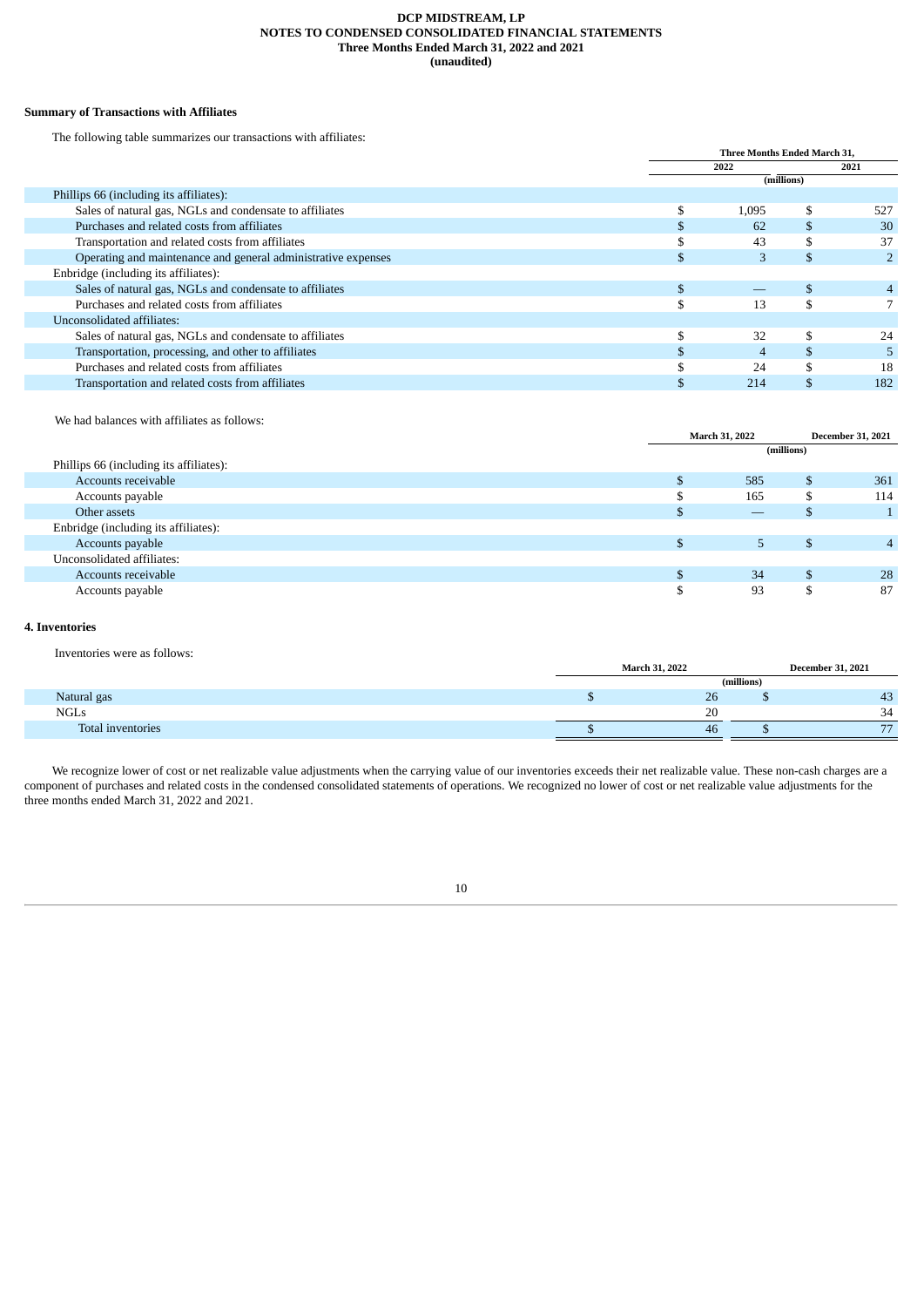# **Summary of Transactions with Affiliates**

The following table summarizes our transactions with affiliates:

|                                                               | <b>Three Months Ended March 31.</b> |            |      |  |  |
|---------------------------------------------------------------|-------------------------------------|------------|------|--|--|
|                                                               | 2022                                |            | 2021 |  |  |
|                                                               |                                     | (millions) |      |  |  |
| Phillips 66 (including its affiliates):                       |                                     |            |      |  |  |
| Sales of natural gas, NGLs and condensate to affiliates       | 1,095                               |            | 527  |  |  |
| Purchases and related costs from affiliates                   | 62                                  |            | 30   |  |  |
| Transportation and related costs from affiliates              | 43                                  |            | 37   |  |  |
| Operating and maintenance and general administrative expenses | 3                                   |            |      |  |  |
| Enbridge (including its affiliates):                          |                                     |            |      |  |  |
| Sales of natural gas, NGLs and condensate to affiliates       |                                     |            |      |  |  |
| Purchases and related costs from affiliates                   | 13                                  |            |      |  |  |
| Unconsolidated affiliates:                                    |                                     |            |      |  |  |
| Sales of natural gas, NGLs and condensate to affiliates       | 32                                  |            | 24   |  |  |
| Transportation, processing, and other to affiliates           |                                     |            |      |  |  |
| Purchases and related costs from affiliates                   | 24                                  |            | 18   |  |  |
| Transportation and related costs from affiliates              | 214                                 |            | 182  |  |  |
|                                                               |                                     |            |      |  |  |

We had balances with affiliates as follows:

|                                         |  | <b>March 31, 2022</b>    |   | <b>December 31, 2021</b> |  |
|-----------------------------------------|--|--------------------------|---|--------------------------|--|
|                                         |  |                          |   |                          |  |
| Phillips 66 (including its affiliates): |  |                          |   |                          |  |
| Accounts receivable                     |  | 585                      | æ | 361                      |  |
| Accounts payable                        |  | 165                      |   | 114                      |  |
| Other assets                            |  | $\overline{\phantom{m}}$ |   |                          |  |
| Enbridge (including its affiliates):    |  |                          |   |                          |  |
| Accounts payable                        |  |                          |   |                          |  |
| Unconsolidated affiliates:              |  |                          |   |                          |  |
| Accounts receivable                     |  | 34                       |   | 28                       |  |
| Accounts payable                        |  | 93                       |   | 87                       |  |

# **4. Inventories**

Inventories were as follows:

|                   | <b>March 31, 2022</b> |            |  | <b>December 31, 2021</b> |  |  |
|-------------------|-----------------------|------------|--|--------------------------|--|--|
|                   |                       | (millions) |  |                          |  |  |
| Natural gas       |                       | 26         |  | 43                       |  |  |
| <b>NGLs</b>       |                       | 20<br>∸    |  | 34                       |  |  |
| Total inventories |                       | 46         |  | $\overline{a}$           |  |  |

We recognize lower of cost or net realizable value adjustments when the carrying value of our inventories exceeds their net realizable value. These non-cash charges are a component of purchases and related costs in the condensed consolidated statements of operations. We recognized no lower of cost or net realizable value adjustments for the three months ended March 31, 2022 and 2021.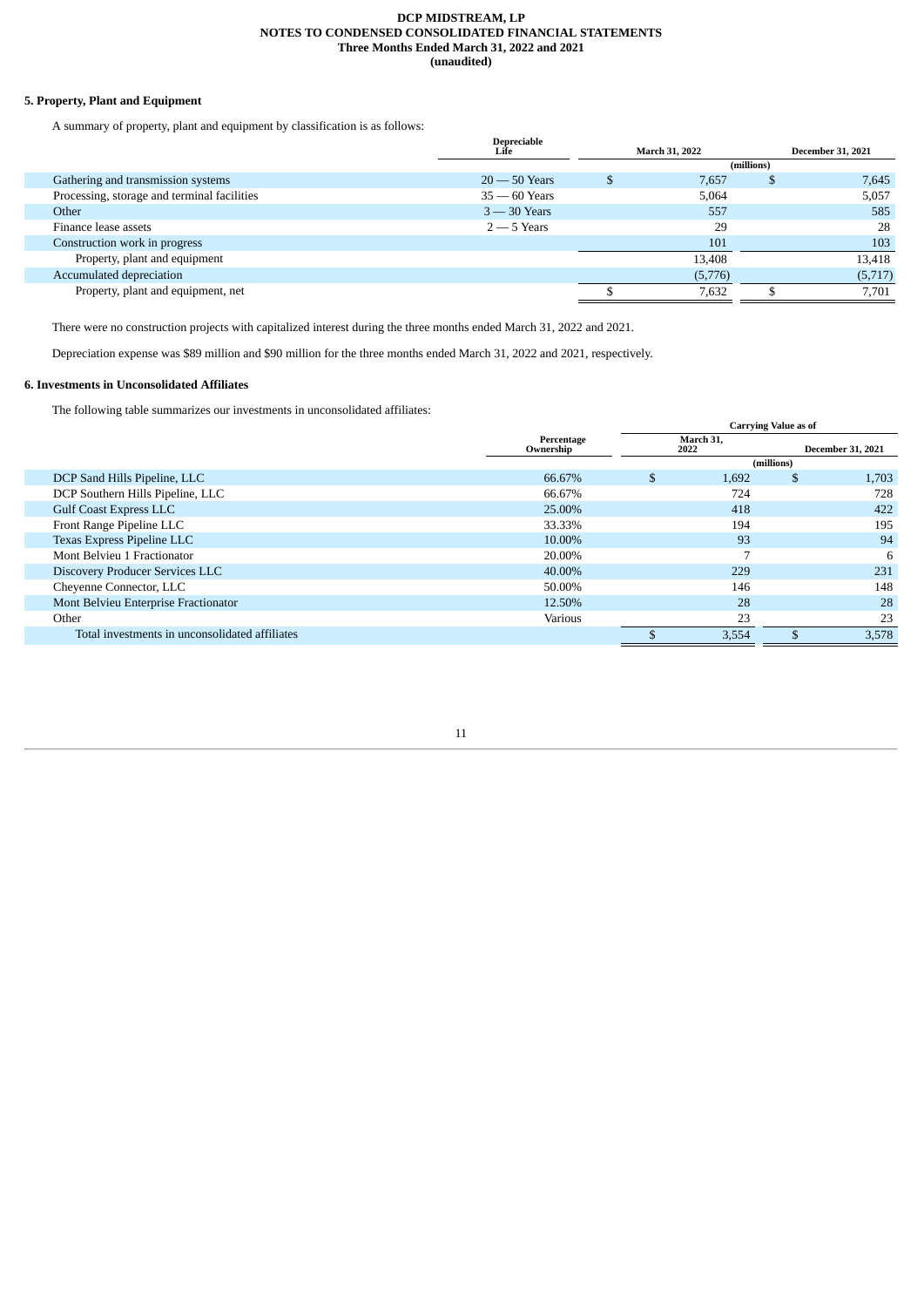# **5. Property, Plant and Equipment**

A summary of property, plant and equipment by classification is as follows:

| 7,645   |
|---------|
| 5,057   |
| 585     |
| 28      |
| 103     |
| 13,418  |
| (5,717) |
| 7.701   |
|         |

There were no construction projects with capitalized interest during the three months ended March 31, 2022 and 2021.

Depreciation expense was \$89 million and \$90 million for the three months ended March 31, 2022 and 2021, respectively.

# **6. Investments in Unconsolidated Affiliates**

The following table summarizes our investments in unconsolidated affiliates:

|                                                |                         | Carrying value as or |                   |            |                          |  |  |
|------------------------------------------------|-------------------------|----------------------|-------------------|------------|--------------------------|--|--|
|                                                | Percentage<br>Ownership |                      | March 31.<br>2022 |            | <b>December 31, 2021</b> |  |  |
|                                                |                         |                      |                   | (millions) |                          |  |  |
| DCP Sand Hills Pipeline, LLC                   | 66.67%                  | \$                   | 1,692             | \$         | 1,703                    |  |  |
| DCP Southern Hills Pipeline, LLC               | 66.67%                  |                      | 724               |            | 728                      |  |  |
| <b>Gulf Coast Express LLC</b>                  | 25.00%                  |                      | 418               |            | 422                      |  |  |
| Front Range Pipeline LLC                       | 33.33%                  |                      | 194               |            | 195                      |  |  |
| Texas Express Pipeline LLC                     | 10.00%                  |                      | 93                |            | 94                       |  |  |
| Mont Belvieu 1 Fractionator                    | 20.00%                  |                      | $\overline{ }$    |            | 6                        |  |  |
| Discovery Producer Services LLC                | 40.00%                  |                      | 229               |            | 231                      |  |  |
| Cheyenne Connector, LLC                        | 50.00%                  |                      | 146               |            | 148                      |  |  |
| Mont Belvieu Enterprise Fractionator           | 12.50%                  |                      | 28                |            | 28                       |  |  |
| Other                                          | Various                 |                      | 23                |            | 23                       |  |  |
| Total investments in unconsolidated affiliates |                         |                      | 3,554             |            | 3,578                    |  |  |

**Carrying Value as of**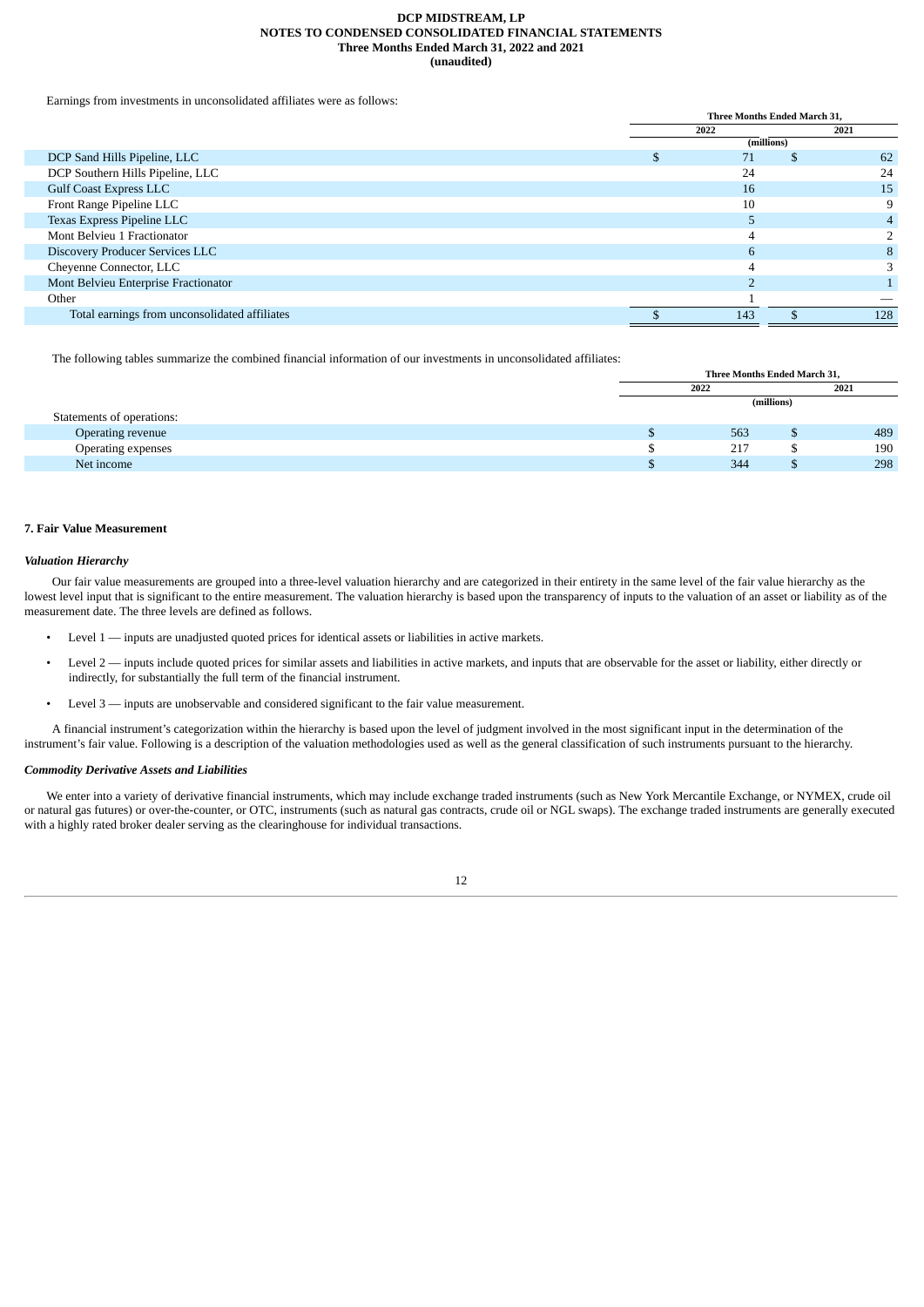Earnings from investments in unconsolidated affiliates were as follows:

| Three Months Ended March 31, |      |      |            |  |  |
|------------------------------|------|------|------------|--|--|
|                              | 2021 |      |            |  |  |
|                              |      |      |            |  |  |
|                              | 71   |      | 62         |  |  |
|                              | 24   |      | 24         |  |  |
|                              | 16   |      | 15         |  |  |
|                              | 10   |      | q          |  |  |
|                              |      |      |            |  |  |
|                              |      |      |            |  |  |
|                              |      |      |            |  |  |
|                              |      |      |            |  |  |
|                              |      |      |            |  |  |
|                              |      |      |            |  |  |
|                              | 143  |      | 128        |  |  |
|                              |      | 2022 | (millions) |  |  |

The following tables summarize the combined financial information of our investments in unconsolidated affiliates:

|                           | Three Months Ended March 31, |            |      |  |  |  |  |
|---------------------------|------------------------------|------------|------|--|--|--|--|
|                           | 2022                         |            | 2021 |  |  |  |  |
|                           |                              | (millions) |      |  |  |  |  |
| Statements of operations: |                              |            |      |  |  |  |  |
| Operating revenue         | 563                          |            | 489  |  |  |  |  |
| <b>Operating expenses</b> | 217                          |            | 190  |  |  |  |  |
| Net income                | 344                          |            | 298  |  |  |  |  |
|                           |                              |            |      |  |  |  |  |

#### **7. Fair Value Measurement**

#### *Valuation Hierarchy*

Our fair value measurements are grouped into a three-level valuation hierarchy and are categorized in their entirety in the same level of the fair value hierarchy as the lowest level input that is significant to the entire measurement. The valuation hierarchy is based upon the transparency of inputs to the valuation of an asset or liability as of the measurement date. The three levels are defined as follows.

- Level 1 inputs are unadjusted quoted prices for identical assets or liabilities in active markets.
- Level 2 inputs include quoted prices for similar assets and liabilities in active markets, and inputs that are observable for the asset or liability, either directly or indirectly, for substantially the full term of the financial instrument.
- Level 3 inputs are unobservable and considered significant to the fair value measurement.

A financial instrument's categorization within the hierarchy is based upon the level of judgment involved in the most significant input in the determination of the instrument's fair value. Following is a description of the valuation methodologies used as well as the general classification of such instruments pursuant to the hierarchy.

## *Commodity Derivative Assets and Liabilities*

We enter into a variety of derivative financial instruments, which may include exchange traded instruments (such as New York Mercantile Exchange, or NYMEX, crude oil or natural gas futures) or over-the-counter, or OTC, instruments (such as natural gas contracts, crude oil or NGL swaps). The exchange traded instruments are generally executed with a highly rated broker dealer serving as the clearinghouse for individual transactions.

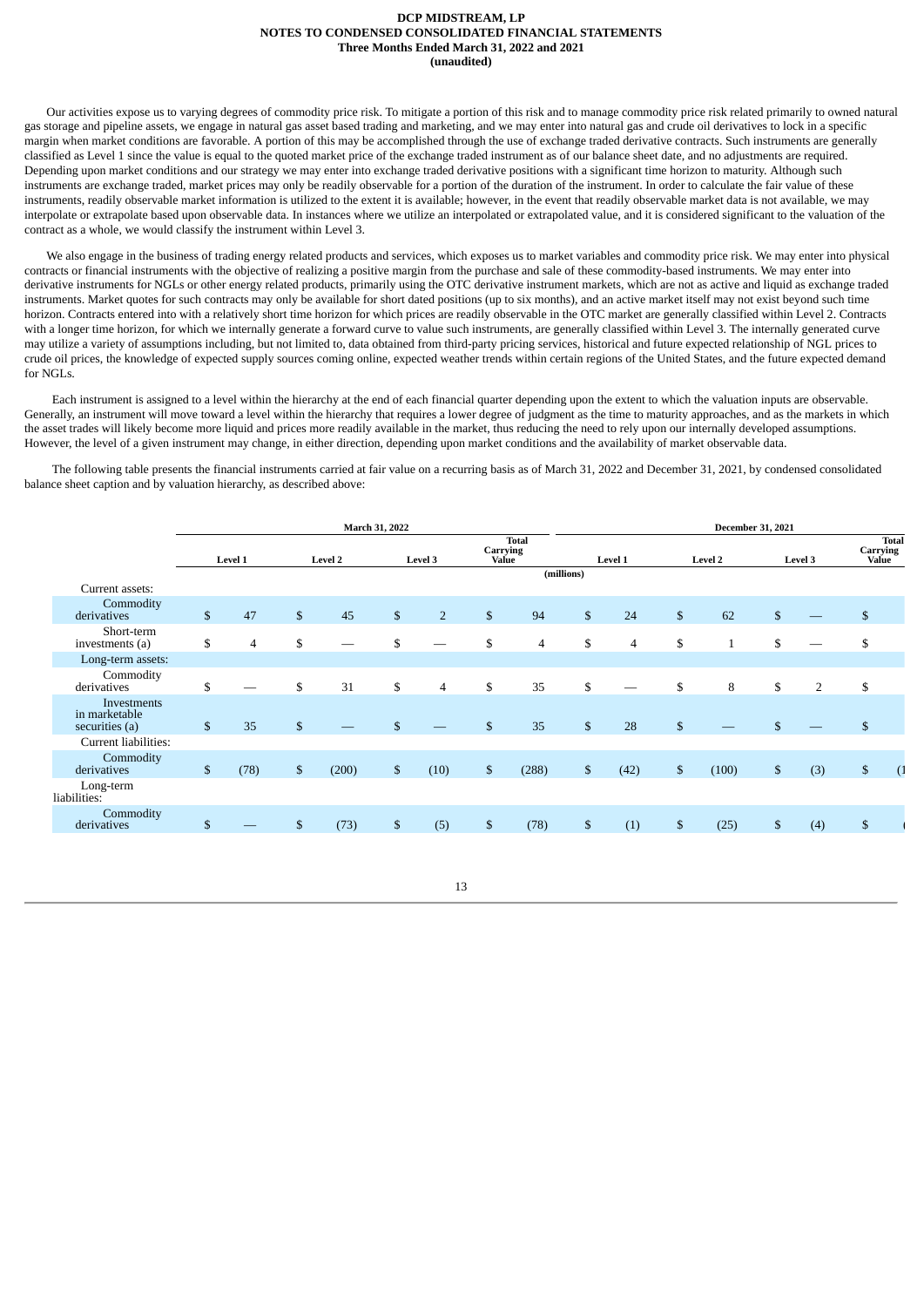Our activities expose us to varying degrees of commodity price risk. To mitigate a portion of this risk and to manage commodity price risk related primarily to owned natural gas storage and pipeline assets, we engage in natural gas asset based trading and marketing, and we may enter into natural gas and crude oil derivatives to lock in a specific margin when market conditions are favorable. A portion of this may be accomplished through the use of exchange traded derivative contracts. Such instruments are generally classified as Level 1 since the value is equal to the quoted market price of the exchange traded instrument as of our balance sheet date, and no adjustments are required. Depending upon market conditions and our strategy we may enter into exchange traded derivative positions with a significant time horizon to maturity. Although such instruments are exchange traded, market prices may only be readily observable for a portion of the duration of the instrument. In order to calculate the fair value of these instruments, readily observable market information is utilized to the extent it is available; however, in the event that readily observable market data is not available, we may interpolate or extrapolate based upon observable data. In instances where we utilize an interpolated or extrapolated value, and it is considered significant to the valuation of the contract as a whole, we would classify the instrument within Level 3.

We also engage in the business of trading energy related products and services, which exposes us to market variables and commodity price risk. We may enter into physical contracts or financial instruments with the objective of realizing a positive margin from the purchase and sale of these commodity-based instruments. We may enter into derivative instruments for NGLs or other energy related products, primarily using the OTC derivative instrument markets, which are not as active and liquid as exchange traded instruments. Market quotes for such contracts may only be available for short dated positions (up to six months), and an active market itself may not exist beyond such time horizon. Contracts entered into with a relatively short time horizon for which prices are readily observable in the OTC market are generally classified within Level 2. Contracts with a longer time horizon, for which we internally generate a forward curve to value such instruments, are generally classified within Level 3. The internally generated curve may utilize a variety of assumptions including, but not limited to, data obtained from third-party pricing services, historical and future expected relationship of NGL prices to crude oil prices, the knowledge of expected supply sources coming online, expected weather trends within certain regions of the United States, and the future expected demand for NGLs.

Each instrument is assigned to a level within the hierarchy at the end of each financial quarter depending upon the extent to which the valuation inputs are observable. Generally, an instrument will move toward a level within the hierarchy that requires a lower degree of judgment as the time to maturity approaches, and as the markets in which the asset trades will likely become more liquid and prices more readily available in the market, thus reducing the need to rely upon our internally developed assumptions. However, the level of a given instrument may change, in either direction, depending upon market conditions and the availability of market observable data.

The following table presents the financial instruments carried at fair value on a recurring basis as of March 31, 2022 and December 31, 2021, by condensed consolidated balance sheet caption and by valuation hierarchy, as described above:

|                                                |              |         |              |         | March 31, 2022 |                |                   |              |              |         |              | December 31, 2021 |              |                |                   |              |
|------------------------------------------------|--------------|---------|--------------|---------|----------------|----------------|-------------------|--------------|--------------|---------|--------------|-------------------|--------------|----------------|-------------------|--------------|
|                                                |              | Level 1 |              | Level 2 |                | Level 3        | Carrying<br>Vaľue | <b>Total</b> |              | Level 1 |              | Level 2           |              | Level 3        | Carrying<br>Value | <b>Total</b> |
| Current assets:                                |              |         |              |         |                |                |                   |              | (millions)   |         |              |                   |              |                |                   |              |
| Commodity<br>derivatives                       | $\mathbb{S}$ | 47      | \$           | 45      | $\mathbb{S}$   | $\overline{2}$ | $\mathfrak{S}$    | 94           | $\mathbb{S}$ | 24      | $\mathbb{S}$ | 62                | \$           |                | $\mathbb{S}$      |              |
| Short-term<br>investments (a)                  | \$           | 4       | \$           |         | \$             |                | \$                | 4            | \$           | 4       | \$           | $\mathbf{1}$      | \$           |                |                   |              |
| Long-term assets:                              |              |         |              |         |                |                |                   |              |              |         |              |                   |              |                |                   |              |
| Commodity<br>derivatives                       | \$           |         | \$           | 31      | \$             | $\overline{4}$ | \$                | 35           | \$           |         |              | 8                 | \$           | $\overline{2}$ | \$                |              |
| Investments<br>in marketable<br>securities (a) | \$           | 35      | $\mathbb{S}$ |         | $\mathbb{S}$   |                | $\mathfrak{S}$    | 35           | $\mathbb{S}$ | 28      | $\mathbb{S}$ |                   |              |                | $\mathbb{S}$      |              |
| Current liabilities:                           |              |         |              |         |                |                |                   |              |              |         |              |                   |              |                |                   |              |
| Commodity<br>derivatives                       | \$           | (78)    | $\mathbb{S}$ | (200)   | $\mathbb{S}$   | (10)           | $\mathbb{S}$      | (288)        | $\mathbb{S}$ | (42)    | $\mathbb{S}$ | (100)             | $\mathbb{S}$ | (3)            | $\mathbb{S}$      | (1)          |
| Long-term<br>liabilities:                      |              |         |              |         |                |                |                   |              |              |         |              |                   |              |                |                   |              |
| Commodity<br>derivatives                       | \$           |         | \$           | (73)    | \$             | (5)            | $\mathfrak{S}$    | (78)         | \$           | (1)     | \$           | (25)              | \$           | (4)            | \$                |              |
|                                                |              |         |              |         |                |                |                   |              |              |         |              |                   |              |                |                   |              |

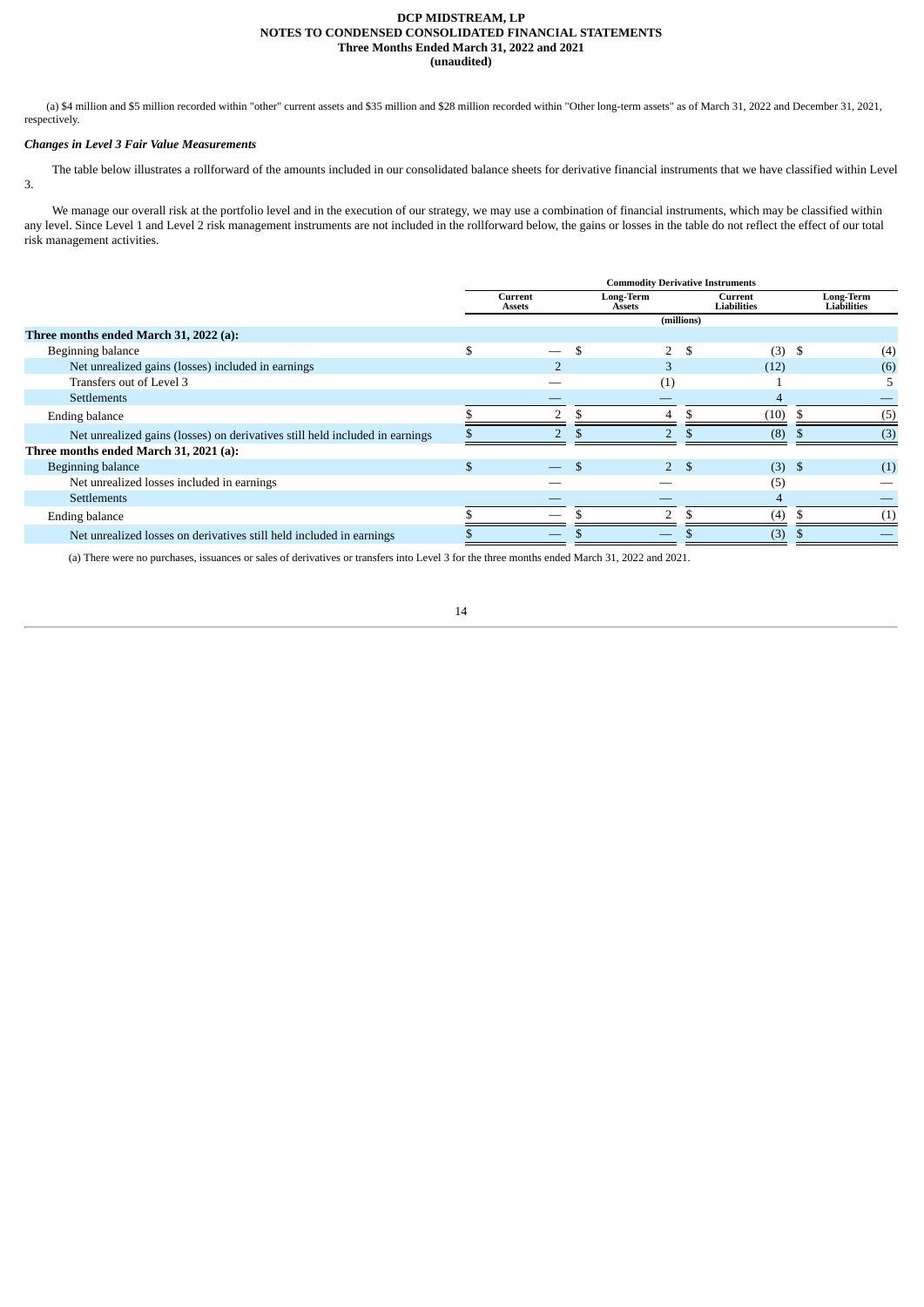(a) \$4 million and \$5 million recorded within "other" current assets and \$35 million and \$28 million recorded within "Other long-term assets" as of March 31, 2022 and December 31, 2021, respectively.

# *Changes in Level 3 Fair Value Measurements*

The table below illustrates a rollforward of the amounts included in our consolidated balance sheets for derivative financial instruments that we have classified within Level 3.

We manage our overall risk at the portfolio level and in the execution of our strategy, we may use a combination of financial instruments, which may be classified within any level. Since Level 1 and Level 2 risk management instruments are not included in the rollforward below, the gains or losses in the table do not reflect the effect of our total risk management activities.

|                                                                              |                          |                                                                                                 | <b>Commodity Derivative Instruments</b> |     |      |    |     |
|------------------------------------------------------------------------------|--------------------------|-------------------------------------------------------------------------------------------------|-----------------------------------------|-----|------|----|-----|
|                                                                              | Current<br><b>Assets</b> | <b>Long-Term<br/>Liabilities</b><br><b>Long-Term</b><br>Current<br><b>Liabilities</b><br>Assets |                                         |     |      |    |     |
|                                                                              |                          |                                                                                                 | (millions)                              |     |      |    |     |
| Three months ended March 31, 2022 (a):                                       |                          |                                                                                                 |                                         |     |      |    |     |
| Beginning balance                                                            |                          |                                                                                                 | $\overline{2}$                          | -\$ | (3)  | \$ | (4) |
| Net unrealized gains (losses) included in earnings                           |                          |                                                                                                 |                                         |     | (12) |    | (6) |
| Transfers out of Level 3                                                     |                          |                                                                                                 | (1)                                     |     |      |    |     |
| Settlements                                                                  |                          |                                                                                                 |                                         |     |      |    |     |
| Ending balance                                                               |                          |                                                                                                 |                                         |     | (10) |    | (5  |
| Net unrealized gains (losses) on derivatives still held included in earnings |                          |                                                                                                 |                                         |     | (8)  |    | (3) |
| Three months ended March 31, 2021 (a):                                       |                          |                                                                                                 |                                         |     |      |    |     |
| Beginning balance                                                            |                          |                                                                                                 | $2^{\circ}$                             | -\$ | (3)  | -S | (1) |
| Net unrealized losses included in earnings                                   |                          |                                                                                                 |                                         |     | (5)  |    |     |
| Settlements                                                                  |                          |                                                                                                 |                                         |     |      |    |     |
| Ending balance                                                               |                          |                                                                                                 |                                         |     | (4)  |    | (1) |
| Net unrealized losses on derivatives still held included in earnings         |                          |                                                                                                 |                                         |     | (3)  |    |     |
|                                                                              |                          |                                                                                                 |                                         |     |      |    |     |

(a) There were no purchases, issuances or sales of derivatives or transfers into Level 3 for the three months ended March 31, 2022 and 2021.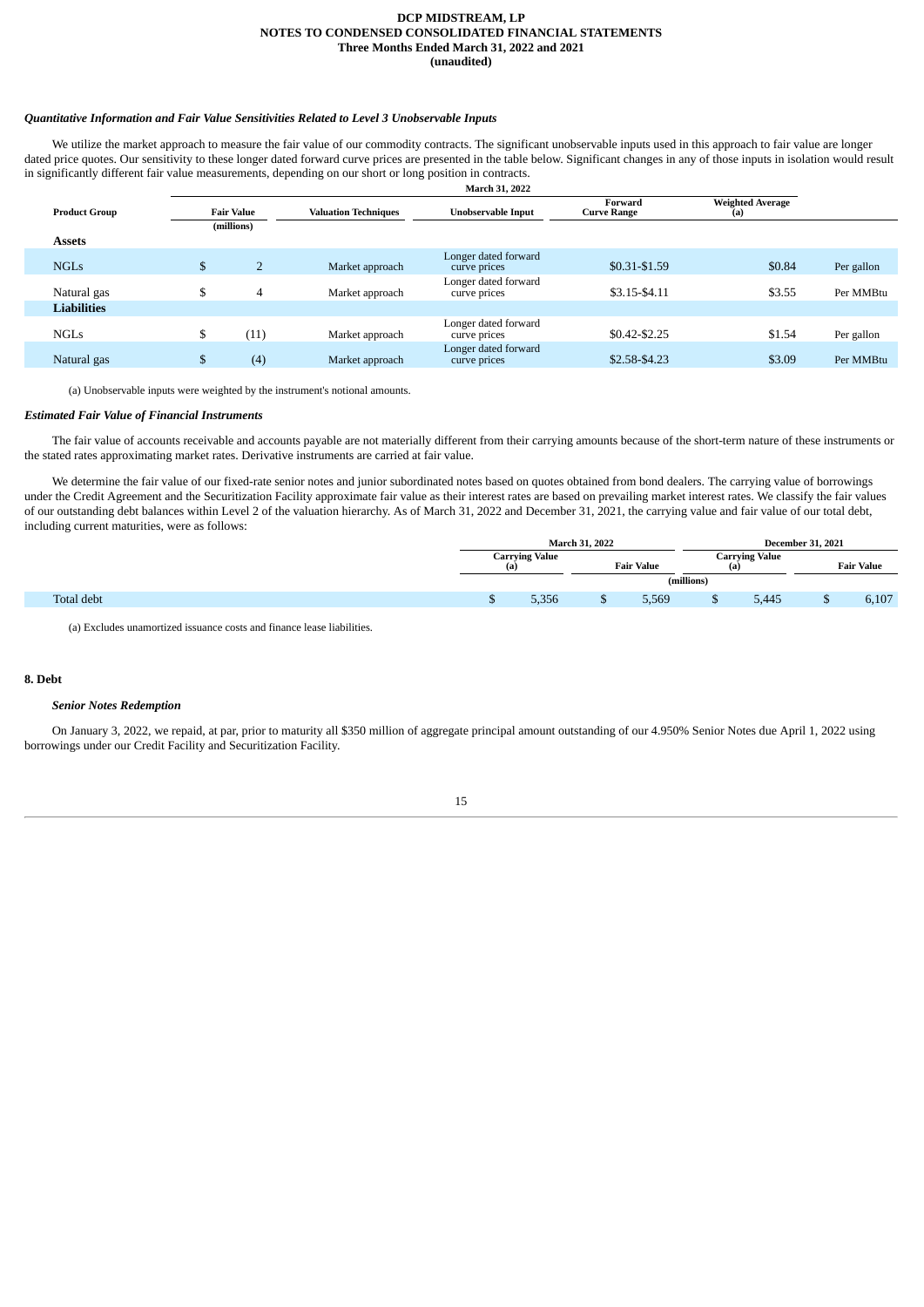# *Quantitative Information and Fair Value Sensitivities Related to Level 3 Unobservable Inputs*

We utilize the market approach to measure the fair value of our commodity contracts. The significant unobservable inputs used in this approach to fair value are longer dated price quotes. Our sensitivity to these longer dated forward curve prices are presented in the table below. Significant changes in any of those inputs in isolation would result in significantly different fair value measurements, depending on our short or long position in contracts. **March 31, 2022**

| <b>Product Group</b> | <b>Fair Value</b> |                | <b>Valuation Techniques</b> | <b>Unobservable Input</b>            | Forward<br><b>Curve Range</b> | <b>Weighted Average</b><br>(a) |            |
|----------------------|-------------------|----------------|-----------------------------|--------------------------------------|-------------------------------|--------------------------------|------------|
|                      |                   | (millions)     |                             |                                      |                               |                                |            |
| <b>Assets</b>        |                   |                |                             |                                      |                               |                                |            |
| <b>NGLs</b>          | ЭD.               | $\overline{2}$ | Market approach             | Longer dated forward<br>curve prices | $$0.31 - $1.59$               | \$0.84                         | Per gallon |
| Natural gas          |                   | 4              | Market approach             | Longer dated forward<br>curve prices | \$3.15-\$4.11                 | \$3.55                         | Per MMBtu  |
| <b>Liabilities</b>   |                   |                |                             |                                      |                               |                                |            |
| <b>NGLs</b>          |                   | (11)           | Market approach             | Longer dated forward<br>curve prices | $$0.42 - $2.25$               | \$1.54                         | Per gallon |
| Natural gas          | \$                | (4)            | Market approach             | Longer dated forward<br>curve prices | \$2.58-\$4.23                 | \$3.09                         | Per MMBtu  |

(a) Unobservable inputs were weighted by the instrument's notional amounts.

# *Estimated Fair Value of Financial Instruments*

The fair value of accounts receivable and accounts payable are not materially different from their carrying amounts because of the short-term nature of these instruments or the stated rates approximating market rates. Derivative instruments are carried at fair value.

We determine the fair value of our fixed-rate senior notes and junior subordinated notes based on quotes obtained from bond dealers. The carrying value of borrowings under the Credit Agreement and the Securitization Facility approximate fair value as their interest rates are based on prevailing market interest rates. We classify the fair values of our outstanding debt balances within Level 2 of the valuation hierarchy. As of March 31, 2022 and December 31, 2021, the carrying value and fair value of our total debt, including current maturities, were as follows:

|            |                              | March 31, 2022    |            |                       | <b>December 31, 2021</b> |       |  |  |
|------------|------------------------------|-------------------|------------|-----------------------|--------------------------|-------|--|--|
|            | <b>Carrying Value</b><br>(a) | <b>Fair Value</b> |            | Carrying Value<br>(a) | <b>Fair Value</b>        |       |  |  |
|            |                              |                   | (millions) |                       |                          |       |  |  |
| Total debt | 5,356                        | 5,569             |            | 5,445                 |                          | 6,107 |  |  |
|            |                              |                   |            |                       |                          |       |  |  |

(a) Excludes unamortized issuance costs and finance lease liabilities.

# <span id="page-18-0"></span>**8. Debt**

# *Senior Notes Redemption*

On January 3, 2022, we repaid, at par, prior to maturity all \$350 million of aggregate principal amount outstanding of our 4.950% Senior Notes due April 1, 2022 using borrowings under our Credit Facility and Securitization Facility.

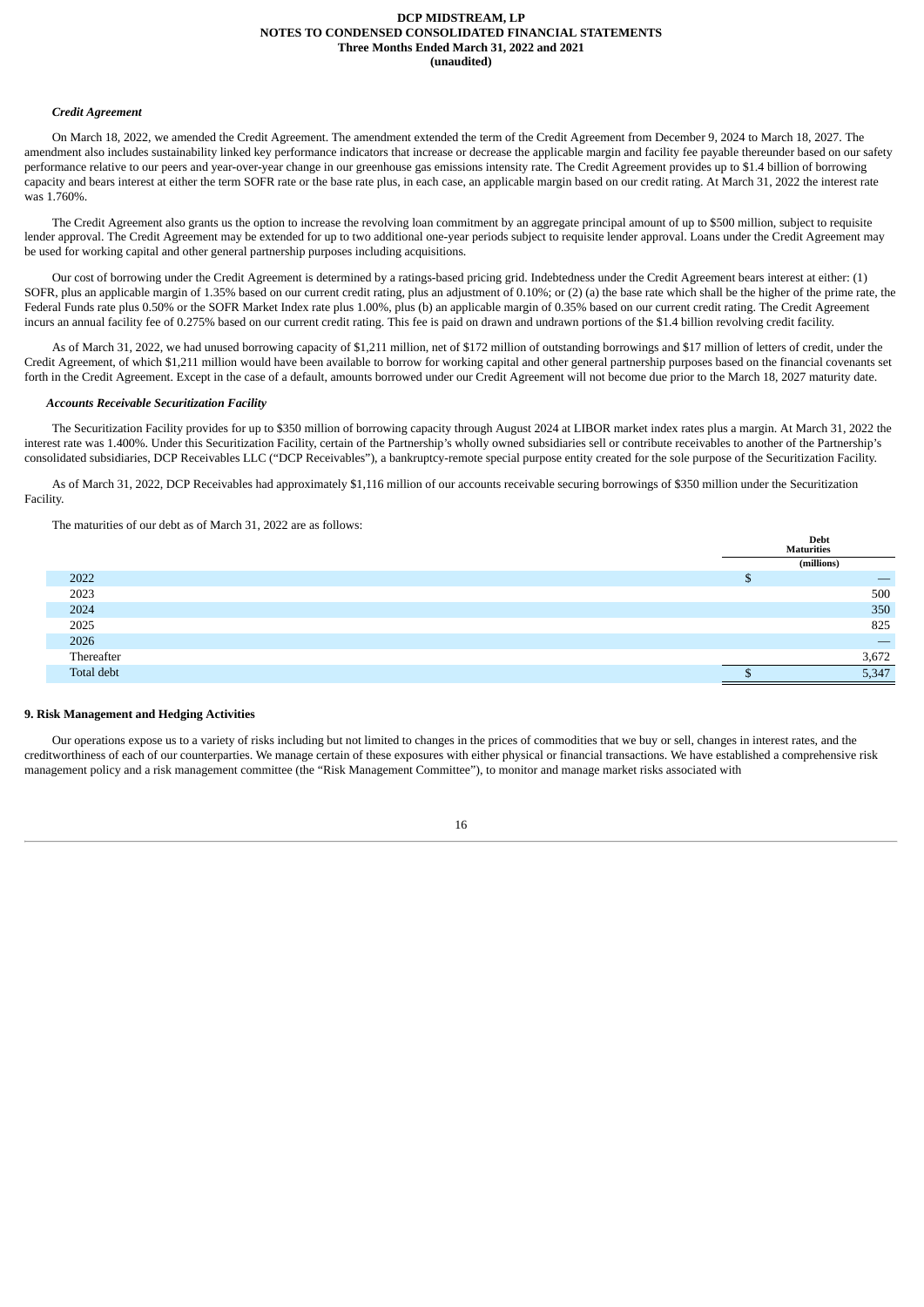# *Credit Agreement*

On March 18, 2022, we amended the Credit Agreement. The amendment extended the term of the Credit Agreement from December 9, 2024 to March 18, 2027. The amendment also includes sustainability linked key performance indicators that increase or decrease the applicable margin and facility fee payable thereunder based on our safety performance relative to our peers and year-over-year change in our greenhouse gas emissions intensity rate. The Credit Agreement provides up to \$1.4 billion of borrowing capacity and bears interest at either the term SOFR rate or the base rate plus, in each case, an applicable margin based on our credit rating. At March 31, 2022 the interest rate was 1.760%.

The Credit Agreement also grants us the option to increase the revolving loan commitment by an aggregate principal amount of up to \$500 million, subject to requisite lender approval. The Credit Agreement may be extended for up to two additional one-year periods subject to requisite lender approval. Loans under the Credit Agreement may be used for working capital and other general partnership purposes including acquisitions.

Our cost of borrowing under the Credit Agreement is determined by a ratings-based pricing grid. Indebtedness under the Credit Agreement bears interest at either: (1) SOFR, plus an applicable margin of 1.35% based on our current credit rating, plus an adjustment of 0.10%; or (2) (a) the base rate which shall be the higher of the prime rate, the Federal Funds rate plus 0.50% or the SOFR Market Index rate plus 1.00%, plus (b) an applicable margin of 0.35% based on our current credit rating. The Credit Agreement incurs an annual facility fee of 0.275% based on our current credit rating. This fee is paid on drawn and undrawn portions of the \$1.4 billion revolving credit facility.

As of March 31, 2022, we had unused borrowing capacity of \$1,211 million, net of \$172 million of outstanding borrowings and \$17 million of letters of credit, under the Credit Agreement, of which \$1,211 million would have been available to borrow for working capital and other general partnership purposes based on the financial covenants set forth in the Credit Agreement. Except in the case of a default, amounts borrowed under our Credit Agreement will not become due prior to the March 18, 2027 maturity date.

#### *Accounts Receivable Securitization Facility*

The Securitization Facility provides for up to \$350 million of borrowing capacity through August 2024 at LIBOR market index rates plus a margin. At March 31, 2022 the interest rate was 1.400%. Under this Securitization Facility, certain of the Partnership's wholly owned subsidiaries sell or contribute receivables to another of the Partnership's consolidated subsidiaries, DCP Receivables LLC ("DCP Receivables"), a bankruptcy-remote special purpose entity created for the sole purpose of the Securitization Facility.

As of March 31, 2022, DCP Receivables had approximately \$1,116 million of our accounts receivable securing borrowings of \$350 million under the Securitization Facility.

The maturities of our debt as of March 31, 2022 are as follows:

|            | Debt<br><b>Maturities</b> |
|------------|---------------------------|
|            | (millions)                |
| 2022       | _                         |
| 2023       | 500                       |
| 2024       | 350                       |
| 2025       | 825                       |
| 2026       |                           |
| Thereafter | 3,672                     |
| Total debt | 5,347                     |

#### **9. Risk Management and Hedging Activities**

Our operations expose us to a variety of risks including but not limited to changes in the prices of commodities that we buy or sell, changes in interest rates, and the creditworthiness of each of our counterparties. We manage certain of these exposures with either physical or financial transactions. We have established a comprehensive risk management policy and a risk management committee (the "Risk Management Committee"), to monitor and manage market risks associated with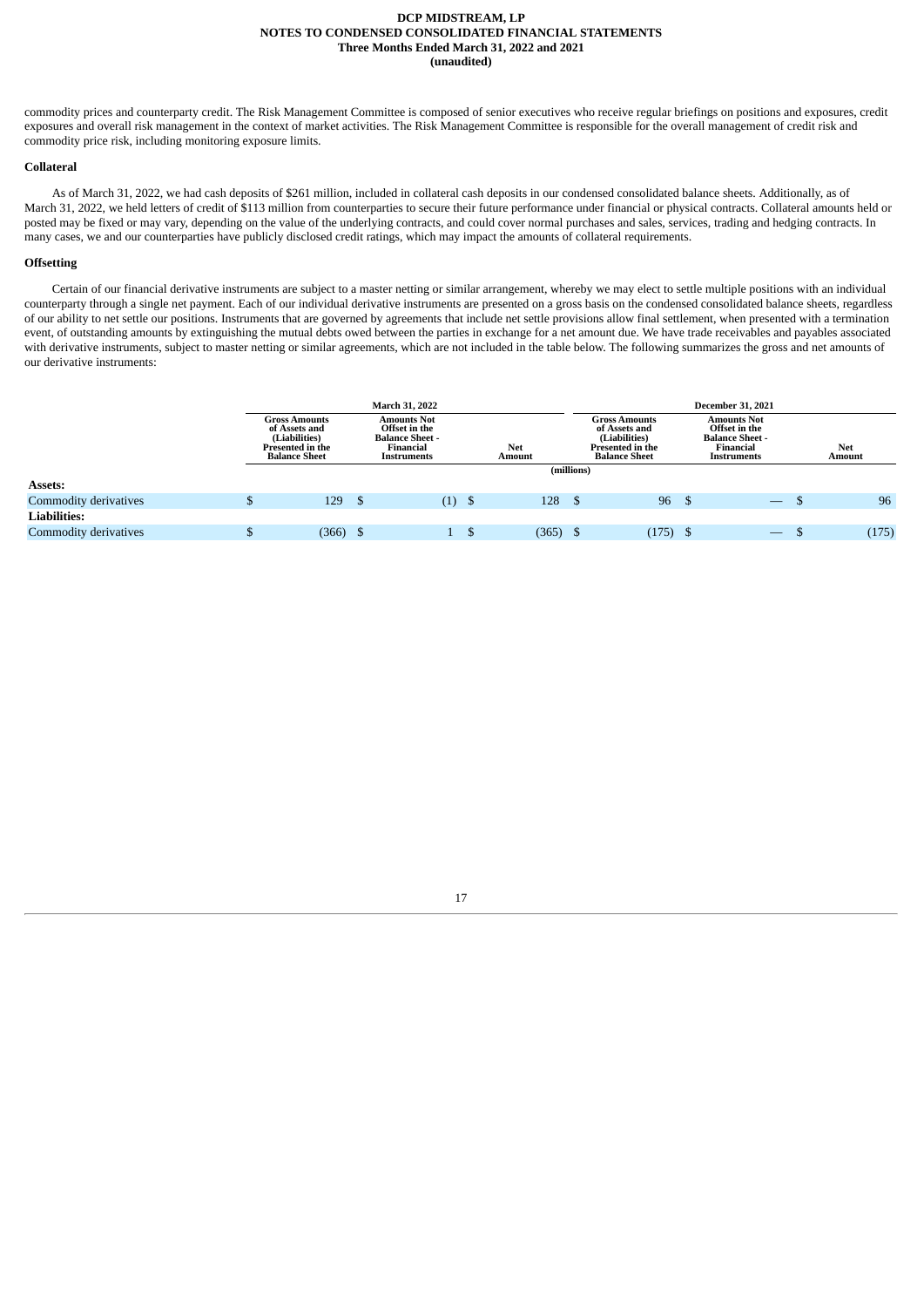commodity prices and counterparty credit. The Risk Management Committee is composed of senior executives who receive regular briefings on positions and exposures, credit exposures and overall risk management in the context of market activities. The Risk Management Committee is responsible for the overall management of credit risk and commodity price risk, including monitoring exposure limits.

# **Collateral**

As of March 31, 2022, we had cash deposits of \$261 million, included in collateral cash deposits in our condensed consolidated balance sheets. Additionally, as of March 31, 2022, we held letters of credit of \$113 million from counterparties to secure their future performance under financial or physical contracts. Collateral amounts held or posted may be fixed or may vary, depending on the value of the underlying contracts, and could cover normal purchases and sales, services, trading and hedging contracts. In many cases, we and our counterparties have publicly disclosed credit ratings, which may impact the amounts of collateral requirements.

# **Offsetting**

Certain of our financial derivative instruments are subject to a master netting or similar arrangement, whereby we may elect to settle multiple positions with an individual counterparty through a single net payment. Each of our individual derivative instruments are presented on a gross basis on the condensed consolidated balance sheets, regardless of our ability to net settle our positions. Instruments that are governed by agreements that include net settle provisions allow final settlement, when presented with a termination event, of outstanding amounts by extinguishing the mutual debts owed between the parties in exchange for a net amount due. We have trade receivables and payables associated with derivative instruments, subject to master netting or similar agreements, which are not included in the table below. The following summarizes the gross and net amounts of our derivative instruments:

|                       |                                                                                                    | March 31, 2022                                                                                   |      |               |            |                                                                                                    | <b>December 31, 2021</b>                                                                         |   |                      |
|-----------------------|----------------------------------------------------------------------------------------------------|--------------------------------------------------------------------------------------------------|------|---------------|------------|----------------------------------------------------------------------------------------------------|--------------------------------------------------------------------------------------------------|---|----------------------|
|                       | <b>Gross Amounts</b><br>of Assets and<br>(Liabilities)<br>Presented in the<br><b>Balance Sheet</b> | <b>Amounts Not</b><br>Offset in the<br><b>Balance Sheet -</b><br>Financial<br><b>Instruments</b> |      | Net<br>Amount |            | <b>Gross Amounts</b><br>of Assets and<br>(Liabilities)<br>Presented in the<br><b>Balance Sheet</b> | <b>Amounts Not</b><br>Offset in the<br><b>Balance Sheet -</b><br>Financial<br><b>Instruments</b> |   | <b>Net</b><br>Amount |
|                       |                                                                                                    |                                                                                                  |      |               | (millions) |                                                                                                    |                                                                                                  |   |                      |
| Assets:               |                                                                                                    |                                                                                                  |      |               |            |                                                                                                    |                                                                                                  |   |                      |
| Commodity derivatives | 129                                                                                                | (1)                                                                                              | - \$ | 128           | - 55       | 96                                                                                                 | $\overline{\phantom{m}}$                                                                         | D | 96                   |
| <b>Liabilities:</b>   |                                                                                                    |                                                                                                  |      |               |            |                                                                                                    |                                                                                                  |   |                      |
| Commodity derivatives | (366)                                                                                              |                                                                                                  | Ъ    | (365)         | - 56       | (175)                                                                                              | $\overline{\phantom{m}}$                                                                         |   | (175)                |

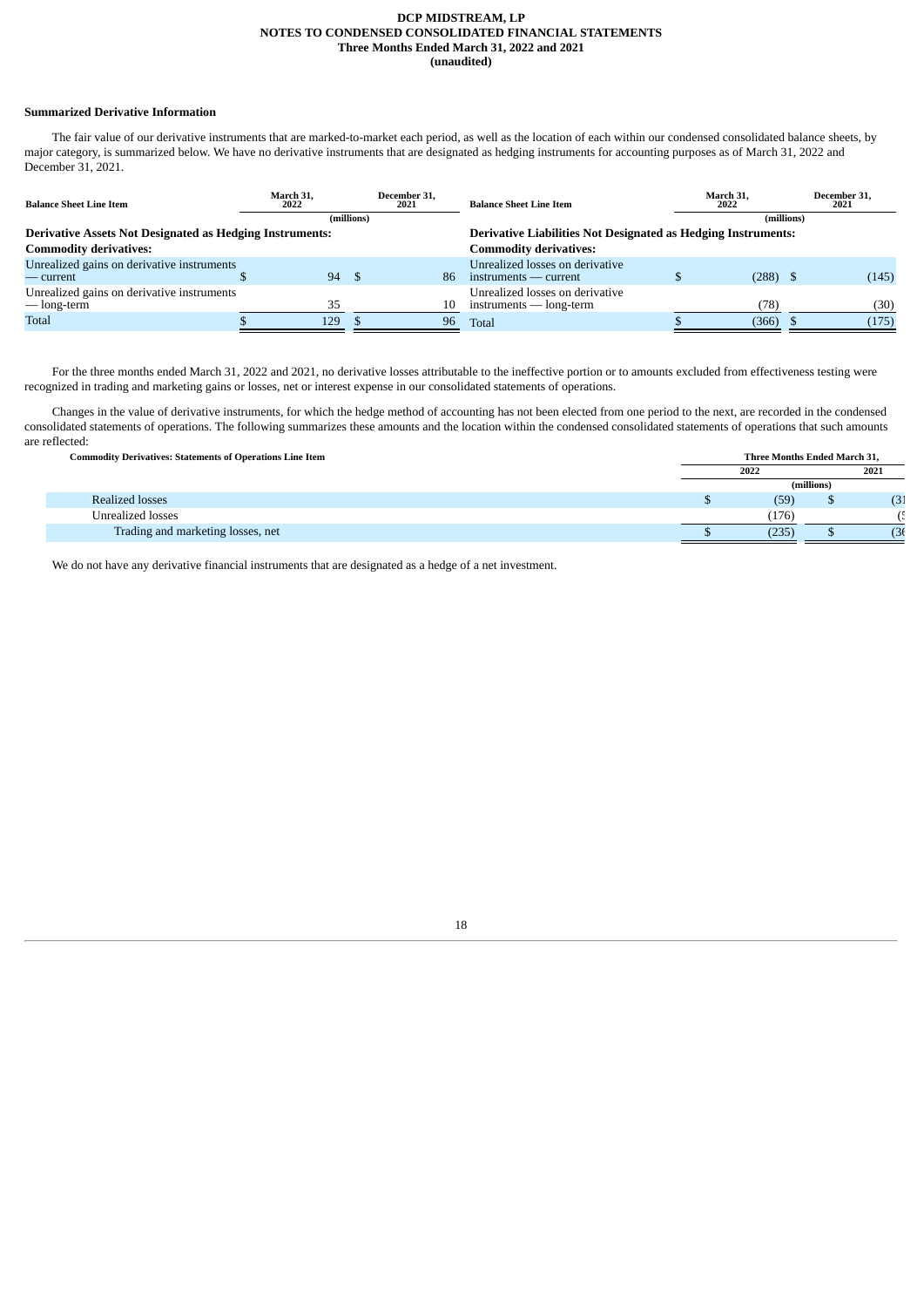# **Summarized Derivative Information**

The fair value of our derivative instruments that are marked-to-market each period, as well as the location of each within our condensed consolidated balance sheets, by major category, is summarized below. We have no derivative instruments that are designated as hedging instruments for accounting purposes as of March 31, 2022 and December 31, 2021.

| <b>Balance Sheet Line Item</b>                                                                                                          | March 31.<br>2022 | December 31,<br>2021 | <b>Balance Sheet Line Item</b>                                  | March 31.<br>2022 | December 31,<br>2021 |  |  |
|-----------------------------------------------------------------------------------------------------------------------------------------|-------------------|----------------------|-----------------------------------------------------------------|-------------------|----------------------|--|--|
|                                                                                                                                         |                   | (millions)           |                                                                 | (millions)        |                      |  |  |
| <b>Derivative Liabilities Not Designated as Hedging Instruments:</b><br><b>Derivative Assets Not Designated as Hedging Instruments:</b> |                   |                      |                                                                 |                   |                      |  |  |
| <b>Commodity derivatives:</b>                                                                                                           |                   |                      | <b>Commodity derivatives:</b>                                   |                   |                      |  |  |
| Unrealized gains on derivative instruments<br>— current                                                                                 | 94                | 86<br>- \$           | Unrealized losses on derivative<br>$instruments$ — current      | $(288)$ \$        | (145)                |  |  |
| Unrealized gains on derivative instruments<br>— long-term                                                                               | 35                | 10                   | Unrealized losses on derivative<br>$in$ struments — $long-term$ | (78)              | (30)                 |  |  |
| Total                                                                                                                                   | 129               | 96                   | <b>Total</b>                                                    | $(366)$ \$        | (175)                |  |  |

For the three months ended March 31, 2022 and 2021, no derivative losses attributable to the ineffective portion or to amounts excluded from effectiveness testing were recognized in trading and marketing gains or losses, net or interest expense in our consolidated statements of operations.

Changes in the value of derivative instruments, for which the hedge method of accounting has not been elected from one period to the next, are recorded in the condensed consolidated statements of operations. The following summarizes these amounts and the location within the condensed consolidated statements of operations that such amounts are reflected:

| <b>Commodity Derivatives: Statements of Operations Line Item</b> | <b>Three Months Ended March 31.</b> |       |            |      |
|------------------------------------------------------------------|-------------------------------------|-------|------------|------|
|                                                                  |                                     | 2022  |            | 2021 |
|                                                                  |                                     |       | (millions) |      |
| Realized losses                                                  |                                     | (59)  |            | (31) |
| Unrealized losses                                                |                                     | (176) |            | Œ    |
| Trading and marketing losses, net                                |                                     | (235) |            | (36) |

We do not have any derivative financial instruments that are designated as a hedge of a net investment.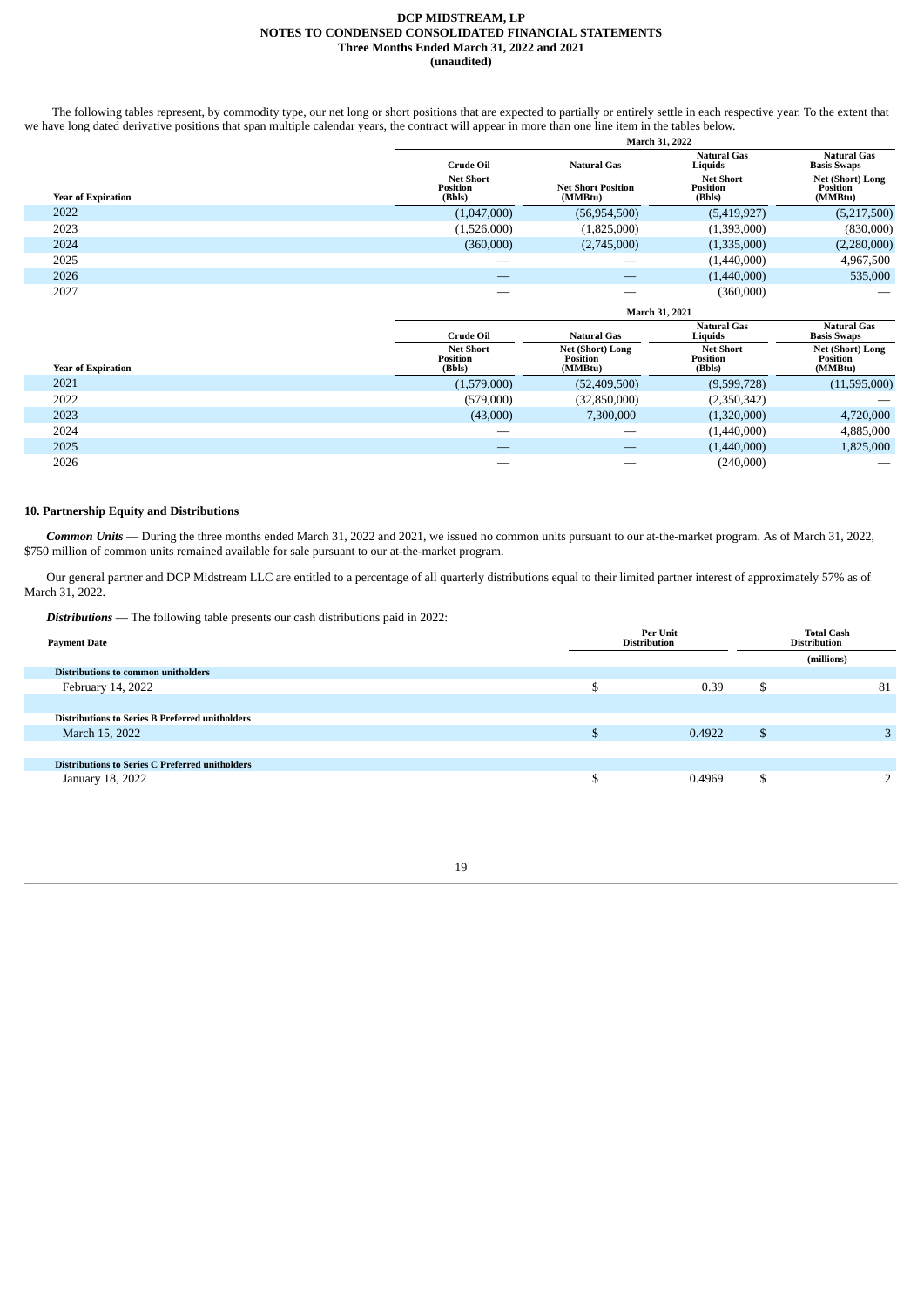The following tables represent, by commodity type, our net long or short positions that are expected to partially or entirely settle in each respective year. To the extent that we have long dated derivative positions that span multiple calendar years, the contract will appear in more than one line item in the tables below.

|                           | .                                             |                                      |                                               |                                          |
|---------------------------|-----------------------------------------------|--------------------------------------|-----------------------------------------------|------------------------------------------|
|                           |                                               |                                      | <b>March 31, 2022</b>                         |                                          |
|                           | <b>Crude Oil</b>                              | <b>Natural Gas</b>                   | <b>Natural Gas</b><br>Liquids                 | <b>Natural Gas</b><br><b>Basis Swaps</b> |
| <b>Year of Expiration</b> | <b>Net Short</b><br><b>Position</b><br>(Bbls) | <b>Net Short Position</b><br>(MMBtu) | <b>Net Short</b><br><b>Position</b><br>(Bbls) | Net (Short) Long<br>Position<br>(MMBtu)  |
| 2022                      | (1,047,000)                                   | (56, 954, 500)                       | (5,419,927)                                   | (5,217,500)                              |
| 2023                      | (1,526,000)                                   | (1,825,000)                          | (1,393,000)                                   | (830,000)                                |
| 2024                      | (360,000)                                     | (2,745,000)                          | (1,335,000)                                   | (2,280,000)                              |
| 2025                      | _                                             | _                                    | (1,440,000)                                   | 4,967,500                                |
| 2026                      |                                               |                                      | (1,440,000)                                   | 535,000                                  |
| 2027                      |                                               |                                      | (360,000)                                     |                                          |

|                           |                                               | March 31, 2021                          |                                               |                                                |  |  |  |  |  |  |
|---------------------------|-----------------------------------------------|-----------------------------------------|-----------------------------------------------|------------------------------------------------|--|--|--|--|--|--|
|                           | <b>Crude Oil</b>                              | <b>Natural Gas</b>                      | <b>Natural Gas</b><br>Liquids                 | <b>Natural Gas</b><br><b>Basis Swaps</b>       |  |  |  |  |  |  |
| <b>Year of Expiration</b> | <b>Net Short</b><br><b>Position</b><br>(Bbls) | Net (Short) Long<br>Position<br>(MMBtu) | <b>Net Short</b><br><b>Position</b><br>(Bbls) | Net (Short) Long<br><b>Position</b><br>(MMBtu) |  |  |  |  |  |  |
| 2021                      | (1,579,000)                                   | (52, 409, 500)                          | (9,599,728)                                   | (11,595,000)                                   |  |  |  |  |  |  |
| 2022                      | (579,000)                                     | (32,850,000)                            | (2,350,342)                                   | --                                             |  |  |  |  |  |  |
| 2023                      | (43,000)                                      | 7,300,000                               | (1,320,000)                                   | 4,720,000                                      |  |  |  |  |  |  |
| 2024                      | __                                            |                                         | (1,440,000)                                   | 4,885,000                                      |  |  |  |  |  |  |
| 2025                      |                                               |                                         | (1,440,000)                                   | 1,825,000                                      |  |  |  |  |  |  |
| 2026                      |                                               |                                         | (240,000)                                     |                                                |  |  |  |  |  |  |

# <span id="page-22-0"></span>**10. Partnership Equity and Distributions**

*Common Units* — During the three months ended March 31, 2022 and 2021, we issued no common units pursuant to our at-the-market program. As of March 31, 2022, \$750 million of common units remained available for sale pursuant to our at-the-market program.

Our general partner and DCP Midstream LLC are entitled to a percentage of all quarterly distributions equal to their limited partner interest of approximately 57% as of March 31, 2022.

*Distributions* — The following table presents our cash distributions paid in 2022:

| <b>Payment Date</b>                                    | <b>Per Unit</b><br><b>Distribution</b> | <b>Total Cash</b><br><b>Distribution</b> |            |  |
|--------------------------------------------------------|----------------------------------------|------------------------------------------|------------|--|
|                                                        |                                        |                                          | (millions) |  |
| <b>Distributions to common unitholders</b>             |                                        |                                          |            |  |
| February 14, 2022                                      | 0.39                                   | -S                                       | 81         |  |
|                                                        |                                        |                                          |            |  |
| <b>Distributions to Series B Preferred unitholders</b> |                                        |                                          |            |  |
| March 15, 2022                                         | 0.4922                                 | \$.                                      |            |  |
|                                                        |                                        |                                          |            |  |
| <b>Distributions to Series C Preferred unitholders</b> |                                        |                                          |            |  |
| January 18, 2022                                       | 0.4969                                 | ٨l                                       | C.         |  |

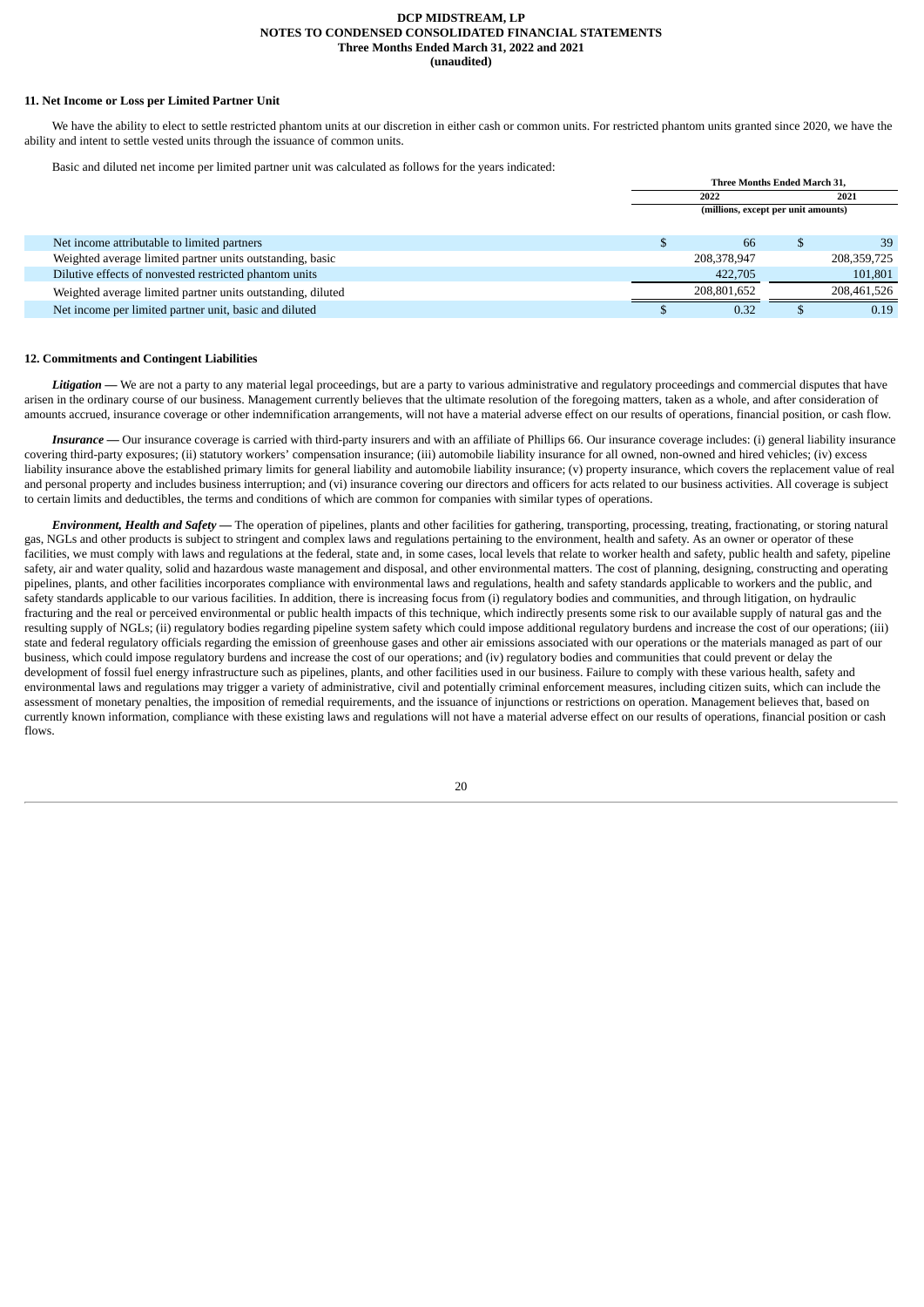#### **11. Net Income or Loss per Limited Partner Unit**

We have the ability to elect to settle restricted phantom units at our discretion in either cash or common units. For restricted phantom units granted since 2020, we have the ability and intent to settle vested units through the issuance of common units.

Basic and diluted net income per limited partner unit was calculated as follows for the years indicated:

|                                                             | Three Months Ended March 31. |                                     |  |             |  |
|-------------------------------------------------------------|------------------------------|-------------------------------------|--|-------------|--|
|                                                             |                              | 2022<br>2021                        |  |             |  |
|                                                             |                              | (millions, except per unit amounts) |  |             |  |
|                                                             |                              |                                     |  |             |  |
| Net income attributable to limited partners                 |                              | 66                                  |  | 39          |  |
| Weighted average limited partner units outstanding, basic   |                              | 208,378,947                         |  | 208,359,725 |  |
| Dilutive effects of nonvested restricted phantom units      |                              | 422,705                             |  | 101,801     |  |
| Weighted average limited partner units outstanding, diluted |                              | 208,801,652                         |  | 208,461,526 |  |
| Net income per limited partner unit, basic and diluted      |                              | 0.32                                |  | 0.19        |  |

#### <span id="page-23-0"></span>**12. Commitments and Contingent Liabilities**

Litigation — We are not a party to any material legal proceedings, but are a party to various administrative and regulatory proceedings and commercial disputes that have arisen in the ordinary course of our business. Management currently believes that the ultimate resolution of the foregoing matters, taken as a whole, and after consideration of amounts accrued, insurance coverage or other indemnification arrangements, will not have a material adverse effect on our results of operations, financial position, or cash flow.

*Insurance* — Our insurance coverage is carried with third-party insurers and with an affiliate of Phillips 66. Our insurance coverage includes: (i) general liability insurance covering third-party exposures; (ii) statutory workers' compensation insurance; (iii) automobile liability insurance for all owned, non-owned and hired vehicles; (iv) excess liability insurance above the established primary limits for general liability and automobile liability insurance; (y) property insurance, which covers the replacement value of real and personal property and includes business interruption; and (vi) insurance covering our directors and officers for acts related to our business activities. All coverage is subject to certain limits and deductibles, the terms and conditions of which are common for companies with similar types of operations.

*Environment, Health and Safety —* The operation of pipelines, plants and other facilities for gathering, transporting, processing, treating, fractionating, or storing natural gas, NGLs and other products is subject to stringent and complex laws and regulations pertaining to the environment, health and safety. As an owner or operator of these facilities, we must comply with laws and regulations at the federal, state and, in some cases, local levels that relate to worker health and safety, public health and safety, pipeline safety, air and water quality, solid and hazardous waste management and disposal, and other environmental matters. The cost of planning, designing, constructing and operating pipelines, plants, and other facilities incorporates compliance with environmental laws and regulations, health and safety standards applicable to workers and the public, and safety standards applicable to our various facilities. In addition, there is increasing focus from (i) regulatory bodies and communities, and through litigation, on hydraulic fracturing and the real or perceived environmental or public health impacts of this technique, which indirectly presents some risk to our available supply of natural gas and the resulting supply of NGLs; (ii) regulatory bodies regarding pipeline system safety which could impose additional regulatory burdens and increase the cost of our operations; (iii) state and federal regulatory officials regarding the emission of greenhouse gases and other air emissions associated with our operations or the materials managed as part of our business, which could impose regulatory burdens and increase the cost of our operations; and (iv) regulatory bodies and communities that could prevent or delay the development of fossil fuel energy infrastructure such as pipelines, plants, and other facilities used in our business. Failure to comply with these various health, safety and environmental laws and regulations may trigger a variety of administrative, civil and potentially criminal enforcement measures, including citizen suits, which can include the assessment of monetary penalties, the imposition of remedial requirements, and the issuance of injunctions or restrictions on operation. Management believes that, based on currently known information, compliance with these existing laws and regulations will not have a material adverse effect on our results of operations, financial position or cash flows.

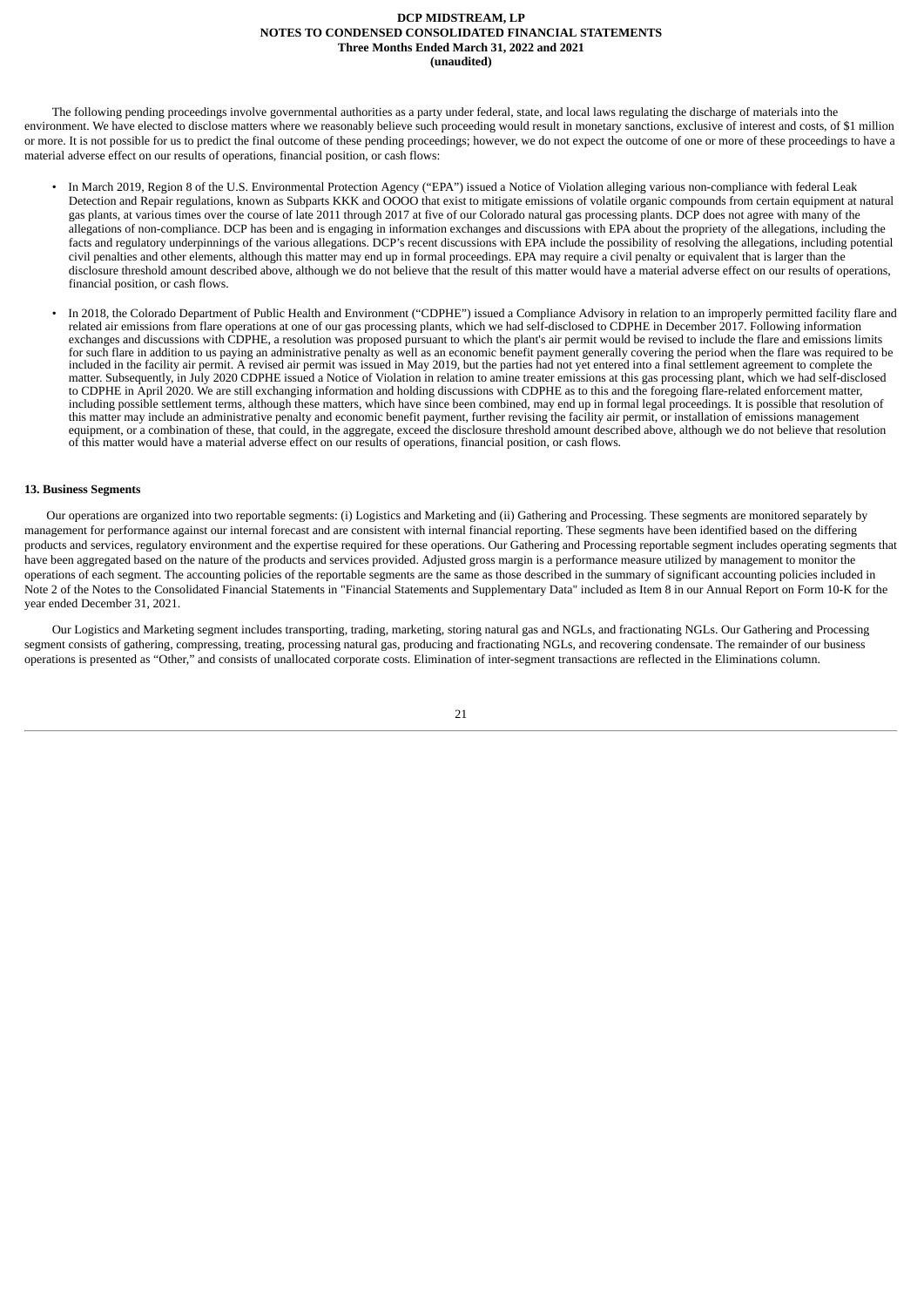The following pending proceedings involve governmental authorities as a party under federal, state, and local laws regulating the discharge of materials into the environment. We have elected to disclose matters where we reasonably believe such proceeding would result in monetary sanctions, exclusive of interest and costs, of \$1 million or more. It is not possible for us to predict the final outcome of these pending proceedings; however, we do not expect the outcome of one or more of these proceedings to have a material adverse effect on our results of operations, financial position, or cash flows:

- In March 2019, Region 8 of the U.S. Environmental Protection Agency ("EPA") issued a Notice of Violation alleging various non-compliance with federal Leak Detection and Repair regulations, known as Subparts KKK and OOOO that exist to mitigate emissions of volatile organic compounds from certain equipment at natural gas plants, at various times over the course of late 2011 through 2017 at five of our Colorado natural gas processing plants. DCP does not agree with many of the allegations of non-compliance. DCP has been and is engaging in information exchanges and discussions with EPA about the propriety of the allegations, including the facts and regulatory underpinnings of the various allegations. DCP's recent discussions with EPA include the possibility of resolving the allegations, including potential civil penalties and other elements, although this matter may end up in formal proceedings. EPA may require a civil penalty or equivalent that is larger than the disclosure threshold amount described above, although we do not believe that the result of this matter would have a material adverse effect on our results of operations, financial position, or cash flows.
- In 2018, the Colorado Department of Public Health and Environment ("CDPHE") issued a Compliance Advisory in relation to an improperly permitted facility flare and related air emissions from flare operations at one of our gas processing plants, which we had self-disclosed to CDPHE in December 2017. Following information exchanges and discussions with CDPHE, a resolution was proposed pursuant to which the plant's air permit would be revised to include the flare and emissions limits for such flare in addition to us paying an administrative penalty as well as an economic benefit payment generally covering the period when the flare was required to be included in the facility air permit. A revised air permit was issued in May 2019, but the parties had not yet entered into a final settlement agreement to complete the matter. Subsequently, in July 2020 CDPHE issued a Notice of Violation in relation to amine treater emissions at this gas processing plant, which we had self-disclosed to CDPHE in April 2020. We are still exchanging information and holding discussions with CDPHE as to this and the foregoing flare-related enforcement matter, including possible settlement terms, although these matters, which have since been combined, may end up in formal legal proceedings. It is possible that resolution of this matter may include an administrative penalty and economic benefit payment, further revising the facility air permit, or installation of emissions management equipment, or a combination of these, that could, in the aggregate, exceed the disclosure threshold amount described above, although we do not believe that resolution of this matter would have a material adverse effect on our results of operations, financial position, or cash flows.

#### <span id="page-24-0"></span>**13. Business Segments**

Our operations are organized into two reportable segments: (i) Logistics and Marketing and (ii) Gathering and Processing. These segments are monitored separately by management for performance against our internal forecast and are consistent with internal financial reporting. These segments have been identified based on the differing products and services, regulatory environment and the expertise required for these operations. Our Gathering and Processing reportable segment includes operating segments that have been aggregated based on the nature of the products and services provided. Adjusted gross margin is a performance measure utilized by management to monitor the operations of each segment. The accounting policies of the reportable segments are the same as those described in the summary of significant accounting policies included in Note 2 of the Notes to the Consolidated Financial Statements in "Financial Statements and Supplementary Data" included as Item 8 in our Annual Report on Form 10-K for the year ended December 31, 2021.

Our Logistics and Marketing segment includes transporting, trading, marketing, storing natural gas and NGLs, and fractionating NGLs. Our Gathering and Processing segment consists of gathering, compressing, treating, processing natural gas, producing and fractionating NGLs, and recovering condensate. The remainder of our business operations is presented as "Other," and consists of unallocated corporate costs. Elimination of inter-segment transactions are reflected in the Eliminations column.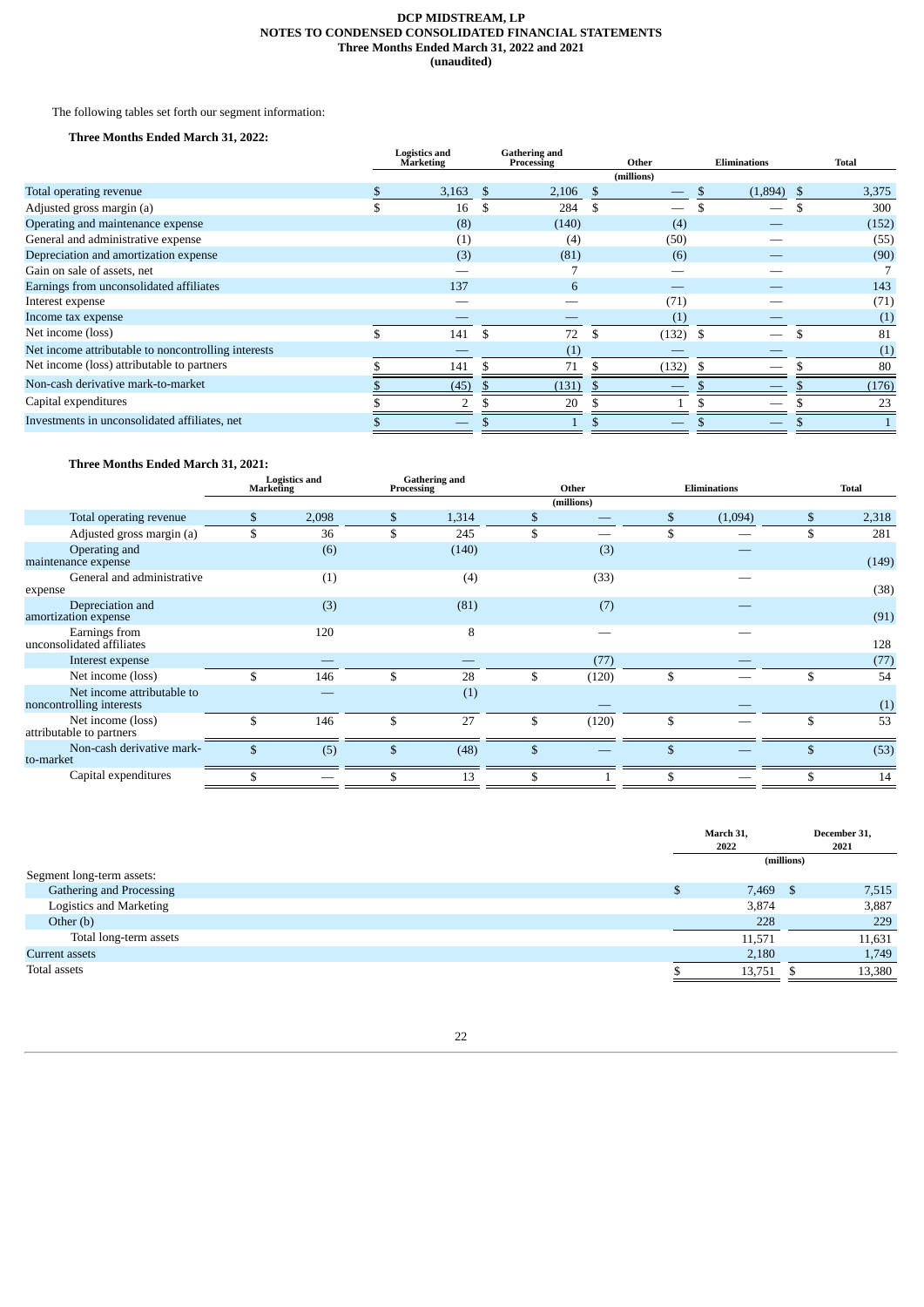The following tables set forth our segment information:

**Three Months Ended March 31, 2022:**

| Three months Ended march 91, 2022.                  |                                                                         |     |                   |                     |            |              |         |    |       |
|-----------------------------------------------------|-------------------------------------------------------------------------|-----|-------------------|---------------------|------------|--------------|---------|----|-------|
|                                                     | <b>Logistics and</b><br><b>Gathering and</b><br>Marketing<br>Processing |     | Other             | <b>Eliminations</b> |            | <b>Total</b> |         |    |       |
|                                                     |                                                                         |     |                   |                     | (millions) |              |         |    |       |
| Total operating revenue                             | 3,163                                                                   | \$. | 2,106             |                     |            |              | (1,894) | -8 | 3,375 |
| Adjusted gross margin (a)                           | 16                                                                      | \$. | 284               |                     |            |              | -       |    | 300   |
| Operating and maintenance expense                   | (8)                                                                     |     | (140)             |                     | (4)        |              |         |    | (152) |
| General and administrative expense                  | (1)                                                                     |     | (4)               |                     | (50)       |              |         |    | (55)  |
| Depreciation and amortization expense               | (3)                                                                     |     | (81)              |                     | (6)        |              |         |    | (90)  |
| Gain on sale of assets, net                         |                                                                         |     |                   |                     |            |              |         |    |       |
| Earnings from unconsolidated affiliates             | 137                                                                     |     | 6                 |                     |            |              |         |    | 143   |
| Interest expense                                    |                                                                         |     |                   |                     | (71)       |              |         |    | (71)  |
| Income tax expense                                  |                                                                         |     |                   |                     | (1)        |              |         |    | (1)   |
| Net income (loss)                                   | 141                                                                     | \$  | 72                |                     | (132)      |              |         |    | 81    |
| Net income attributable to noncontrolling interests |                                                                         |     | $\left( 1\right)$ |                     |            |              |         |    | (1)   |
| Net income (loss) attributable to partners          | 141                                                                     |     | 71                |                     | (132)      |              |         |    | 80    |
| Non-cash derivative mark-to-market                  | (45)                                                                    |     | (131)             |                     |            |              |         |    | (176) |
| Capital expenditures                                |                                                                         |     | 20                |                     |            |              |         |    | 23    |
| Investments in unconsolidated affiliates, net       |                                                                         |     |                   |                     |            |              |         |    |       |
|                                                     |                                                                         |     |                   |                     |            |              |         |    |       |

**Three Months Ended March 31, 2021:**

|                                                        | <b>Marketing</b> | <b>Logistics and</b> | Processing | <b>Gathering and</b> |              | Other      |    | <b>Eliminations</b> | <b>Total</b> |
|--------------------------------------------------------|------------------|----------------------|------------|----------------------|--------------|------------|----|---------------------|--------------|
|                                                        |                  |                      |            |                      |              | (millions) |    |                     |              |
| Total operating revenue                                |                  | 2,098                |            | 1,314                |              |            | \$ | (1,094)             | \$<br>2,318  |
| Adjusted gross margin (a)                              | \$               | 36                   | \$         | 245                  | \$           |            | ъ  |                     | \$<br>281    |
| Operating and<br>maintenance expense                   |                  | (6)                  |            | (140)                |              | (3)        |    |                     | (149)        |
| General and administrative<br>expense                  |                  | (1)                  |            | (4)                  |              | (33)       |    |                     | (38)         |
| Depreciation and<br>amortization expense               |                  | (3)                  |            | (81)                 |              | (7)        |    |                     | (91)         |
| Earnings from<br>unconsolidated affiliates             |                  | 120                  |            | 8                    |              |            |    |                     | 128          |
| Interest expense                                       |                  |                      |            |                      |              | (77)       |    |                     | (77)         |
| Net income (loss)                                      | \$               | 146                  | \$         | 28                   | \$           | (120)      | \$ |                     | \$<br>54     |
| Net income attributable to<br>noncontrolling interests |                  |                      |            | (1)                  |              |            |    |                     | (1)          |
| Net income (loss)<br>attributable to partners          | \$               | 146                  | \$         | 27                   | \$           | (120)      | \$ |                     | \$<br>53     |
| Non-cash derivative mark-<br>to-market                 |                  | (5)                  | Эh         | (48)                 | $\mathbf{f}$ |            |    |                     | (53)         |
| Capital expenditures                                   |                  |                      |            | 13                   |              |            |    |                     | 14           |

|                                | March 31,<br>2022 |            | December 31,<br>2021 |
|--------------------------------|-------------------|------------|----------------------|
|                                |                   | (millions) |                      |
| Segment long-term assets:      |                   |            |                      |
| Gathering and Processing       | \$<br>$7,469$ \$  |            | 7,515                |
| <b>Logistics and Marketing</b> | 3,874             |            | 3,887                |
| Other (b)                      | 228               |            | 229                  |
| Total long-term assets         | 11,571            |            | 11,631               |
| Current assets                 | 2,180             |            | 1,749                |
| Total assets                   | 13,751            |            | 13,380               |
|                                |                   |            |                      |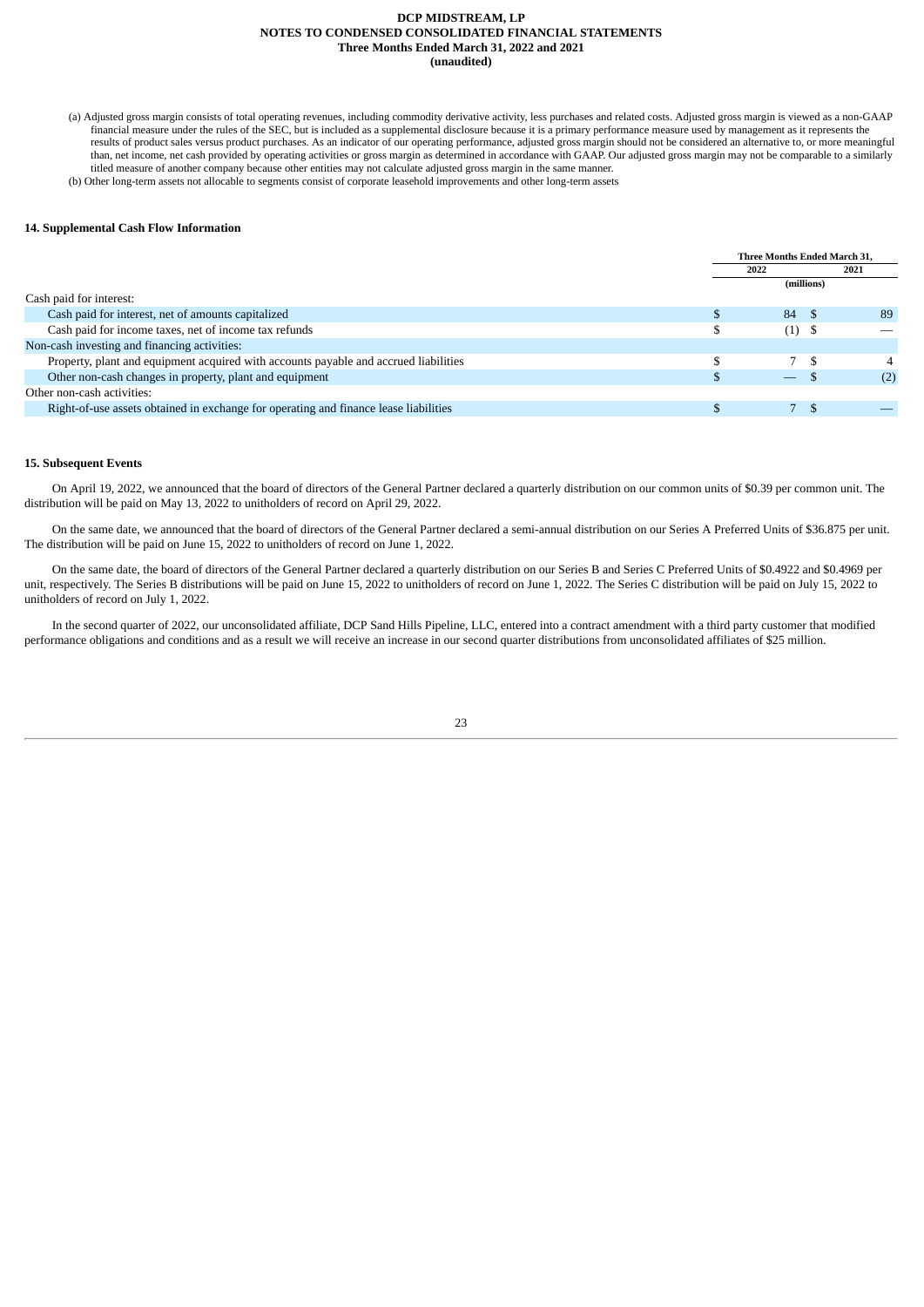- (a) Adjusted gross margin consists of total operating revenues, including commodity derivative activity, less purchases and related costs. Adjusted gross margin is viewed as a non-GAAP financial measure under the rules of the SEC, but is included as a supplemental disclosure because it is a primary performance measure used by management as it represents the results of product sales versus product purchases. As an indicator of our operating performance, adjusted gross margin should not be considered an alternative to, or more meaningful than, net income, net cash provided by operating activities or gross margin as determined in accordance with GAAP. Our adjusted gross margin may not be comparable to a similarly titled measure of another company because other entities may not calculate adjusted gross margin in the same manner.
- (b) Other long-term assets not allocable to segments consist of corporate leasehold improvements and other long-term assets

# **14. Supplemental Cash Flow Information**

|                                                                                      | Three Months Ended March 31. |            |      |
|--------------------------------------------------------------------------------------|------------------------------|------------|------|
|                                                                                      | 2022                         |            | 2021 |
|                                                                                      |                              | (millions) |      |
| Cash paid for interest:                                                              |                              |            |      |
| Cash paid for interest, net of amounts capitalized                                   |                              | 84<br>- 55 | 89   |
| Cash paid for income taxes, net of income tax refunds                                |                              | (1)        |      |
| Non-cash investing and financing activities:                                         |                              |            |      |
| Property, plant and equipment acquired with accounts payable and accrued liabilities |                              |            |      |
| Other non-cash changes in property, plant and equipment                              |                              |            | (2)  |
| Other non-cash activities:                                                           |                              |            |      |
| Right-of-use assets obtained in exchange for operating and finance lease liabilities |                              |            |      |

#### **15. Subsequent Events**

On April 19, 2022, we announced that the board of directors of the General Partner declared a quarterly distribution on our common units of \$0.39 per common unit. The distribution will be paid on May 13, 2022 to unitholders of record on April 29, 2022.

On the same date, we announced that the board of directors of the General Partner declared a semi-annual distribution on our Series A Preferred Units of \$36.875 per unit. The distribution will be paid on June 15, 2022 to unitholders of record on June 1, 2022.

On the same date, the board of directors of the General Partner declared a quarterly distribution on our Series B and Series C Preferred Units of \$0.4922 and \$0.4969 per unit, respectively. The Series B distributions will be paid on June 15, 2022 to unitholders of record on June 1, 2022. The Series C distribution will be paid on July 15, 2022 to unitholders of record on July 1, 2022.

<span id="page-26-0"></span>In the second quarter of 2022, our unconsolidated affiliate, DCP Sand Hills Pipeline, LLC, entered into a contract amendment with a third party customer that modified performance obligations and conditions and as a result we will receive an increase in our second quarter distributions from unconsolidated affiliates of \$25 million.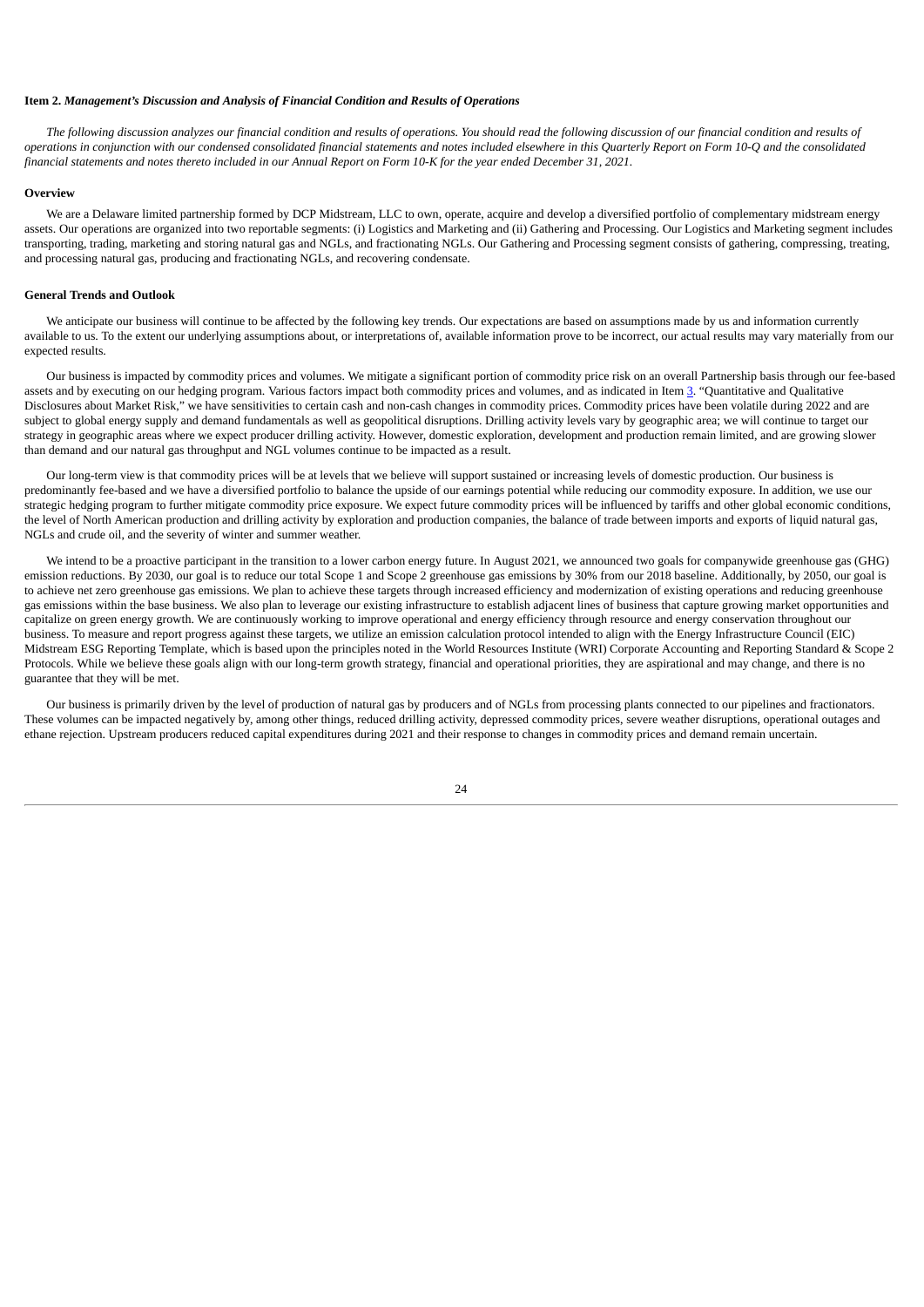## **Item 2.** *Management's Discussion and Analysis of Financial Condition and Results of Operations*

The following discussion analyzes our financial condition and results of operations. You should read the following discussion of our financial condition and results of operations in conjunction with our condensed consolidated financial statements and notes included elsewhere in this Quarterly Report on Form 10-Q and the consolidated financial statements and notes thereto included in our Annual Report on Form 10-K for the year ended December 31, 2021.

# **Overview**

We are a Delaware limited partnership formed by DCP Midstream, LLC to own, operate, acquire and develop a diversified portfolio of complementary midstream energy assets. Our operations are organized into two reportable segments: (i) Logistics and Marketing and (ii) Gathering and Processing. Our Logistics and Marketing segment includes transporting, trading, marketing and storing natural gas and NGLs, and fractionating NGLs. Our Gathering and Processing segment consists of gathering, compressing, treating, and processing natural gas, producing and fractionating NGLs, and recovering condensate.

# **General Trends and Outlook**

We anticipate our business will continue to be affected by the following key trends. Our expectations are based on assumptions made by us and information currently available to us. To the extent our underlying assumptions about, or interpretations of, available information prove to be incorrect, our actual results may vary materially from our expected results.

Our business is impacted by commodity prices and volumes. We mitigate a significant portion of commodity price risk on an overall Partnership basis through our fee-based assets and by executing on our hedging program. Various factors impact both commodity prices and volumes, and as indicated in Item [3.](#page-45-0) "Quantitative and Qualitative Disclosures about Market Risk," we have sensitivities to certain cash and non-cash changes in commodity prices. Commodity prices have been volatile during 2022 and are subject to global energy supply and demand fundamentals as well as geopolitical disruptions. Drilling activity levels vary by geographic area; we will continue to target our strategy in geographic areas where we expect producer drilling activity. However, domestic exploration, development and production remain limited, and are growing slower than demand and our natural gas throughput and NGL volumes continue to be impacted as a result.

Our long-term view is that commodity prices will be at levels that we believe will support sustained or increasing levels of domestic production. Our business is predominantly fee-based and we have a diversified portfolio to balance the upside of our earnings potential while reducing our commodity exposure. In addition, we use our strategic hedging program to further mitigate commodity price exposure. We expect future commodity prices will be influenced by tariffs and other global economic conditions, the level of North American production and drilling activity by exploration and production companies, the balance of trade between imports and exports of liquid natural gas, NGLs and crude oil, and the severity of winter and summer weather.

We intend to be a proactive participant in the transition to a lower carbon energy future. In August 2021, we announced two goals for companywide greenhouse gas (GHG) emission reductions. By 2030, our goal is to reduce our total Scope 1 and Scope 2 greenhouse gas emissions by 30% from our 2018 baseline. Additionally, by 2050, our goal is to achieve net zero greenhouse gas emissions. We plan to achieve these targets through increased efficiency and modernization of existing operations and reducing greenhouse gas emissions within the base business. We also plan to leverage our existing infrastructure to establish adjacent lines of business that capture growing market opportunities and capitalize on green energy growth. We are continuously working to improve operational and energy efficiency through resource and energy conservation throughout our business. To measure and report progress against these targets, we utilize an emission calculation protocol intended to align with the Energy Infrastructure Council (EIC) Midstream ESG Reporting Template, which is based upon the principles noted in the World Resources Institute (WRI) Corporate Accounting and Reporting Standard & Scope 2 Protocols. While we believe these goals align with our long-term growth strategy, financial and operational priorities, they are aspirational and may change, and there is no guarantee that they will be met.

Our business is primarily driven by the level of production of natural gas by producers and of NGLs from processing plants connected to our pipelines and fractionators. These volumes can be impacted negatively by, among other things, reduced drilling activity, depressed commodity prices, severe weather disruptions, operational outages and ethane rejection. Upstream producers reduced capital expenditures during 2021 and their response to changes in commodity prices and demand remain uncertain.

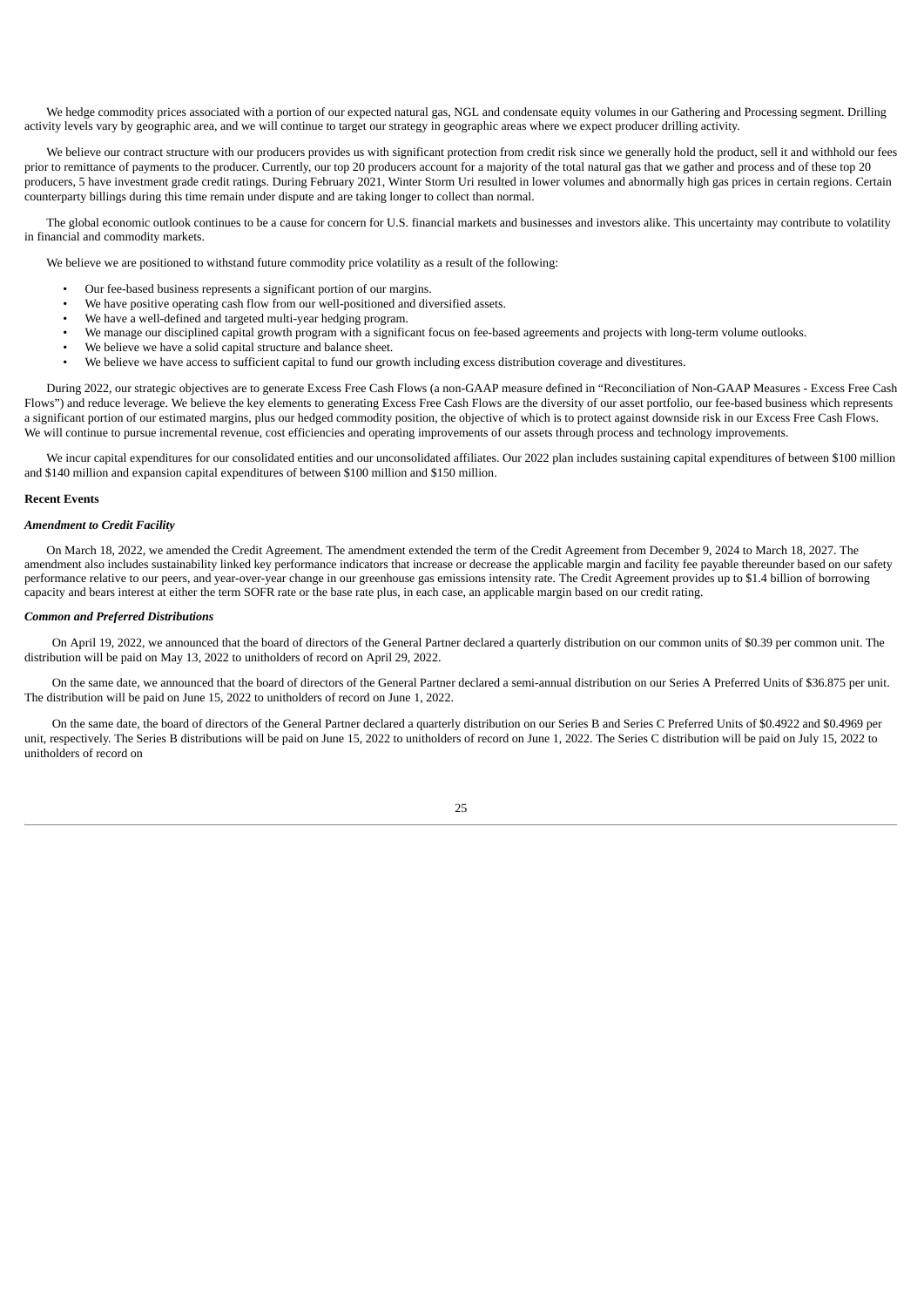We hedge commodity prices associated with a portion of our expected natural gas, NGL and condensate equity volumes in our Gathering and Processing segment. Drilling activity levels vary by geographic area, and we will continue to target our strategy in geographic areas where we expect producer drilling activity.

We believe our contract structure with our producers provides us with significant protection from credit risk since we generally hold the product, sell it and withhold our fees prior to remittance of payments to the producer. Currently, our top 20 producers account for a majority of the total natural gas that we gather and process and of these top 20 producers, 5 have investment grade credit ratings. During February 2021, Winter Storm Uri resulted in lower volumes and abnormally high gas prices in certain regions. Certain counterparty billings during this time remain under dispute and are taking longer to collect than normal.

The global economic outlook continues to be a cause for concern for U.S. financial markets and businesses and investors alike. This uncertainty may contribute to volatility in financial and commodity markets.

We believe we are positioned to withstand future commodity price volatility as a result of the following:

- Our fee-based business represents a significant portion of our margins.
- We have positive operating cash flow from our well-positioned and diversified assets.
- We have a well-defined and targeted multi-year hedging program.
- We manage our disciplined capital growth program with a significant focus on fee-based agreements and projects with long-term volume outlooks.
- We believe we have a solid capital structure and balance sheet.
- We believe we have access to sufficient capital to fund our growth including excess distribution coverage and divestitures.

During 2022, our strategic objectives are to generate Excess Free Cash Flows (a non-GAAP measure defined in "Reconciliation of Non-GAAP Measures - Excess Free Cash Flows") and reduce leverage. We believe the key elements to generating Excess Free Cash Flows are the diversity of our asset portfolio, our fee-based business which represents a significant portion of our estimated margins, plus our hedged commodity position, the objective of which is to protect against downside risk in our Excess Free Cash Flows. We will continue to pursue incremental revenue, cost efficiencies and operating improvements of our assets through process and technology improvements.

We incur capital expenditures for our consolidated entities and our unconsolidated affiliates. Our 2022 plan includes sustaining capital expenditures of between \$100 million and \$140 million and expansion capital expenditures of between \$100 million and \$150 million.

#### **Recent Events**

#### *Amendment to Credit Facility*

On March 18, 2022, we amended the Credit Agreement. The amendment extended the term of the Credit Agreement from December 9, 2024 to March 18, 2027. The amendment also includes sustainability linked key performance indicators that increase or decrease the applicable margin and facility fee payable thereunder based on our safety performance relative to our peers, and year-over-year change in our greenhouse gas emissions intensity rate. The Credit Agreement provides up to \$1.4 billion of borrowing capacity and bears interest at either the term SOFR rate or the base rate plus, in each case, an applicable margin based on our credit rating.

#### *Common and Preferred Distributions*

On April 19, 2022, we announced that the board of directors of the General Partner declared a quarterly distribution on our common units of \$0.39 per common unit. The distribution will be paid on May 13, 2022 to unitholders of record on April 29, 2022.

On the same date, we announced that the board of directors of the General Partner declared a semi-annual distribution on our Series A Preferred Units of \$36.875 per unit. The distribution will be paid on June 15, 2022 to unitholders of record on June 1, 2022.

On the same date, the board of directors of the General Partner declared a quarterly distribution on our Series B and Series C Preferred Units of \$0.4922 and \$0.4969 per unit, respectively. The Series B distributions will be paid on June 15, 2022 to unitholders of record on June 1, 2022. The Series C distribution will be paid on July 15, 2022 to unitholders of record on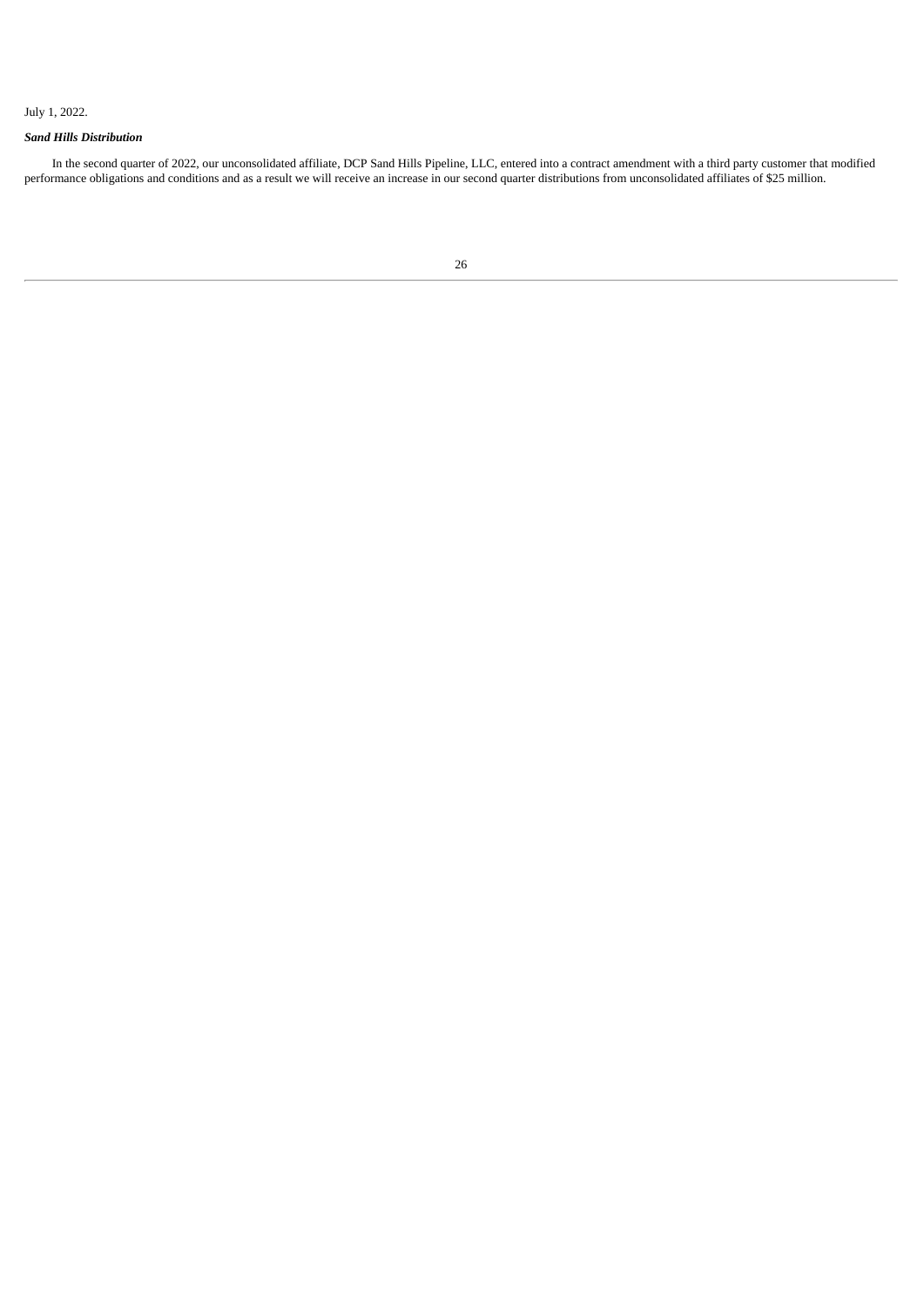July 1, 2022.

# *Sand Hills Distribution*

In the second quarter of 2022, our unconsolidated affiliate, DCP Sand Hills Pipeline, LLC, entered into a contract amendment with a third party customer that modified performance obligations and conditions and as a result we will receive an increase in our second quarter distributions from unconsolidated affiliates of \$25 million.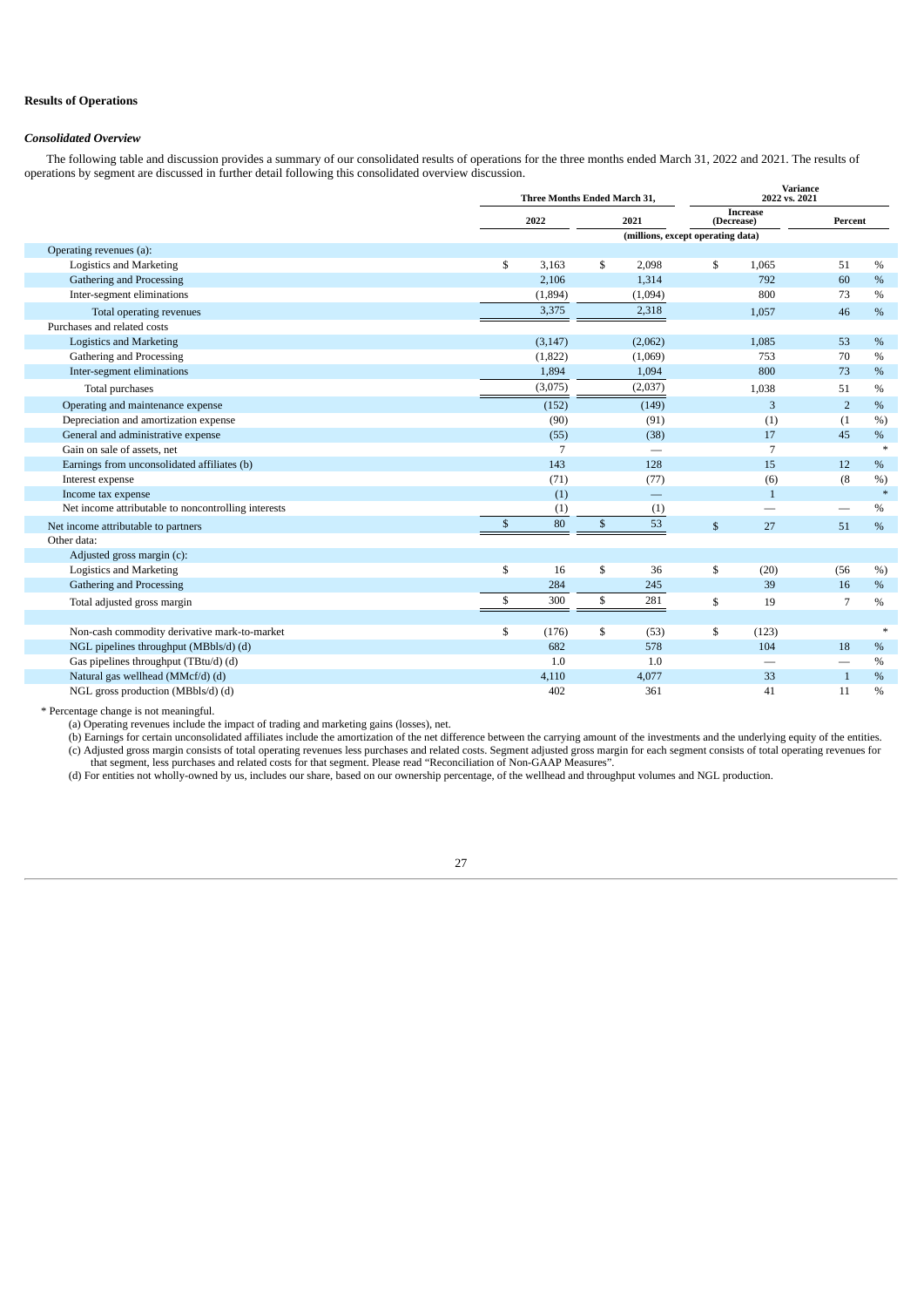# **Results of Operations**

#### *Consolidated Overview*

The following table and discussion provides a summary of our consolidated results of operations for the three months ended March 31, 2022 and 2021. The results of operations by segment are discussed in further detail following this consolidated overview discussion. **Variance**

|                                                     |     | Three Months Ended March 31, |              |                                   | variance<br>2022 vs. 2021     |                |                          |        |  |
|-----------------------------------------------------|-----|------------------------------|--------------|-----------------------------------|-------------------------------|----------------|--------------------------|--------|--|
|                                                     |     | 2022<br>2021                 |              |                                   | <b>Increase</b><br>(Decrease) |                | Percent                  |        |  |
|                                                     |     |                              |              | (millions, except operating data) |                               |                |                          |        |  |
| Operating revenues (a):                             |     |                              |              |                                   |                               |                |                          |        |  |
| <b>Logistics and Marketing</b>                      | \$  | 3,163                        | \$           | 2,098                             | \$                            | 1,065          | 51                       | $\%$   |  |
| Gathering and Processing                            |     | 2,106                        |              | 1,314                             |                               | 792            | 60                       | $\%$   |  |
| Inter-segment eliminations                          |     | (1,894)                      |              | (1,094)                           |                               | 800            | 73                       | $\%$   |  |
| Total operating revenues                            |     | 3,375                        |              | 2,318                             |                               | 1,057          | 46                       | $\%$   |  |
| Purchases and related costs                         |     |                              |              |                                   |                               |                |                          |        |  |
| <b>Logistics and Marketing</b>                      |     | (3, 147)                     |              | (2,062)                           |                               | 1,085          | 53                       | $\%$   |  |
| Gathering and Processing                            |     | (1,822)                      |              | (1,069)                           |                               | 753            | 70                       | $\%$   |  |
| Inter-segment eliminations                          |     | 1,894                        |              | 1,094                             |                               | 800            | 73                       | $\%$   |  |
| Total purchases                                     |     | (3,075)                      |              | (2,037)                           |                               | 1,038          | 51                       | $\%$   |  |
| Operating and maintenance expense                   |     | (152)                        |              | (149)                             |                               | 3              | 2                        | $\%$   |  |
| Depreciation and amortization expense               |     | (90)                         |              | (91)                              |                               | (1)            | (1)                      | $%$ )  |  |
| General and administrative expense                  |     | (55)                         |              | (38)                              |                               | 17             | 45                       | $\%$   |  |
| Gain on sale of assets, net                         |     | 7                            |              | $\overline{\phantom{0}}$          |                               | $\overline{7}$ |                          | $\ast$ |  |
| Earnings from unconsolidated affiliates (b)         |     | 143                          |              | 128                               |                               | 15             | 12                       | $\%$   |  |
| Interest expense                                    |     | (71)                         |              | (77)                              |                               | (6)            | (8)                      | $%$ )  |  |
| Income tax expense                                  |     | (1)                          |              |                                   |                               | $\mathbf{1}$   |                          | $\ast$ |  |
| Net income attributable to noncontrolling interests |     | (1)                          |              | (1)                               |                               |                |                          | $\%$   |  |
| Net income attributable to partners                 | \$  | 80                           | $\mathbb{S}$ | 53                                | $\mathbb{S}$                  | 27             | 51                       | $\%$   |  |
| Other data:                                         |     |                              |              |                                   |                               |                |                          |        |  |
| Adjusted gross margin (c):                          |     |                              |              |                                   |                               |                |                          |        |  |
| <b>Logistics and Marketing</b>                      | \$  | 16                           | \$           | 36                                | \$                            | (20)           | (56)                     | $%$ )  |  |
| Gathering and Processing                            |     | 284                          |              | 245                               |                               | 39             | 16                       | $\%$   |  |
| Total adjusted gross margin                         | \$. | 300                          | \$           | 281                               | \$                            | 19             | $\overline{7}$           | $\%$   |  |
|                                                     |     |                              |              |                                   |                               |                |                          |        |  |
| Non-cash commodity derivative mark-to-market        | \$  | (176)                        | \$           | (53)                              | \$                            | (123)          |                          |        |  |
| NGL pipelines throughput (MBbls/d) (d)              |     | 682                          |              | 578                               |                               | 104            | 18                       | $\%$   |  |
| Gas pipelines throughput (TBtu/d) (d)               |     | 1.0                          |              | 1.0                               |                               |                | $\overline{\phantom{0}}$ | $\%$   |  |
| Natural gas wellhead (MMcf/d) (d)                   |     | 4,110                        |              | 4,077                             |                               | 33             | $\mathbf{1}$             | $\%$   |  |
| NGL gross production (MBbls/d) (d)                  |     | 402                          |              | 361                               |                               | 41             | 11                       | $\%$   |  |

\* Percentage change is not meaningful.

(a) Operating revenues include the impact of trading and marketing gains (losses), net.

(b) Earnings for certain unconsolidated affiliates include the amortization of the net difference between the carrying amount of the investments and the underlying equity of the entities. (c) Adjusted gross margin consists of total operating revenues less purchases and related costs. Segment adjusted gross margin for each segment consists of total operating revenues for that segment, less purchases and related costs for that segment. Please read "Reconciliation of Non-GAAP Measures".

(d) For entities not wholly-owned by us, includes our share, based on our ownership percentage, of the wellhead and throughput volumes and NGL production.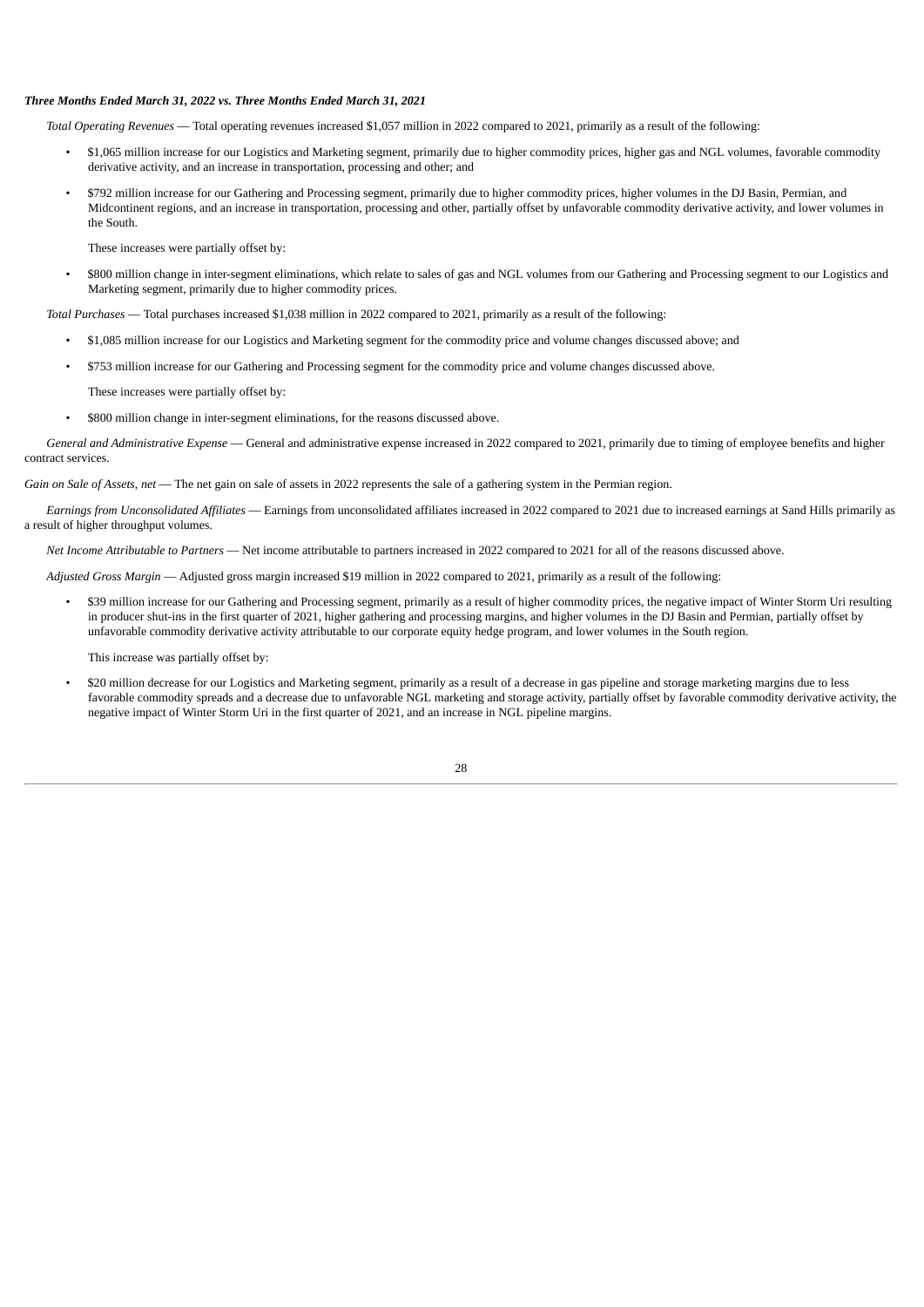#### *Three Months Ended March 31, 2022 vs. Three Months Ended March 31, 2021*

*Total Operating Revenues* — Total operating revenues increased \$1,057 million in 2022 compared to 2021, primarily as a result of the following:

- \$1,065 million increase for our Logistics and Marketing segment, primarily due to higher commodity prices, higher gas and NGL volumes, favorable commodity derivative activity, and an increase in transportation, processing and other; and
- \$792 million increase for our Gathering and Processing segment, primarily due to higher commodity prices, higher volumes in the DJ Basin, Permian, and Midcontinent regions, and an increase in transportation, processing and other, partially offset by unfavorable commodity derivative activity, and lower volumes in the South.

These increases were partially offset by:

• \$800 million change in inter-segment eliminations, which relate to sales of gas and NGL volumes from our Gathering and Processing segment to our Logistics and Marketing segment, primarily due to higher commodity prices.

*Total Purchases* — Total purchases increased \$1,038 million in 2022 compared to 2021, primarily as a result of the following:

- \$1,085 million increase for our Logistics and Marketing segment for the commodity price and volume changes discussed above; and
- \$753 million increase for our Gathering and Processing segment for the commodity price and volume changes discussed above.

These increases were partially offset by:

• \$800 million change in inter-segment eliminations, for the reasons discussed above.

*General and Administrative Expense* — General and administrative expense increased in 2022 compared to 2021, primarily due to timing of employee benefits and higher contract services.

*Gain on Sale of Assets, net* — The net gain on sale of assets in 2022 represents the sale of a gathering system in the Permian region.

*Earnings from Unconsolidated Affiliates* — Earnings from unconsolidated affiliates increased in 2022 compared to 2021 due to increased earnings at Sand Hills primarily as a result of higher throughput volumes.

*Net Income Attributable to Partners* — Net income attributable to partners increased in 2022 compared to 2021 for all of the reasons discussed above.

*Adjusted Gross Margin* — Adjusted gross margin increased \$19 million in 2022 compared to 2021, primarily as a result of the following:

\$39 million increase for our Gathering and Processing segment, primarily as a result of higher commodity prices, the negative impact of Winter Storm Uri resulting in producer shut-ins in the first quarter of 2021, higher gathering and processing margins, and higher volumes in the DJ Basin and Permian, partially offset by unfavorable commodity derivative activity attributable to our corporate equity hedge program, and lower volumes in the South region.

This increase was partially offset by:

• \$20 million decrease for our Logistics and Marketing segment, primarily as a result of a decrease in gas pipeline and storage marketing margins due to less favorable commodity spreads and a decrease due to unfavorable NGL marketing and storage activity, partially offset by favorable commodity derivative activity, the negative impact of Winter Storm Uri in the first quarter of 2021, and an increase in NGL pipeline margins.

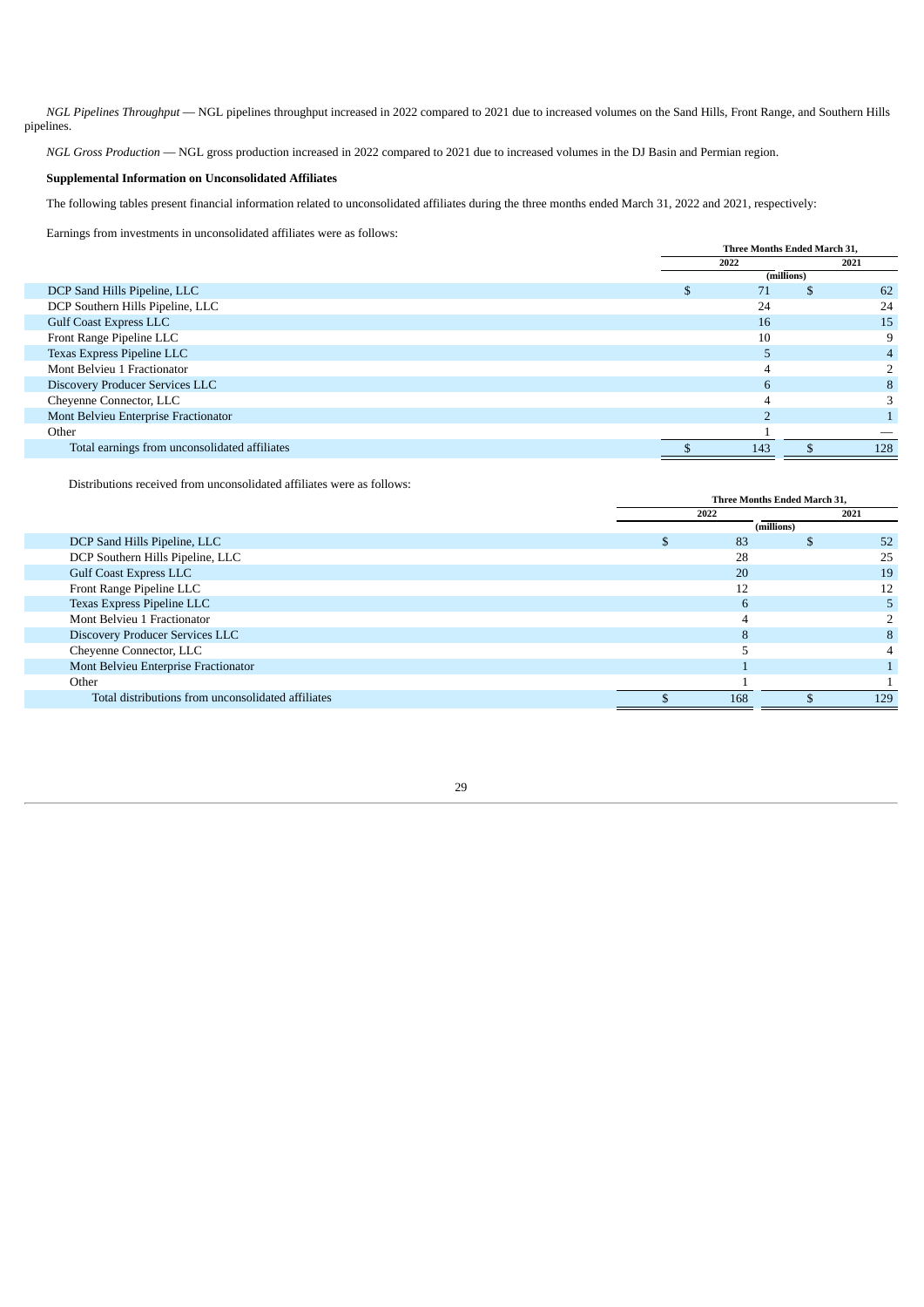*NGL Pipelines Throughput* — NGL pipelines throughput increased in 2022 compared to 2021 due to increased volumes on the Sand Hills, Front Range, and Southern Hills pipelines.

*NGL Gross Production* — NGL gross production increased in 2022 compared to 2021 due to increased volumes in the DJ Basin and Permian region.

# **Supplemental Information on Unconsolidated Affiliates**

The following tables present financial information related to unconsolidated affiliates during the three months ended March 31, 2022 and 2021, respectively:

Earnings from investments in unconsolidated affiliates were as follows:

| Lamingo moin in councino in anconoonaated animates were as romows. |                              |            |  |      |  |
|--------------------------------------------------------------------|------------------------------|------------|--|------|--|
|                                                                    | Three Months Ended March 31. |            |  |      |  |
|                                                                    | 2022                         |            |  | 2021 |  |
|                                                                    |                              | (millions) |  |      |  |
| DCP Sand Hills Pipeline, LLC                                       |                              | 71         |  | 62   |  |
| DCP Southern Hills Pipeline, LLC                                   |                              | 24         |  | 24   |  |
| <b>Gulf Coast Express LLC</b>                                      |                              | 16         |  | 15   |  |
| Front Range Pipeline LLC                                           |                              | 10         |  | 9    |  |
| Texas Express Pipeline LLC                                         |                              |            |  | 4    |  |
| Mont Belvieu 1 Fractionator                                        |                              |            |  |      |  |
| Discovery Producer Services LLC                                    |                              |            |  | 8    |  |
| Cheyenne Connector, LLC                                            |                              |            |  |      |  |
| Mont Belvieu Enterprise Fractionator                               |                              |            |  |      |  |
| Other                                                              |                              |            |  |      |  |
| Total earnings from unconsolidated affiliates                      |                              | 143        |  | 128  |  |

Distributions received from unconsolidated affiliates were as follows:

|                                                    | Three Months Ended March 31, |               |            |      |
|----------------------------------------------------|------------------------------|---------------|------------|------|
|                                                    | 2022                         |               |            | 2021 |
|                                                    |                              |               | (millions) |      |
| DCP Sand Hills Pipeline, LLC                       | S.                           | 83            |            | 52   |
| DCP Southern Hills Pipeline, LLC                   |                              | 28            |            | 25   |
| <b>Gulf Coast Express LLC</b>                      |                              | 20            |            | 19   |
| Front Range Pipeline LLC                           |                              | 12            |            | 12   |
| Texas Express Pipeline LLC                         |                              | $\mathfrak b$ |            |      |
| Mont Belvieu 1 Fractionator                        |                              |               |            |      |
| Discovery Producer Services LLC                    |                              | 8             |            | 8    |
| Cheyenne Connector, LLC                            |                              |               |            |      |
| Mont Belvieu Enterprise Fractionator               |                              |               |            |      |
| Other                                              |                              |               |            |      |
| Total distributions from unconsolidated affiliates |                              | 168           |            | 129  |
|                                                    |                              |               |            |      |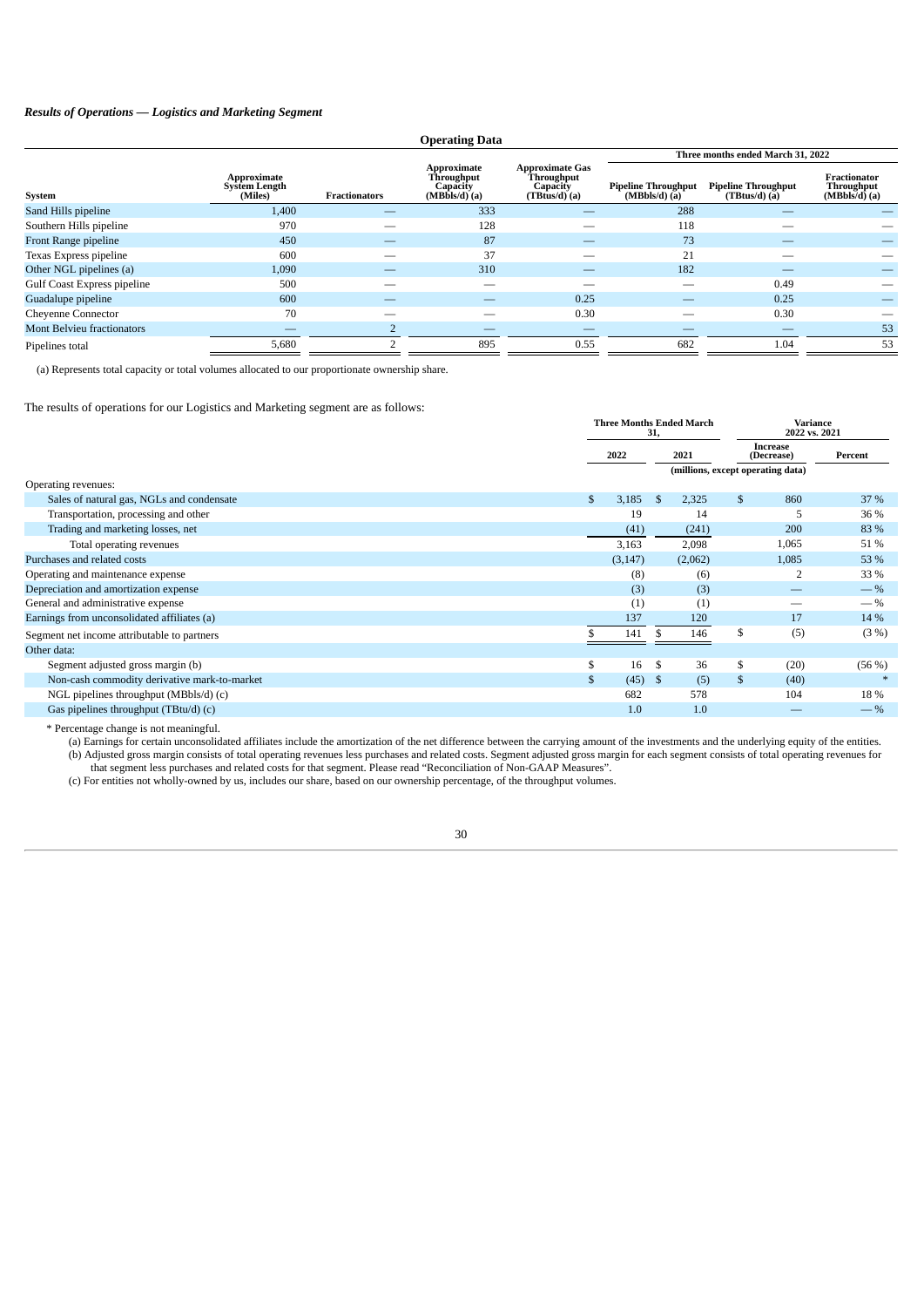# *Results of Operations — Logistics and Marketing Segment*

|                             |                                                |                      | <b>Operating Data</b>                                             |                                                                         |                                                 |                                               |                                                             |
|-----------------------------|------------------------------------------------|----------------------|-------------------------------------------------------------------|-------------------------------------------------------------------------|-------------------------------------------------|-----------------------------------------------|-------------------------------------------------------------|
|                             |                                                |                      |                                                                   |                                                                         |                                                 | Three months ended March 31, 2022             |                                                             |
| System                      | Approximate<br><b>System Length</b><br>(Miles) | <b>Fractionators</b> | Approximate<br>Throughput<br><b>Capacity</b><br>$(MBbls/d)$ $(a)$ | <b>Approximate Gas</b><br>Throughput<br><b>Capacity</b><br>(TBtus/d)(a) | <b>Pipeline Throughput</b><br>$(MBbls/d)$ $(a)$ | <b>Pipeline Throughput</b><br>$(TBtus/d)$ (a) | <b>Fractionator</b><br><b>Throughput</b><br>$(MBbls/d)$ (a) |
| Sand Hills pipeline         | 1,400                                          |                      | 333                                                               |                                                                         | 288                                             |                                               |                                                             |
| Southern Hills pipeline     | 970                                            |                      | 128                                                               |                                                                         | 118                                             |                                               |                                                             |
| Front Range pipeline        | 450                                            |                      | 87                                                                | $\overline{\phantom{a}}$                                                | 73                                              |                                               |                                                             |
| Texas Express pipeline      | 600                                            |                      | 37                                                                |                                                                         | 21                                              |                                               |                                                             |
| Other NGL pipelines (a)     | 1,090                                          |                      | 310                                                               |                                                                         | 182                                             |                                               |                                                             |
| Gulf Coast Express pipeline | 500                                            |                      |                                                                   |                                                                         |                                                 | 0.49                                          |                                                             |
| Guadalupe pipeline          | 600                                            |                      |                                                                   | 0.25                                                                    |                                                 | 0.25                                          |                                                             |
| <b>Chevenne Connector</b>   | 70                                             |                      |                                                                   | 0.30                                                                    |                                                 | 0.30                                          |                                                             |
| Mont Belvieu fractionators  |                                                |                      |                                                                   | $\overline{\phantom{a}}$                                                |                                                 |                                               | 53                                                          |
| Pipelines total             | 5,680                                          |                      | 895                                                               | 0.55                                                                    | 682                                             | 1.04                                          | 53                                                          |

(a) Represents total capacity or total volumes allocated to our proportionate ownership share.

# The results of operations for our Logistics and Marketing segment are as follows:

|                                              |             | <b>Three Months Ended March</b><br>31, |                                   | Variance<br>2022 vs. 2021 |                               |                |
|----------------------------------------------|-------------|----------------------------------------|-----------------------------------|---------------------------|-------------------------------|----------------|
|                                              | 2022        |                                        | 2021                              |                           | <b>Increase</b><br>(Decrease) | Percent        |
|                                              |             |                                        | (millions, except operating data) |                           |                               |                |
| Operating revenues:                          |             |                                        |                                   |                           |                               |                |
| Sales of natural gas, NGLs and condensate    | \$<br>3,185 | $\mathbb{S}$                           | 2,325                             | $\mathbb{S}$              | 860                           | 37 %           |
| Transportation, processing and other         | 19          |                                        | 14                                |                           | 5                             | 36 %           |
| Trading and marketing losses, net            | (41)        |                                        | (241)                             |                           | 200                           | 83 %           |
| Total operating revenues                     | 3,163       |                                        | 2,098                             |                           | 1,065                         | 51 %           |
| Purchases and related costs                  | (3, 147)    |                                        | (2,062)                           |                           | 1,085                         | 53 %           |
| Operating and maintenance expense            | (8)         |                                        | (6)                               |                           | $\overline{2}$                | 33 %           |
| Depreciation and amortization expense        | (3)         |                                        | (3)                               |                           |                               | $-\frac{9}{6}$ |
| General and administrative expense           | (1)         |                                        | (1)                               |                           |                               | $-$ %          |
| Earnings from unconsolidated affiliates (a)  | 137         |                                        | 120                               |                           | 17                            | 14 %           |
| Segment net income attributable to partners  | 141         |                                        | 146                               | \$                        | (5)                           | (3%)           |
| Other data:                                  |             |                                        |                                   |                           |                               |                |
| Segment adjusted gross margin (b)            | \$<br>16    | S                                      | 36                                | \$                        | (20)                          | $(56\%)$       |
| Non-cash commodity derivative mark-to-market | \$<br>(45)  | -\$                                    | (5)                               | \$                        | (40)                          |                |
| NGL pipelines throughput (MBbls/d) (c)       | 682         |                                        | 578                               |                           | 104                           | 18 %           |
| Gas pipelines throughput (TBtu/d) (c)        | 1.0         |                                        | 1.0                               |                           |                               | $-$ %          |
|                                              |             |                                        |                                   |                           |                               |                |

\* Percentage change is not meaningful.

(a) Earnings for certain unconsolidated affiliates include the amortization of the net difference between the carrying amount of the investments and the underlying equity of the entities. (b) Adjusted gross margin consists of total operating revenues less purchases and related costs. Segment adjusted gross margin for each segment consists of total operating revenues for that segment less purchases and related costs for that segment. Please read "Reconciliation of Non-GAAP Measures".

(c) For entities not wholly-owned by us, includes our share, based on our ownership percentage, of the throughput volumes.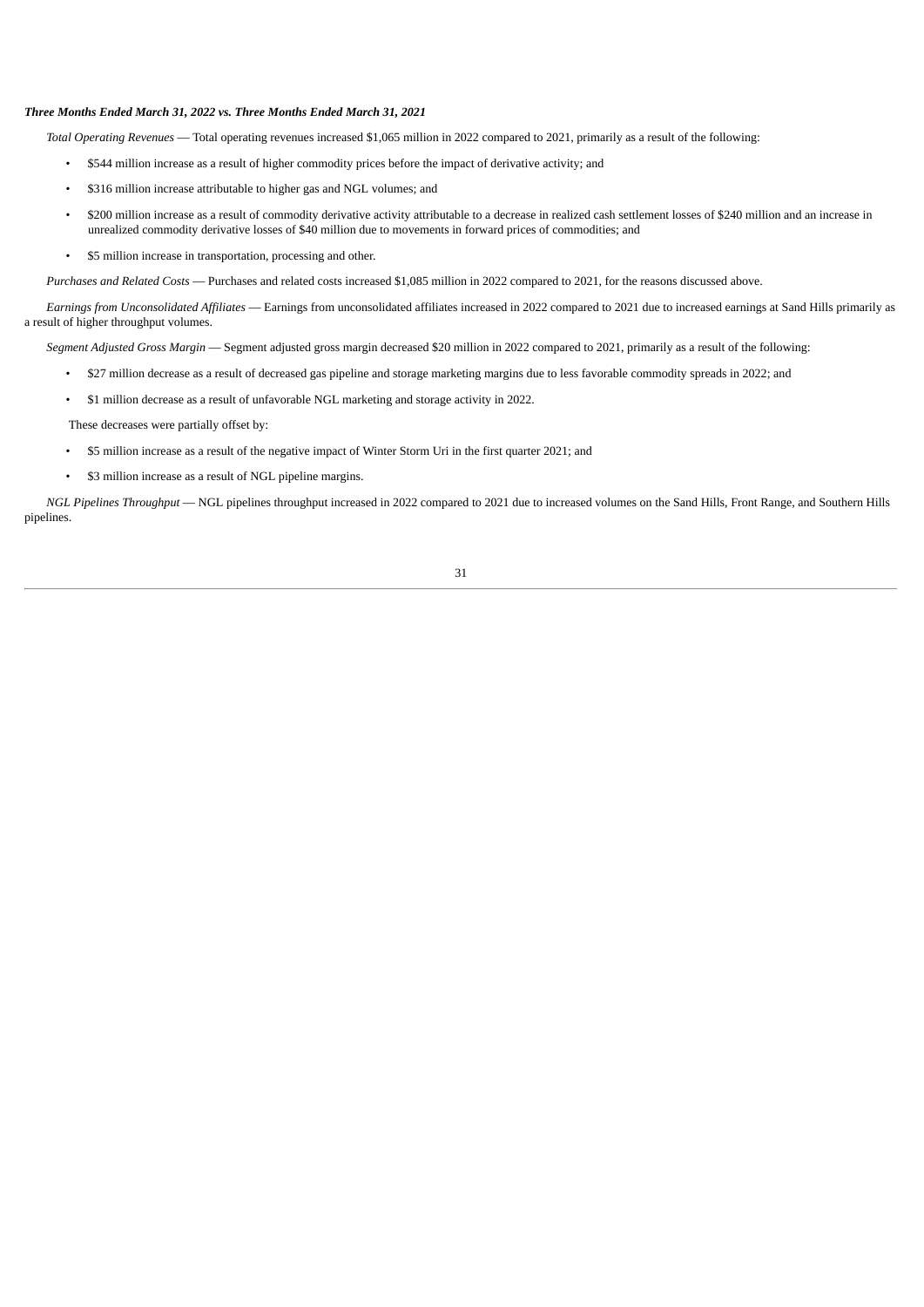# *Three Months Ended March 31, 2022 vs. Three Months Ended March 31, 2021*

*Total Operating Revenues* — Total operating revenues increased \$1,065 million in 2022 compared to 2021, primarily as a result of the following:

- \$544 million increase as a result of higher commodity prices before the impact of derivative activity; and
- \$316 million increase attributable to higher gas and NGL volumes; and
- \$200 million increase as a result of commodity derivative activity attributable to a decrease in realized cash settlement losses of \$240 million and an increase in unrealized commodity derivative losses of \$40 million due to movements in forward prices of commodities; and
- \$5 million increase in transportation, processing and other.

*Purchases and Related Costs* — Purchases and related costs increased \$1,085 million in 2022 compared to 2021, for the reasons discussed above.

*Earnings from Unconsolidated Affiliates* — Earnings from unconsolidated affiliates increased in 2022 compared to 2021 due to increased earnings at Sand Hills primarily as a result of higher throughput volumes.

*Segment Adjusted Gross Margin* — Segment adjusted gross margin decreased \$20 million in 2022 compared to 2021, primarily as a result of the following:

- \$27 million decrease as a result of decreased gas pipeline and storage marketing margins due to less favorable commodity spreads in 2022; and
- \$1 million decrease as a result of unfavorable NGL marketing and storage activity in 2022.

These decreases were partially offset by:

- \$5 million increase as a result of the negative impact of Winter Storm Uri in the first quarter 2021; and
- \$3 million increase as a result of NGL pipeline margins.

*NGL Pipelines Throughput* — NGL pipelines throughput increased in 2022 compared to 2021 due to increased volumes on the Sand Hills, Front Range, and Southern Hills pipelines.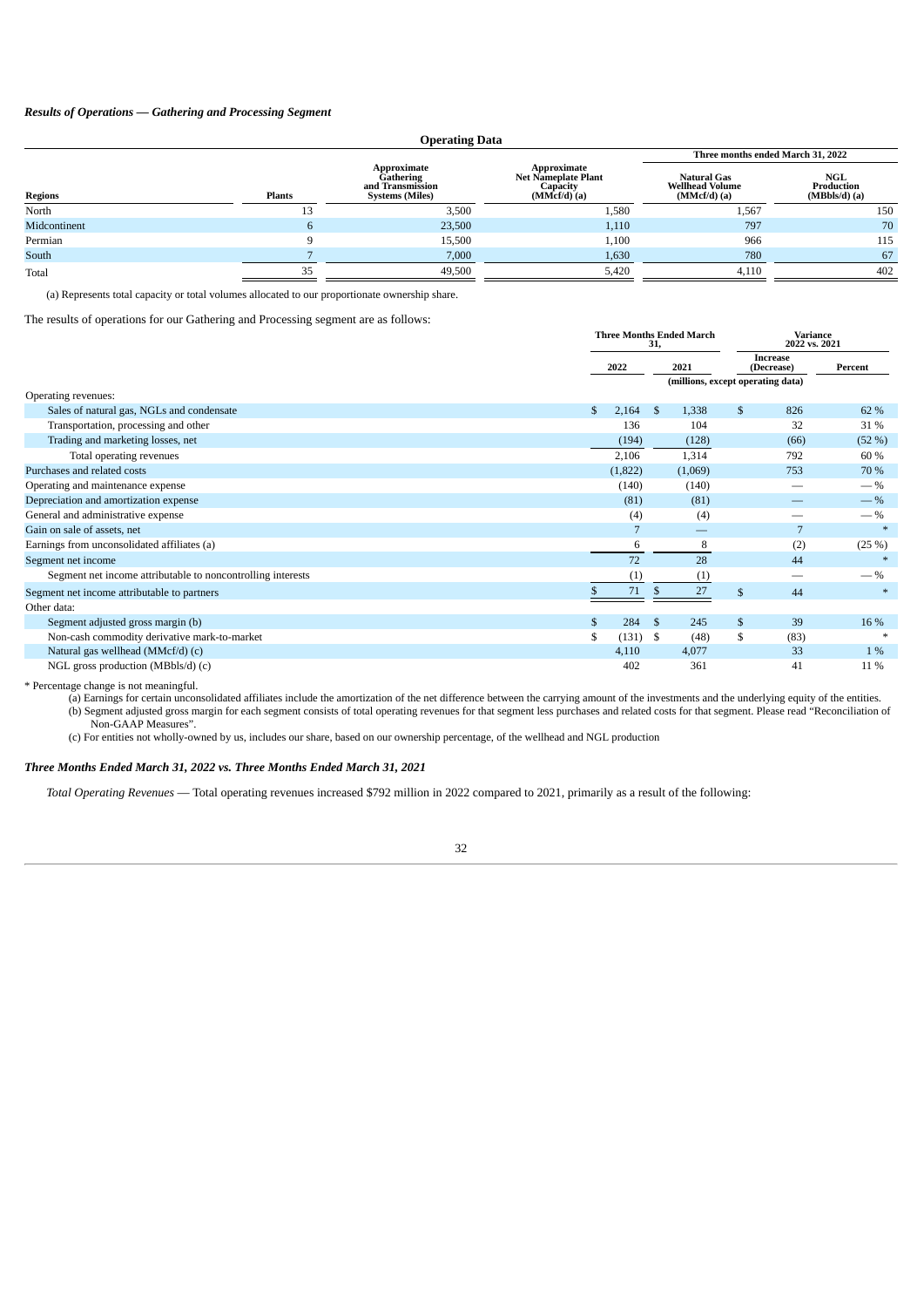# *Results of Operations — Gathering and Processing Segment*

| <b>Operating Data</b> |                                                                                                |        |                                                                                |                                                                |                                      |  |  |  |
|-----------------------|------------------------------------------------------------------------------------------------|--------|--------------------------------------------------------------------------------|----------------------------------------------------------------|--------------------------------------|--|--|--|
|                       |                                                                                                |        |                                                                                |                                                                | Three months ended March 31, 2022    |  |  |  |
| <b>Regions</b>        | Approximate<br><b>Gathering</b><br>and Transmission<br><b>Plants</b><br><b>Systems (Miles)</b> |        | Approximate<br><b>Net Nameplate Plant</b><br><b>Capacity</b><br>$(MMcf/d)$ (a) | <b>Natural Gas</b><br><b>Wellhead Volume</b><br>$(MMcf/d)$ (a) | NGL<br>Production<br>$(MBbls/d)$ (a) |  |  |  |
| North                 | 13                                                                                             | 3,500  | 1,580                                                                          | 1,567                                                          | 150                                  |  |  |  |
| Midcontinent          | 6                                                                                              | 23,500 | 1,110                                                                          | 797                                                            | 70                                   |  |  |  |
| Permian               |                                                                                                | 15,500 | 1,100                                                                          | 966                                                            | 115                                  |  |  |  |
| South                 |                                                                                                | 7,000  | 1,630                                                                          | 780                                                            | 67                                   |  |  |  |
| Total                 | 35                                                                                             | 49,500 | 5,420                                                                          | 4,110                                                          | 402                                  |  |  |  |

(a) Represents total capacity or total volumes allocated to our proportionate ownership share.

The results of operations for our Gathering and Processing segment are as follows:

| .                                                           | <b>Three Months Ended March</b><br>31, |              |                                   | Variance<br>2022 vs. 2021     |          |               |
|-------------------------------------------------------------|----------------------------------------|--------------|-----------------------------------|-------------------------------|----------|---------------|
|                                                             | 2022<br>2021                           |              |                                   | <b>Increase</b><br>(Decrease) |          | Percent       |
|                                                             |                                        |              | (millions, except operating data) |                               |          |               |
| Operating revenues:                                         |                                        |              |                                   |                               |          |               |
| Sales of natural gas, NGLs and condensate                   | \$<br>2,164                            | \$           | 1,338                             | $\mathbb{S}$                  | 826      | 62 %          |
| Transportation, processing and other                        | 136                                    |              | 104                               |                               | 32       | 31 %          |
| Trading and marketing losses, net                           | (194)                                  |              | (128)                             |                               | (66)     | (52%)         |
| Total operating revenues                                    | 2,106                                  |              | 1,314                             |                               | 792      | 60 %          |
| Purchases and related costs                                 | (1,822)                                |              | (1,069)                           |                               | 753      | 70 %          |
| Operating and maintenance expense                           | (140)                                  |              | (140)                             |                               |          | $-$ %         |
| Depreciation and amortization expense                       | (81)                                   |              | (81)                              |                               | $\equiv$ | $-$ %         |
| General and administrative expense                          | (4)                                    |              | (4)                               |                               |          | $-$ %         |
| Gain on sale of assets, net                                 |                                        |              |                                   |                               |          |               |
| Earnings from unconsolidated affiliates (a)                 | 6                                      |              | 8                                 |                               | (2)      | (25%)         |
| Segment net income                                          | 72                                     |              | 28                                |                               | 44       |               |
| Segment net income attributable to noncontrolling interests | (1)                                    |              | (1)                               |                               |          | $-$ %         |
| Segment net income attributable to partners                 | 71                                     | \$           | 27                                | \$                            | 44       |               |
| Other data:                                                 |                                        |              |                                   |                               |          |               |
| Segment adjusted gross margin (b)                           | 284                                    | $\mathbb{S}$ | 245                               | \$                            | 39       | 16 %          |
| Non-cash commodity derivative mark-to-market                | \$<br>(131)                            | \$           | (48)                              | \$                            | (83)     | $\frac{1}{2}$ |
| Natural gas wellhead (MMcf/d) (c)                           | 4,110                                  |              | 4,077                             |                               | 33       | 1 %           |
| NGL gross production (MBbls/d) (c)                          | 402                                    |              | 361                               |                               | 41       | 11 %          |

\* Percentage change is not meaningful.

(a) Earnings for certain unconsolidated affiliates include the amortization of the net difference between the carrying amount of the investments and the underlying equity of the entities. (b) Segment adjusted gross margin for each segment consists of total operating revenues for that segment less purchases and related costs for that segment. Please read "Reconciliation of Non-GAAP Measures".

(c) For entities not wholly-owned by us, includes our share, based on our ownership percentage, of the wellhead and NGL production

# *Three Months Ended March 31, 2022 vs. Three Months Ended March 31, 2021*

*Total Operating Revenues* — Total operating revenues increased \$792 million in 2022 compared to 2021, primarily as a result of the following: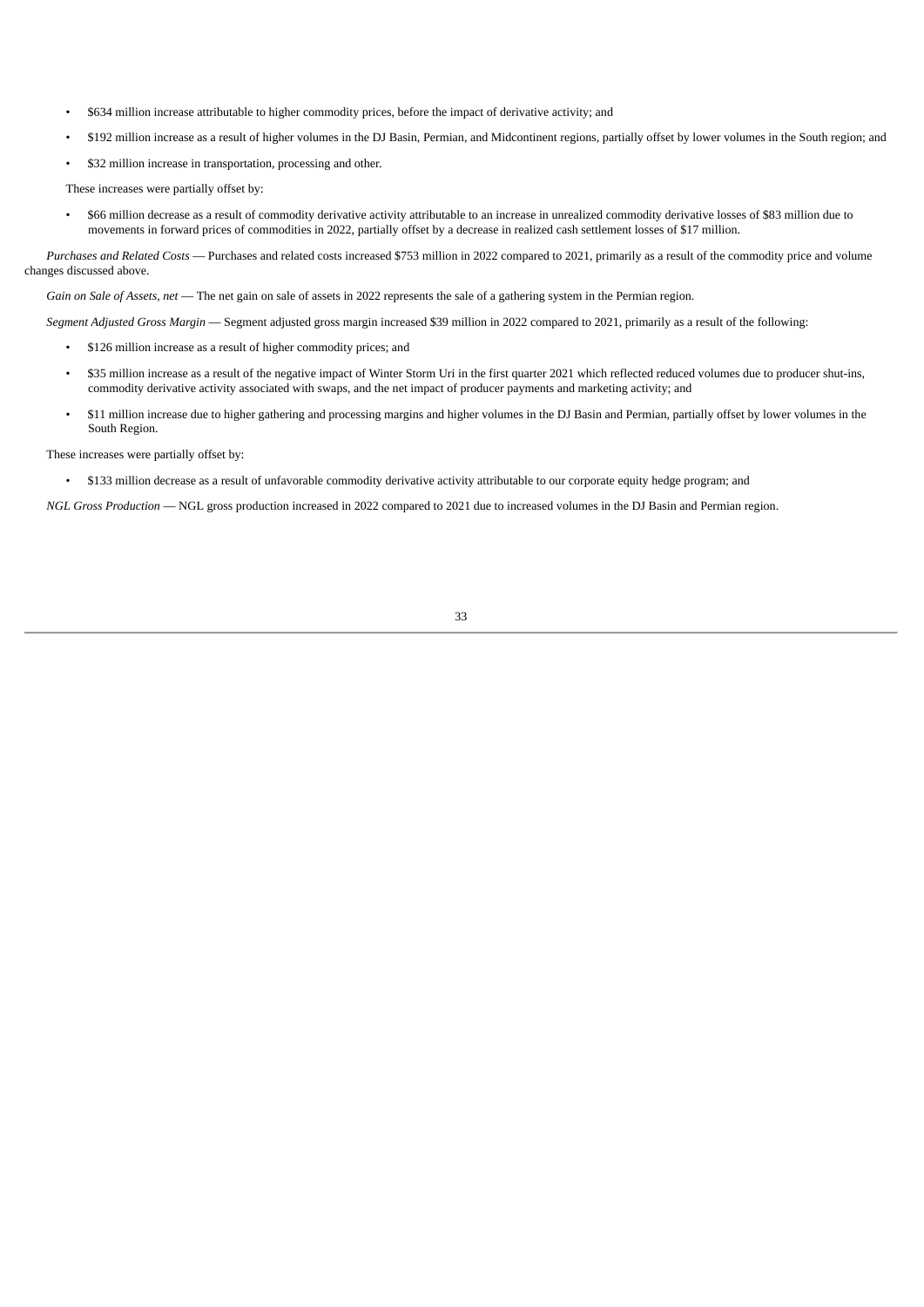- \$634 million increase attributable to higher commodity prices, before the impact of derivative activity; and
- \$192 million increase as a result of higher volumes in the DJ Basin, Permian, and Midcontinent regions, partially offset by lower volumes in the South region; and
- \$32 million increase in transportation, processing and other.

These increases were partially offset by:

• \$66 million decrease as a result of commodity derivative activity attributable to an increase in unrealized commodity derivative losses of \$83 million due to movements in forward prices of commodities in 2022, partially offset by a decrease in realized cash settlement losses of \$17 million.

*Purchases and Related Costs* — Purchases and related costs increased \$753 million in 2022 compared to 2021, primarily as a result of the commodity price and volume changes discussed above.

*Gain on Sale of Assets, net* — The net gain on sale of assets in 2022 represents the sale of a gathering system in the Permian region.

- *Segment Adjusted Gross Margin* Segment adjusted gross margin increased \$39 million in 2022 compared to 2021, primarily as a result of the following:
	- \$126 million increase as a result of higher commodity prices; and
	- \$35 million increase as a result of the negative impact of Winter Storm Uri in the first quarter 2021 which reflected reduced volumes due to producer shut-ins, commodity derivative activity associated with swaps, and the net impact of producer payments and marketing activity; and
	- \$11 million increase due to higher gathering and processing margins and higher volumes in the DJ Basin and Permian, partially offset by lower volumes in the South Region.

# These increases were partially offset by:

• \$133 million decrease as a result of unfavorable commodity derivative activity attributable to our corporate equity hedge program; and

*NGL Gross Production* — NGL gross production increased in 2022 compared to 2021 due to increased volumes in the DJ Basin and Permian region.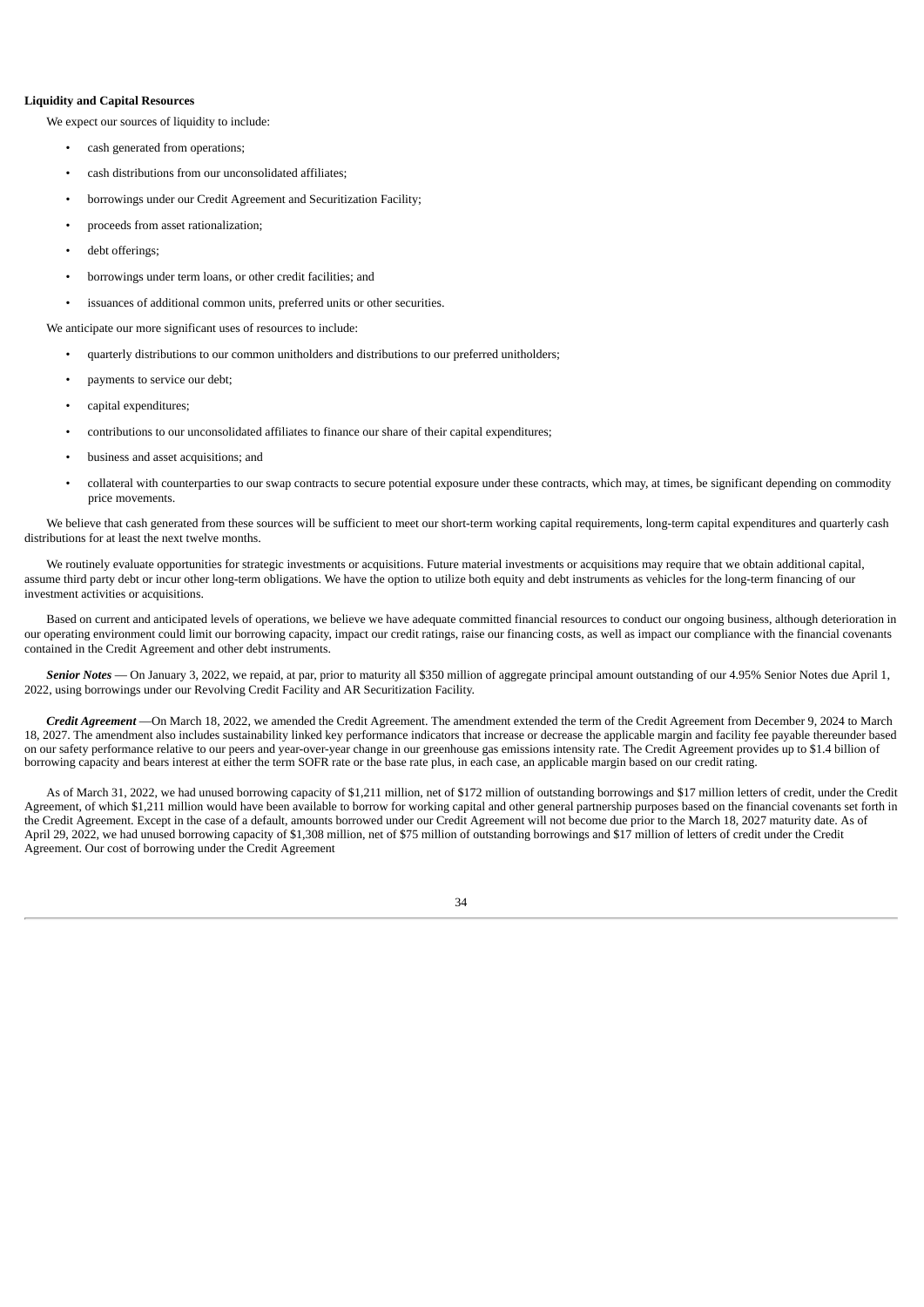# **Liquidity and Capital Resources**

We expect our sources of liquidity to include:

- cash generated from operations;
- cash distributions from our unconsolidated affiliates;
- borrowings under our Credit Agreement and Securitization Facility;
- proceeds from asset rationalization;
- debt offerings:
- borrowings under term loans, or other credit facilities; and
- issuances of additional common units, preferred units or other securities.

We anticipate our more significant uses of resources to include:

- quarterly distributions to our common unitholders and distributions to our preferred unitholders;
- payments to service our debt;
- capital expenditures;
- contributions to our unconsolidated affiliates to finance our share of their capital expenditures;
- business and asset acquisitions; and
- collateral with counterparties to our swap contracts to secure potential exposure under these contracts, which may, at times, be significant depending on commodity price movements.

We believe that cash generated from these sources will be sufficient to meet our short-term working capital requirements, long-term capital expenditures and quarterly cash distributions for at least the next twelve months.

We routinely evaluate opportunities for strategic investments or acquisitions. Future material investments or acquisitions may require that we obtain additional capital, assume third party debt or incur other long-term obligations. We have the option to utilize both equity and debt instruments as vehicles for the long-term financing of our investment activities or acquisitions.

Based on current and anticipated levels of operations, we believe we have adequate committed financial resources to conduct our ongoing business, although deterioration in our operating environment could limit our borrowing capacity, impact our credit ratings, raise our financing costs, as well as impact our compliance with the financial covenants contained in the Credit Agreement and other debt instruments.

Senior Notes — On January 3, 2022, we repaid, at par, prior to maturity all \$350 million of aggregate principal amount outstanding of our 4.95% Senior Notes due April 1, 2022, using borrowings under our Revolving Credit Facility and AR Securitization Facility.

*Credit Agreement* —On March 18, 2022, we amended the Credit Agreement. The amendment extended the term of the Credit Agreement from December 9, 2024 to March 18, 2027. The amendment also includes sustainability linked key performance indicators that increase or decrease the applicable margin and facility fee payable thereunder based on our safety performance relative to our peers and year-over-year change in our greenhouse gas emissions intensity rate. The Credit Agreement provides up to \$1.4 billion of borrowing capacity and bears interest at either the term SOFR rate or the base rate plus, in each case, an applicable margin based on our credit rating.

As of March 31, 2022, we had unused borrowing capacity of \$1,211 million, net of \$172 million of outstanding borrowings and \$17 million letters of credit, under the Credit Agreement, of which \$1,211 million would have been available to borrow for working capital and other general partnership purposes based on the financial covenants set forth in the Credit Agreement. Except in the case of a default, amounts borrowed under our Credit Agreement will not become due prior to the March 18, 2027 maturity date. As of April 29, 2022, we had unused borrowing capacity of \$1,308 million, net of \$75 million of outstanding borrowings and \$17 million of letters of credit under the Credit Agreement. Our cost of borrowing under the Credit Agreement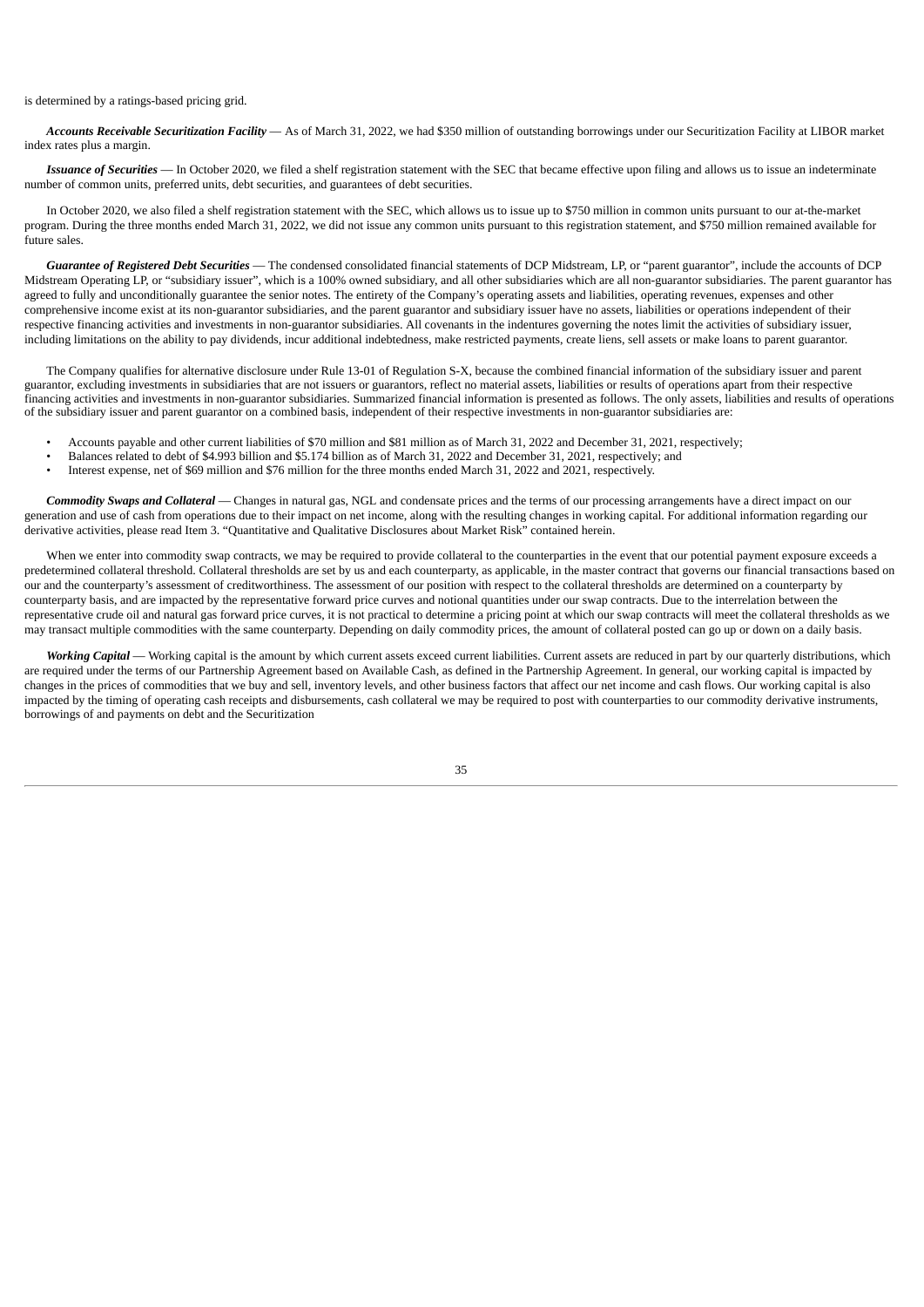#### is determined by a ratings-based pricing grid.

*Accounts Receivable Securitization Facility* — As of March 31, 2022, we had \$350 million of outstanding borrowings under our Securitization Facility at LIBOR market index rates plus a margin.

*Issuance of Securities* — In October 2020, we filed a shelf registration statement with the SEC that became effective upon filing and allows us to issue an indeterminate number of common units, preferred units, debt securities, and guarantees of debt securities.

In October 2020, we also filed a shelf registration statement with the SEC, which allows us to issue up to \$750 million in common units pursuant to our at-the-market program. During the three months ended March 31, 2022, we did not issue any common units pursuant to this registration statement, and \$750 million remained available for future sales.

*Guarantee of Registered Debt Securities* — The condensed consolidated financial statements of DCP Midstream, LP, or "parent guarantor", include the accounts of DCP Midstream Operating LP, or "subsidiary issuer", which is a 100% owned subsidiary, and all other subsidiaries which are all non-guarantor subsidiaries. The parent guarantor has agreed to fully and unconditionally guarantee the senior notes. The entirety of the Company's operating assets and liabilities, operating revenues, expenses and other comprehensive income exist at its non-guarantor subsidiaries, and the parent guarantor and subsidiary issuer have no assets, liabilities or operations independent of their respective financing activities and investments in non-guarantor subsidiaries. All covenants in the indentures governing the notes limit the activities of subsidiary issuer, including limitations on the ability to pay dividends, incur additional indebtedness, make restricted payments, create liens, sell assets or make loans to parent guarantor.

The Company qualifies for alternative disclosure under Rule 13-01 of Regulation S-X, because the combined financial information of the subsidiary issuer and parent guarantor, excluding investments in subsidiaries that are not issuers or guarantors, reflect no material assets, liabilities or results of operations apart from their respective financing activities and investments in non-guarantor subsidiaries. Summarized financial information is presented as follows. The only assets, liabilities and results of operations of the subsidiary issuer and parent guarantor on a combined basis, independent of their respective investments in non-guarantor subsidiaries are:

- Accounts payable and other current liabilities of \$70 million and \$81 million as of March 31, 2022 and December 31, 2021, respectively;
- Balances related to debt of \$4.993 billion and \$5.174 billion as of March 31, 2022 and December 31, 2021, respectively; and
- Interest expense, net of \$69 million and \$76 million for the three months ended March 31, 2022 and 2021, respectively.

*Commodity Swaps and Collateral* — Changes in natural gas, NGL and condensate prices and the terms of our processing arrangements have a direct impact on our generation and use of cash from operations due to their impact on net income, along with the resulting changes in working capital. For additional information regarding our derivative activities, please read Item 3. "Quantitative and Qualitative Disclosures about Market Risk" contained herein.

When we enter into commodity swap contracts, we may be required to provide collateral to the counterparties in the event that our potential payment exposure exceeds a predetermined collateral threshold. Collateral thresholds are set by us and each counterparty, as applicable, in the master contract that governs our financial transactions based on our and the counterparty's assessment of creditworthiness. The assessment of our position with respect to the collateral thresholds are determined on a counterparty by counterparty basis, and are impacted by the representative forward price curves and notional quantities under our swap contracts. Due to the interrelation between the representative crude oil and natural gas forward price curves, it is not practical to determine a pricing point at which our swap contracts will meet the collateral thresholds as we may transact multiple commodities with the same counterparty. Depending on daily commodity prices, the amount of collateral posted can go up or down on a daily basis.

*Working Capital* — Working capital is the amount by which current assets exceed current liabilities. Current assets are reduced in part by our quarterly distributions, which are required under the terms of our Partnership Agreement based on Available Cash, as defined in the Partnership Agreement. In general, our working capital is impacted by changes in the prices of commodities that we buy and sell, inventory levels, and other business factors that affect our net income and cash flows. Our working capital is also impacted by the timing of operating cash receipts and disbursements, cash collateral we may be required to post with counterparties to our commodity derivative instruments, borrowings of and payments on debt and the Securitization

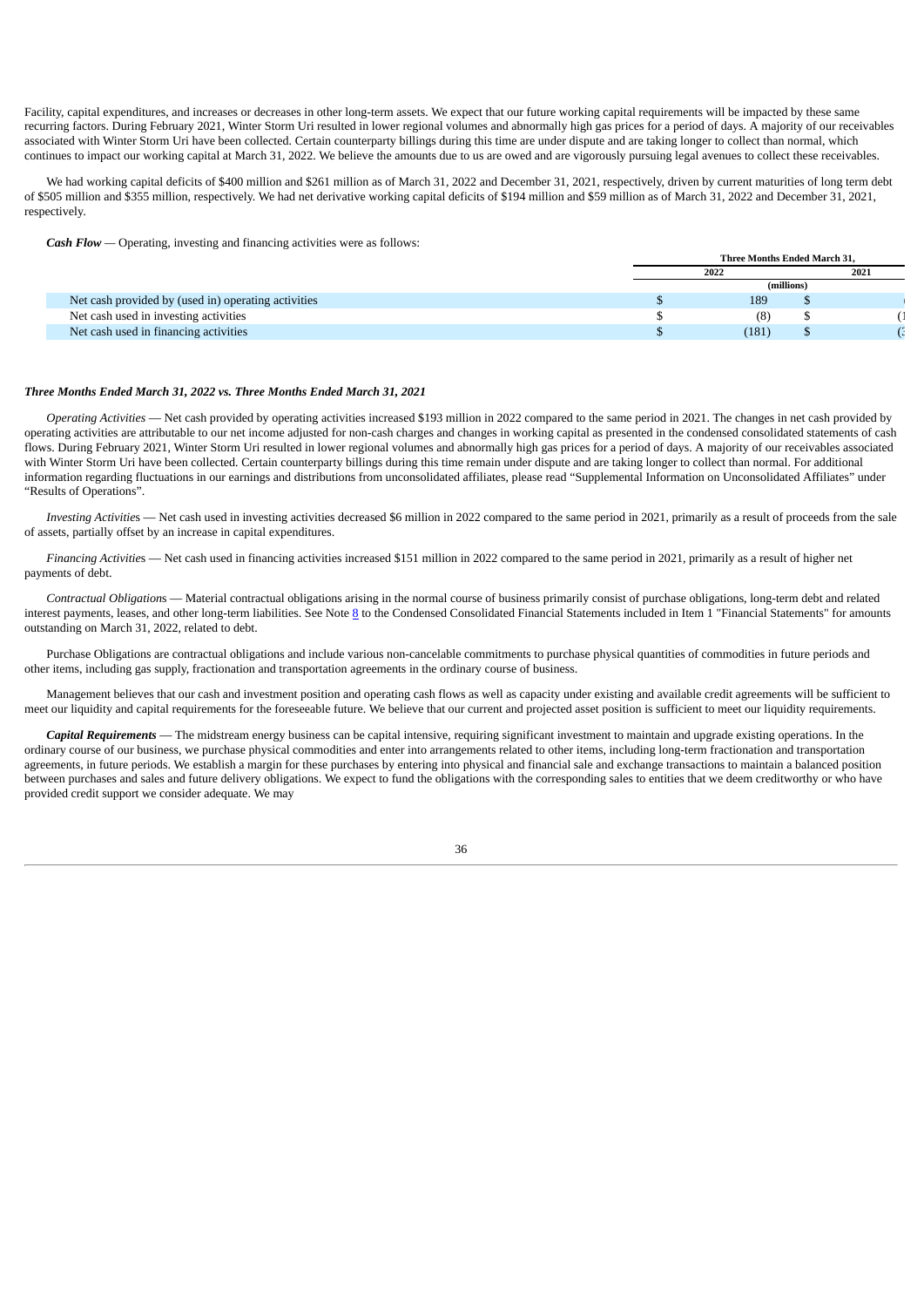Facility, capital expenditures, and increases or decreases in other long-term assets. We expect that our future working capital requirements will be impacted by these same recurring factors. During February 2021, Winter Storm Uri resulted in lower regional volumes and abnormally high gas prices for a period of days. A majority of our receivables associated with Winter Storm Uri have been collected. Certain counterparty billings during this time are under dispute and are taking longer to collect than normal, which continues to impact our working capital at March 31, 2022. We believe the amounts due to us are owed and are vigorously pursuing legal avenues to collect these receivables.

We had working capital deficits of \$400 million and \$261 million as of March 31, 2022 and December 31, 2021, respectively, driven by current maturities of long term debt of \$505 million and \$355 million, respectively. We had net derivative working capital deficits of \$194 million and \$59 million as of March 31, 2022 and December 31, 2021, respectively.

*Cash Flow —* Operating, investing and financing activities were as follows:

|                                                     | Three Months Ended March 31. |       |  |      |  |
|-----------------------------------------------------|------------------------------|-------|--|------|--|
|                                                     | 2022                         |       |  | 2021 |  |
|                                                     | (millions)                   |       |  |      |  |
| Net cash provided by (used in) operating activities |                              | 189   |  |      |  |
| Net cash used in investing activities               |                              | (8)   |  |      |  |
| Net cash used in financing activities               |                              | (181) |  |      |  |

**Three Months Ended March 31,**

#### *Three Months Ended March 31, 2022 vs. Three Months Ended March 31, 2021*

*Operating Activities* — Net cash provided by operating activities increased \$193 million in 2022 compared to the same period in 2021. The changes in net cash provided by operating activities are attributable to our net income adjusted for non-cash charges and changes in working capital as presented in the condensed consolidated statements of cash flows. During February 2021, Winter Storm Uri resulted in lower regional volumes and abnormally high gas prices for a period of days. A majority of our receivables associated with Winter Storm Uri have been collected. Certain counterparty billings during this time remain under dispute and are taking longer to collect than normal. For additional information regarding fluctuations in our earnings and distributions from unconsolidated affiliates, please read "Supplemental Information on Unconsolidated Affiliates" under "Results of Operations".

*Investing Activitie*s — Net cash used in investing activities decreased \$6 million in 2022 compared to the same period in 2021, primarily as a result of proceeds from the sale of assets, partially offset by an increase in capital expenditures.

*Financing Activitie*s — Net cash used in financing activities increased \$151 million in 2022 compared to the same period in 2021, primarily as a result of higher net payments of debt.

*Contractual Obligation*s — Material contractual obligations arising in the normal course of business primarily consist of purchase obligations, long-term debt and related interest payments, leases, and other long-term liabilities. See Note  $8$  to the Condensed Consolidated Financial Statements included in Item 1 "Financial Statements" for amounts outstanding on March 31, 2022, related to debt.

Purchase Obligations are contractual obligations and include various non-cancelable commitments to purchase physical quantities of commodities in future periods and other items, including gas supply, fractionation and transportation agreements in the ordinary course of business.

Management believes that our cash and investment position and operating cash flows as well as capacity under existing and available credit agreements will be sufficient to meet our liquidity and capital requirements for the foreseeable future. We believe that our current and projected asset position is sufficient to meet our liquidity requirements.

*Capital Requirements* — The midstream energy business can be capital intensive, requiring significant investment to maintain and upgrade existing operations. In the ordinary course of our business, we purchase physical commodities and enter into arrangements related to other items, including long-term fractionation and transportation agreements, in future periods. We establish a margin for these purchases by entering into physical and financial sale and exchange transactions to maintain a balanced position between purchases and sales and future delivery obligations. We expect to fund the obligations with the corresponding sales to entities that we deem creditworthy or who have provided credit support we consider adequate. We may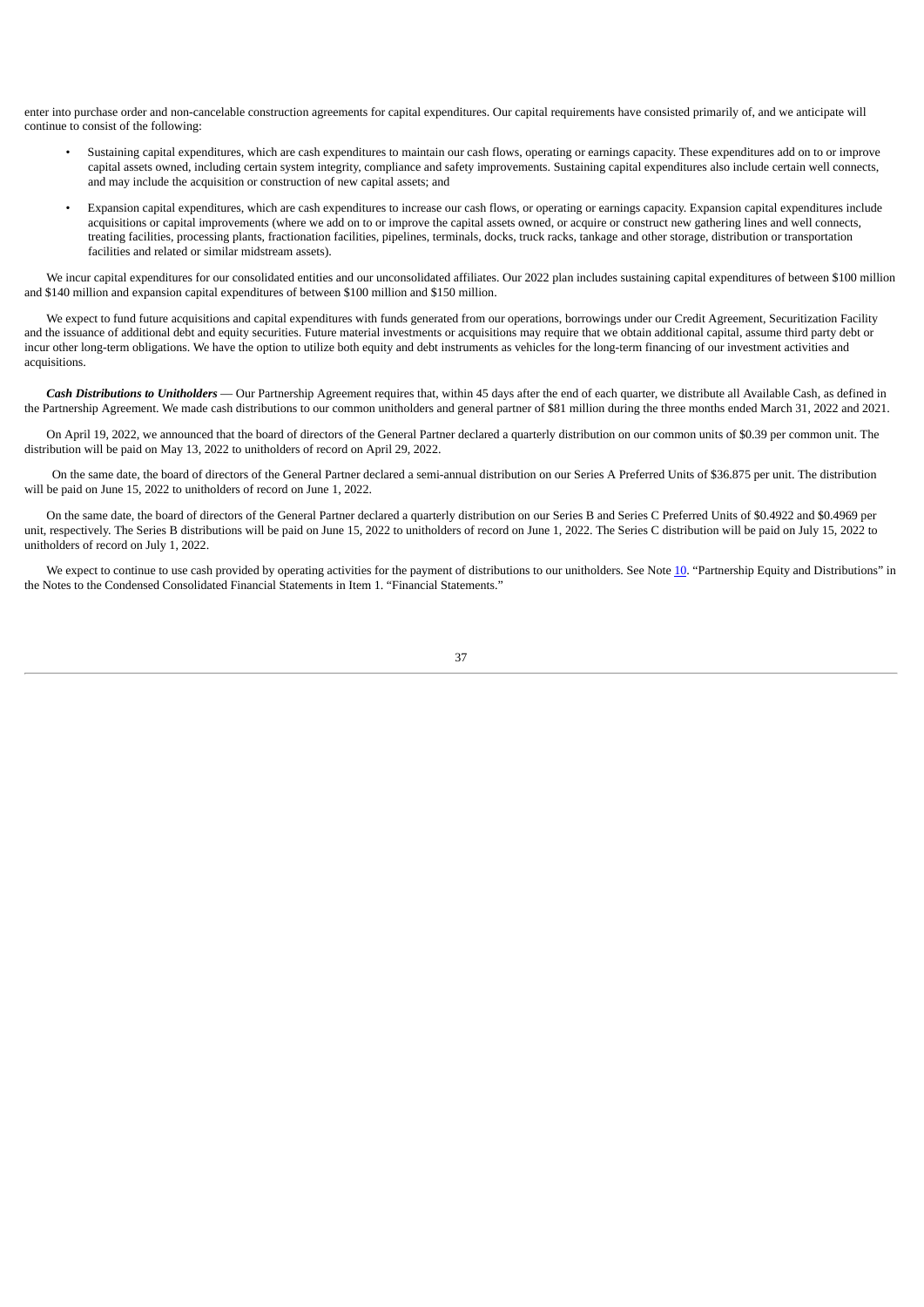enter into purchase order and non-cancelable construction agreements for capital expenditures. Our capital requirements have consisted primarily of, and we anticipate will continue to consist of the following:

- Sustaining capital expenditures, which are cash expenditures to maintain our cash flows, operating or earnings capacity. These expenditures add on to or improve capital assets owned, including certain system integrity, compliance and safety improvements. Sustaining capital expenditures also include certain well connects, and may include the acquisition or construction of new capital assets; and
- Expansion capital expenditures, which are cash expenditures to increase our cash flows, or operating or earnings capacity. Expansion capital expenditures include acquisitions or capital improvements (where we add on to or improve the capital assets owned, or acquire or construct new gathering lines and well connects, treating facilities, processing plants, fractionation facilities, pipelines, terminals, docks, truck racks, tankage and other storage, distribution or transportation facilities and related or similar midstream assets).

We incur capital expenditures for our consolidated entities and our unconsolidated affiliates. Our 2022 plan includes sustaining capital expenditures of between \$100 million and \$140 million and expansion capital expenditures of between \$100 million and \$150 million.

We expect to fund future acquisitions and capital expenditures with funds generated from our operations, borrowings under our Credit Agreement, Securitization Facility and the issuance of additional debt and equity securities. Future material investments or acquisitions may require that we obtain additional capital, assume third party debt or incur other long-term obligations. We have the option to utilize both equity and debt instruments as vehicles for the long-term financing of our investment activities and acquisitions.

*Cash Distributions to Unitholders* — Our Partnership Agreement requires that, within 45 days after the end of each quarter, we distribute all Available Cash, as defined in the Partnership Agreement. We made cash distributions to our common unitholders and general partner of \$81 million during the three months ended March 31, 2022 and 2021.

On April 19, 2022, we announced that the board of directors of the General Partner declared a quarterly distribution on our common units of \$0.39 per common unit. The distribution will be paid on May 13, 2022 to unitholders of record on April 29, 2022.

On the same date, the board of directors of the General Partner declared a semi-annual distribution on our Series A Preferred Units of \$36.875 per unit. The distribution will be paid on June 15, 2022 to unitholders of record on June 1, 2022.

On the same date, the board of directors of the General Partner declared a quarterly distribution on our Series B and Series C Preferred Units of \$0.4922 and \$0.4969 per unit, respectively. The Series B distributions will be paid on June 15, 2022 to unitholders of record on June 1, 2022. The Series C distribution will be paid on July 15, 2022 to unitholders of record on July 1, 2022.

We expect to continue to use cash provided by operating activities for the payment of distributions to our unitholders. See Note [10.](#page-22-0) "Partnership Equity and Distributions" in the Notes to the Condensed Consolidated Financial Statements in Item 1. "Financial Statements."

| ï<br>٠<br>۰, | ť, |
|--------------|----|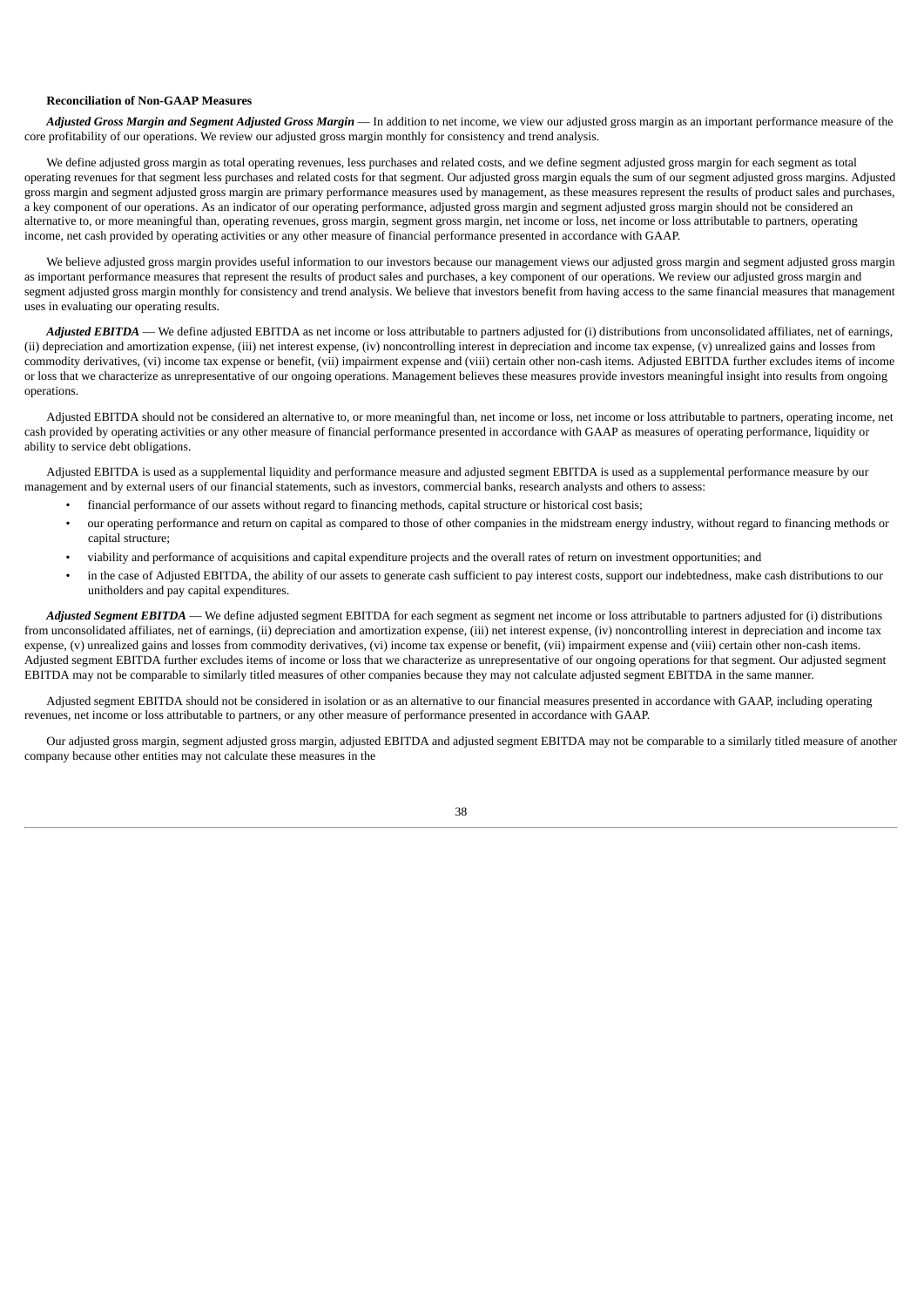# **Reconciliation of Non-GAAP Measures**

*Adjusted Gross Margin and Segment Adjusted Gross Margin* — In addition to net income, we view our adjusted gross margin as an important performance measure of the core profitability of our operations. We review our adjusted gross margin monthly for consistency and trend analysis.

We define adjusted gross margin as total operating revenues, less purchases and related costs, and we define segment adjusted gross margin for each segment as total operating revenues for that segment less purchases and related costs for that segment. Our adjusted gross margin equals the sum of our segment adjusted gross margins. Adjusted gross margin and segment adjusted gross margin are primary performance measures used by management, as these measures represent the results of product sales and purchases, a key component of our operations. As an indicator of our operating performance, adjusted gross margin and segment adjusted gross margin should not be considered an alternative to, or more meaningful than, operating revenues, gross margin, segment gross margin, net income or loss, net income or loss attributable to partners, operating income, net cash provided by operating activities or any other measure of financial performance presented in accordance with GAAP.

We believe adjusted gross margin provides useful information to our investors because our management views our adjusted gross margin and segment adjusted gross margin as important performance measures that represent the results of product sales and purchases, a key component of our operations. We review our adjusted gross margin and segment adjusted gross margin monthly for consistency and trend analysis. We believe that investors benefit from having access to the same financial measures that management uses in evaluating our operating results.

*Adjusted EBITDA* — We define adjusted EBITDA as net income or loss attributable to partners adjusted for (i) distributions from unconsolidated affiliates, net of earnings, (ii) depreciation and amortization expense, (iii) net interest expense, (iv) noncontrolling interest in depreciation and income tax expense, (v) unrealized gains and losses from commodity derivatives, (vi) income tax expense or benefit, (vii) impairment expense and (viii) certain other non-cash items. Adjusted EBITDA further excludes items of income or loss that we characterize as unrepresentative of our ongoing operations. Management believes these measures provide investors meaningful insight into results from ongoing operations.

Adjusted EBITDA should not be considered an alternative to, or more meaningful than, net income or loss, net income or loss attributable to partners, operating income, net cash provided by operating activities or any other measure of financial performance presented in accordance with GAAP as measures of operating performance, liquidity or ability to service debt obligations.

Adjusted EBITDA is used as a supplemental liquidity and performance measure and adjusted segment EBITDA is used as a supplemental performance measure by our management and by external users of our financial statements, such as investors, commercial banks, research analysts and others to assess:

- financial performance of our assets without regard to financing methods, capital structure or historical cost basis;
- our operating performance and return on capital as compared to those of other companies in the midstream energy industry, without regard to financing methods or capital structure;
- viability and performance of acquisitions and capital expenditure projects and the overall rates of return on investment opportunities; and
- in the case of Adjusted EBITDA, the ability of our assets to generate cash sufficient to pay interest costs, support our indebtedness, make cash distributions to our unitholders and pay capital expenditures.

Adjusted Segment EBITDA — We define adjusted segment EBITDA for each segment as segment net income or loss attributable to partners adjusted for (i) distributions from unconsolidated affiliates, net of earnings, (ii) depreciation and amortization expense, (iii) net interest expense, (iv) noncontrolling interest in depreciation and income tax expense, (v) unrealized gains and losses from commodity derivatives, (vi) income tax expense or benefit, (vii) impairment expense and (viii) certain other non-cash items. Adjusted segment EBITDA further excludes items of income or loss that we characterize as unrepresentative of our ongoing operations for that segment. Our adjusted segment EBITDA may not be comparable to similarly titled measures of other companies because they may not calculate adjusted segment EBITDA in the same manner.

Adjusted segment EBITDA should not be considered in isolation or as an alternative to our financial measures presented in accordance with GAAP, including operating revenues, net income or loss attributable to partners, or any other measure of performance presented in accordance with GAAP.

Our adjusted gross margin, segment adjusted gross margin, adjusted EBITDA and adjusted segment EBITDA may not be comparable to a similarly titled measure of another company because other entities may not calculate these measures in the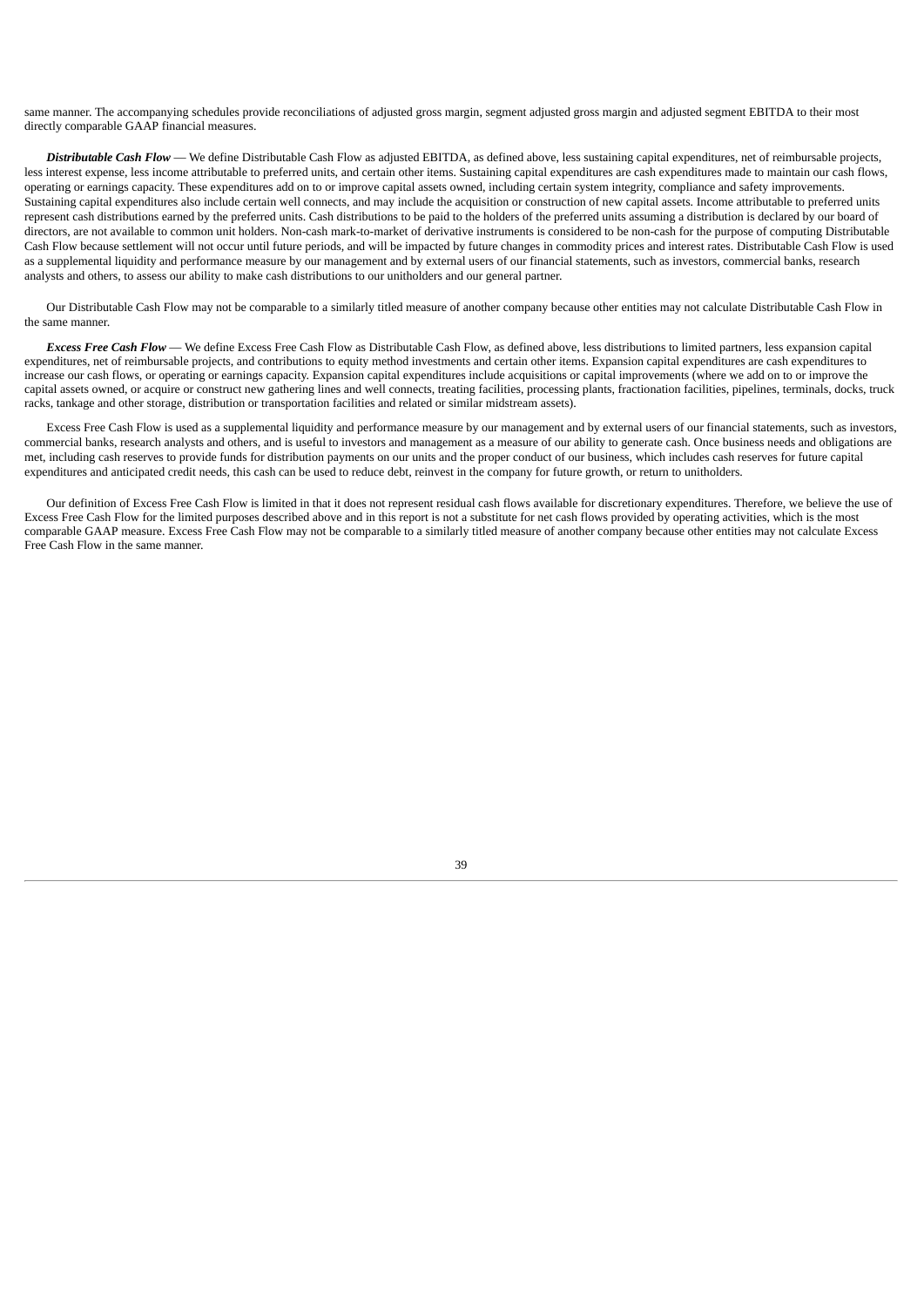same manner. The accompanying schedules provide reconciliations of adjusted gross margin, segment adjusted gross margin and adjusted segment EBITDA to their most directly comparable GAAP financial measures.

*Distributable Cash Flow* — We define Distributable Cash Flow as adjusted EBITDA, as defined above, less sustaining capital expenditures, net of reimbursable projects, less interest expense, less income attributable to preferred units, and certain other items. Sustaining capital expenditures are cash expenditures made to maintain our cash flows, operating or earnings capacity. These expenditures add on to or improve capital assets owned, including certain system integrity, compliance and safety improvements. Sustaining capital expenditures also include certain well connects, and may include the acquisition or construction of new capital assets. Income attributable to preferred units represent cash distributions earned by the preferred units. Cash distributions to be paid to the holders of the preferred units assuming a distribution is declared by our board of directors, are not available to common unit holders. Non-cash mark-to-market of derivative instruments is considered to be non-cash for the purpose of computing Distributable Cash Flow because settlement will not occur until future periods, and will be impacted by future changes in commodity prices and interest rates. Distributable Cash Flow is used as a supplemental liquidity and performance measure by our management and by external users of our financial statements, such as investors, commercial banks, research analysts and others, to assess our ability to make cash distributions to our unitholders and our general partner.

Our Distributable Cash Flow may not be comparable to a similarly titled measure of another company because other entities may not calculate Distributable Cash Flow in the same manner.

*Excess Free Cash Flow* — We define Excess Free Cash Flow as Distributable Cash Flow, as defined above, less distributions to limited partners, less expansion capital expenditures, net of reimbursable projects, and contributions to equity method investments and certain other items. Expansion capital expenditures are cash expenditures to increase our cash flows, or operating or earnings capacity. Expansion capital expenditures include acquisitions or capital improvements (where we add on to or improve the capital assets owned, or acquire or construct new gathering lines and well connects, treating facilities, processing plants, fractionation facilities, pipelines, terminals, docks, truck racks, tankage and other storage, distribution or transportation facilities and related or similar midstream assets).

Excess Free Cash Flow is used as a supplemental liquidity and performance measure by our management and by external users of our financial statements, such as investors, commercial banks, research analysts and others, and is useful to investors and management as a measure of our ability to generate cash. Once business needs and obligations are met, including cash reserves to provide funds for distribution payments on our units and the proper conduct of our business, which includes cash reserves for future capital expenditures and anticipated credit needs, this cash can be used to reduce debt, reinvest in the company for future growth, or return to unitholders.

Our definition of Excess Free Cash Flow is limited in that it does not represent residual cash flows available for discretionary expenditures. Therefore, we believe the use of Excess Free Cash Flow for the limited purposes described above and in this report is not a substitute for net cash flows provided by operating activities, which is the most comparable GAAP measure. Excess Free Cash Flow may not be comparable to a similarly titled measure of another company because other entities may not calculate Excess Free Cash Flow in the same manner.

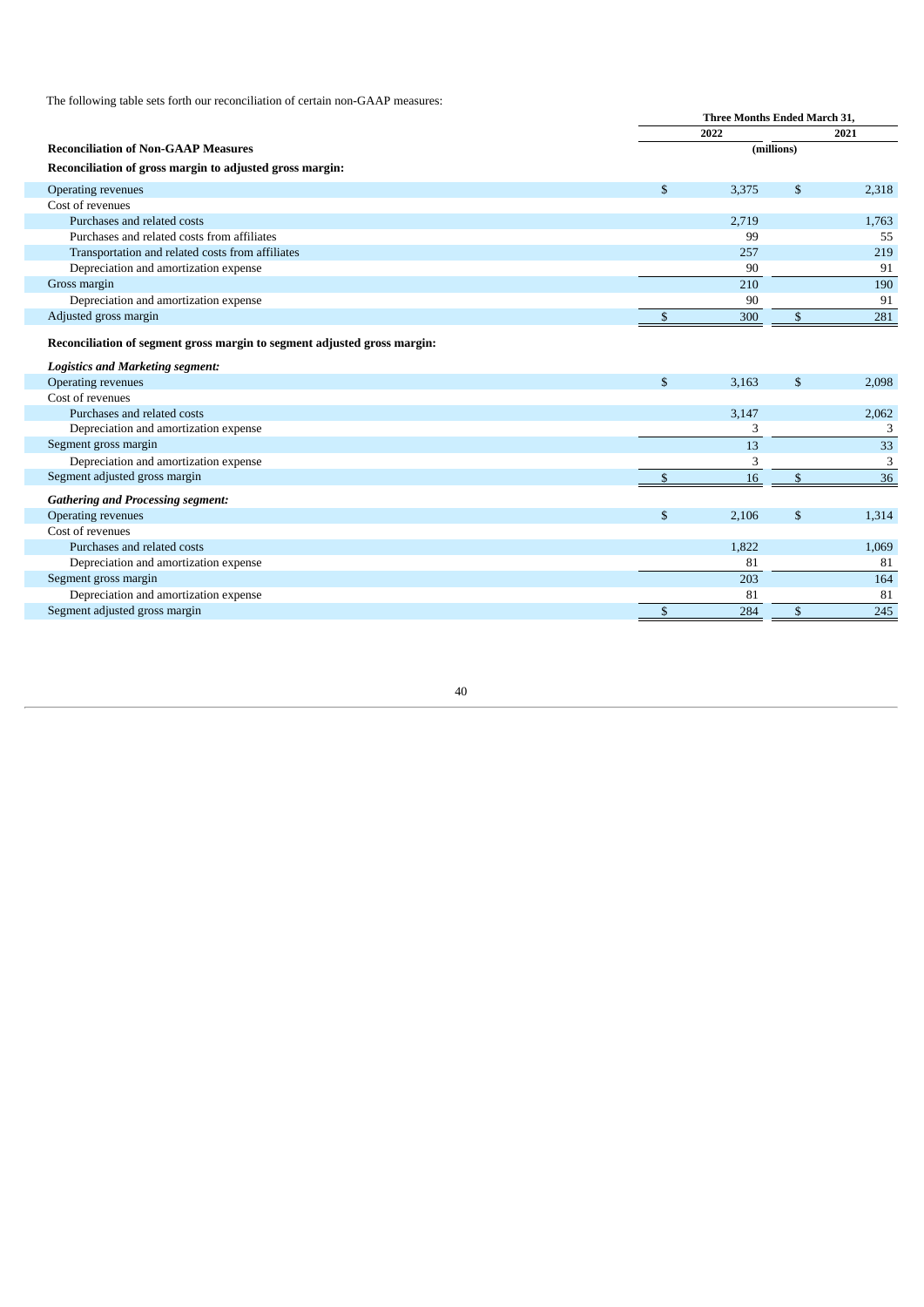The following table sets forth our reconciliation of certain non-GAAP measures:

|                                                          |                | <b>Three Months Ended March 31,</b> |                |       |  |  |
|----------------------------------------------------------|----------------|-------------------------------------|----------------|-------|--|--|
|                                                          |                | 2022                                |                | 2021  |  |  |
| <b>Reconciliation of Non-GAAP Measures</b>               |                | (millions)                          |                |       |  |  |
| Reconciliation of gross margin to adjusted gross margin: |                |                                     |                |       |  |  |
| <b>Operating revenues</b>                                | \$             | 3,375                               | \$             | 2,318 |  |  |
| Cost of revenues                                         |                |                                     |                |       |  |  |
| Purchases and related costs                              |                | 2,719                               |                | 1,763 |  |  |
| Purchases and related costs from affiliates              |                | 99                                  |                | 55    |  |  |
| Transportation and related costs from affiliates         |                | 257                                 |                | 219   |  |  |
| Depreciation and amortization expense                    |                | 90                                  |                | 91    |  |  |
| Gross margin                                             |                | 210                                 |                | 190   |  |  |
| Depreciation and amortization expense                    |                | 90                                  |                | 91    |  |  |
| Adjusted gross margin                                    |                | 300                                 | $\mathfrak{S}$ | 281   |  |  |
| <b>Logistics and Marketing segment:</b>                  |                |                                     |                |       |  |  |
|                                                          |                |                                     |                |       |  |  |
| <b>Operating revenues</b>                                | \$             | 3,163                               | $\mathfrak{S}$ | 2,098 |  |  |
| Cost of revenues                                         |                |                                     |                |       |  |  |
| Purchases and related costs                              |                | 3,147                               |                | 2,062 |  |  |
| Depreciation and amortization expense                    |                | 3                                   |                | 3     |  |  |
| Segment gross margin                                     |                | 13                                  |                | 33    |  |  |
| Depreciation and amortization expense                    |                | 3                                   |                | 3     |  |  |
| Segment adjusted gross margin                            |                | 16                                  | \$             | 36    |  |  |
| <b>Gathering and Processing segment:</b>                 |                |                                     |                |       |  |  |
| Operating revenues                                       | \$             | 2,106                               | $\mathfrak{s}$ | 1,314 |  |  |
| Cost of revenues                                         |                |                                     |                |       |  |  |
| Purchases and related costs                              |                | 1,822                               |                | 1,069 |  |  |
| Depreciation and amortization expense                    |                | 81                                  |                | 81    |  |  |
| Segment gross margin                                     |                | 203                                 |                | 164   |  |  |
| Depreciation and amortization expense                    |                | 81                                  |                | 81    |  |  |
| Segment adjusted gross margin                            | $\mathfrak{F}$ | 284                                 | $\mathbb{S}$   | 245   |  |  |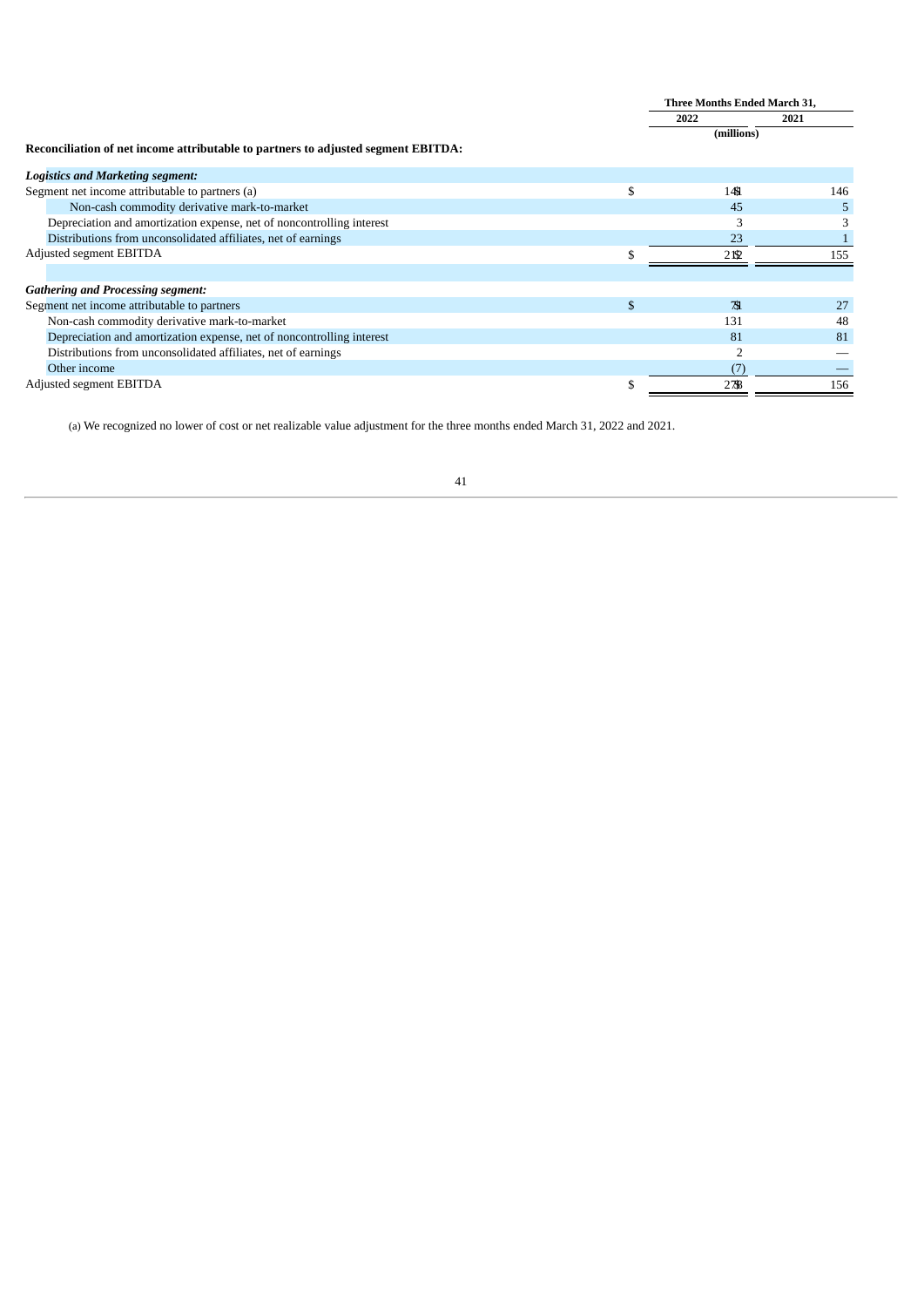|                                                                                   |    | <b>Three Months Ended March 31.</b> |      |  |
|-----------------------------------------------------------------------------------|----|-------------------------------------|------|--|
|                                                                                   |    | 2022                                | 2021 |  |
|                                                                                   |    | (millions)                          |      |  |
| Reconciliation of net income attributable to partners to adjusted segment EBITDA: |    |                                     |      |  |
| <b>Logistics and Marketing segment:</b>                                           |    |                                     |      |  |
| Segment net income attributable to partners (a)                                   | S  | 149                                 | 146  |  |
| Non-cash commodity derivative mark-to-market                                      |    | 45                                  | 5.   |  |
| Depreciation and amortization expense, net of noncontrolling interest             |    |                                     |      |  |
| Distributions from unconsolidated affiliates, net of earnings                     |    | 23                                  |      |  |
| Adjusted segment EBITDA                                                           |    | 219                                 | 155  |  |
|                                                                                   |    |                                     |      |  |
| <b>Gathering and Processing segment:</b>                                          |    |                                     |      |  |
| Segment net income attributable to partners                                       | \$ | 乪                                   | 27   |  |
| Non-cash commodity derivative mark-to-market                                      |    | 131                                 | 48   |  |
| Depreciation and amortization expense, net of noncontrolling interest             |    | 81                                  | 81   |  |
| Distributions from unconsolidated affiliates, net of earnings                     |    |                                     |      |  |
| Other income                                                                      |    |                                     |      |  |
| Adjusted segment EBITDA                                                           | N, | 27B                                 | 156  |  |
|                                                                                   |    |                                     |      |  |

(a) We recognized no lower of cost or net realizable value adjustment for the three months ended March 31, 2022 and 2021.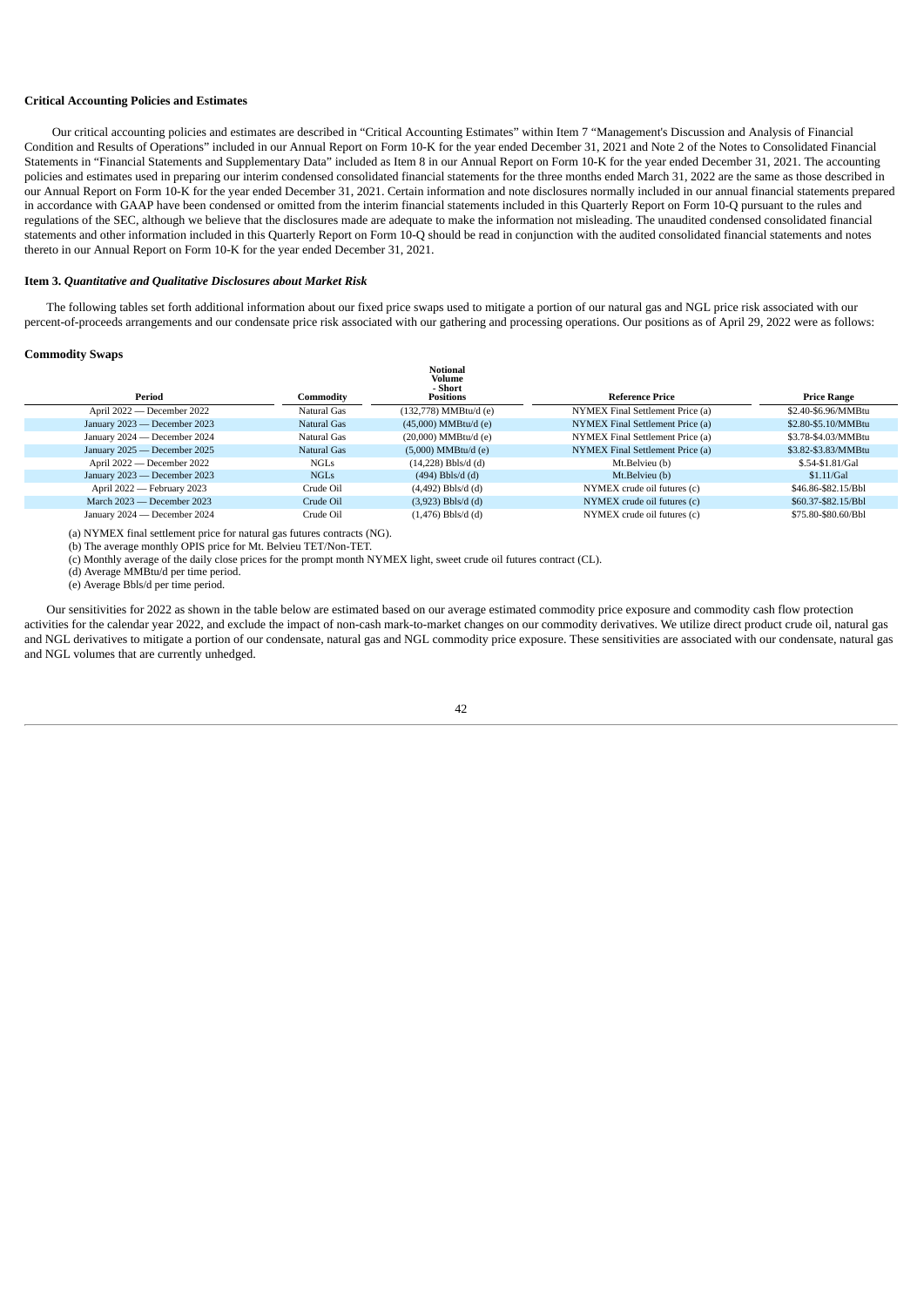# **Critical Accounting Policies and Estimates**

Our critical accounting policies and estimates are described in "Critical Accounting Estimates" within Item 7 "Management's Discussion and Analysis of Financial Condition and Results of Operations" included in our Annual Report on Form 10-K for the year ended December 31, 2021 and Note 2 of the Notes to Consolidated Financial Statements in "Financial Statements and Supplementary Data" included as Item 8 in our Annual Report on Form 10-K for the year ended December 31, 2021. The accounting policies and estimates used in preparing our interim condensed consolidated financial statements for the three months ended March 31, 2022 are the same as those described in our Annual Report on Form 10-K for the year ended December 31, 2021. Certain information and note disclosures normally included in our annual financial statements prepared in accordance with GAAP have been condensed or omitted from the interim financial statements included in this Quarterly Report on Form 10-Q pursuant to the rules and regulations of the SEC, although we believe that the disclosures made are adequate to make the information not misleading. The unaudited condensed consolidated financial statements and other information included in this Quarterly Report on Form 10-Q should be read in conjunction with the audited consolidated financial statements and notes thereto in our Annual Report on Form 10-K for the year ended December 31, 2021.

# <span id="page-45-0"></span>**Item 3.** *Quantitative and Qualitative Disclosures about Market Risk*

The following tables set forth additional information about our fixed price swaps used to mitigate a portion of our natural gas and NGL price risk associated with our percent-of-proceeds arrangements and our condensate price risk associated with our gathering and processing operations. Our positions as of April 29, 2022 were as follows:

# **Commodity Swaps**

|                              |             | <b>Notional</b><br>Volume<br>- Short |                                  |                     |
|------------------------------|-------------|--------------------------------------|----------------------------------|---------------------|
| Period                       | Commodity   | <b>Positions</b>                     | <b>Reference Price</b>           | <b>Price Range</b>  |
| April 2022 — December 2022   | Natural Gas | (132,778) MMBtu/d (e)                | NYMEX Final Settlement Price (a) | \$2.40-\$6.96/MMBtu |
| January 2023 - December 2023 | Natural Gas | $(45,000)$ MMBtu/d $(e)$             | NYMEX Final Settlement Price (a) | \$2.80-\$5.10/MMBtu |
| January 2024 - December 2024 | Natural Gas | $(20,000)$ MMBtu/d $(e)$             | NYMEX Final Settlement Price (a) | \$3.78-\$4.03/MMBtu |
| January 2025 - December 2025 | Natural Gas | $(5,000)$ MMBtu/d $(e)$              | NYMEX Final Settlement Price (a) | \$3.82-\$3.83/MMBtu |
| April 2022 — December 2022   | <b>NGLs</b> | $(14,228)$ Bbls/d $(d)$              | Mt.Belvieu (b)                   | $$.54-S1.81/Gal$    |
| January 2023 — December 2023 | <b>NGLs</b> | $(494)$ Bbls/d $(d)$                 | Mt.Belvieu (b)                   | \$1.11/Gal          |
| April 2022 - February 2023   | Crude Oil   | $(4,492)$ Bbls/d $(d)$               | NYMEX crude oil futures (c)      | \$46.86-\$82.15/Bbl |
| March 2023 — December 2023   | Crude Oil   | $(3,923)$ Bbls/d $(d)$               | NYMEX crude oil futures (c)      | \$60.37-\$82.15/Bbl |
| January 2024 - December 2024 | Crude Oil   | $(1,476)$ Bbls/d $(d)$               | NYMEX crude oil futures (c)      | \$75.80-\$80.60/Bbl |

(a) NYMEX final settlement price for natural gas futures contracts (NG).

(b) The average monthly OPIS price for Mt. Belvieu TET/Non-TET.

(c) Monthly average of the daily close prices for the prompt month NYMEX light, sweet crude oil futures contract (CL).

(d) Average MMBtu/d per time period. (e) Average Bbls/d per time period.

Our sensitivities for 2022 as shown in the table below are estimated based on our average estimated commodity price exposure and commodity cash flow protection activities for the calendar year 2022, and exclude the impact of non-cash mark-to-market changes on our commodity derivatives. We utilize direct product crude oil, natural gas and NGL derivatives to mitigate a portion of our condensate, natural gas and NGL commodity price exposure. These sensitivities are associated with our condensate, natural gas and NGL volumes that are currently unhedged.

 $\Delta$ 2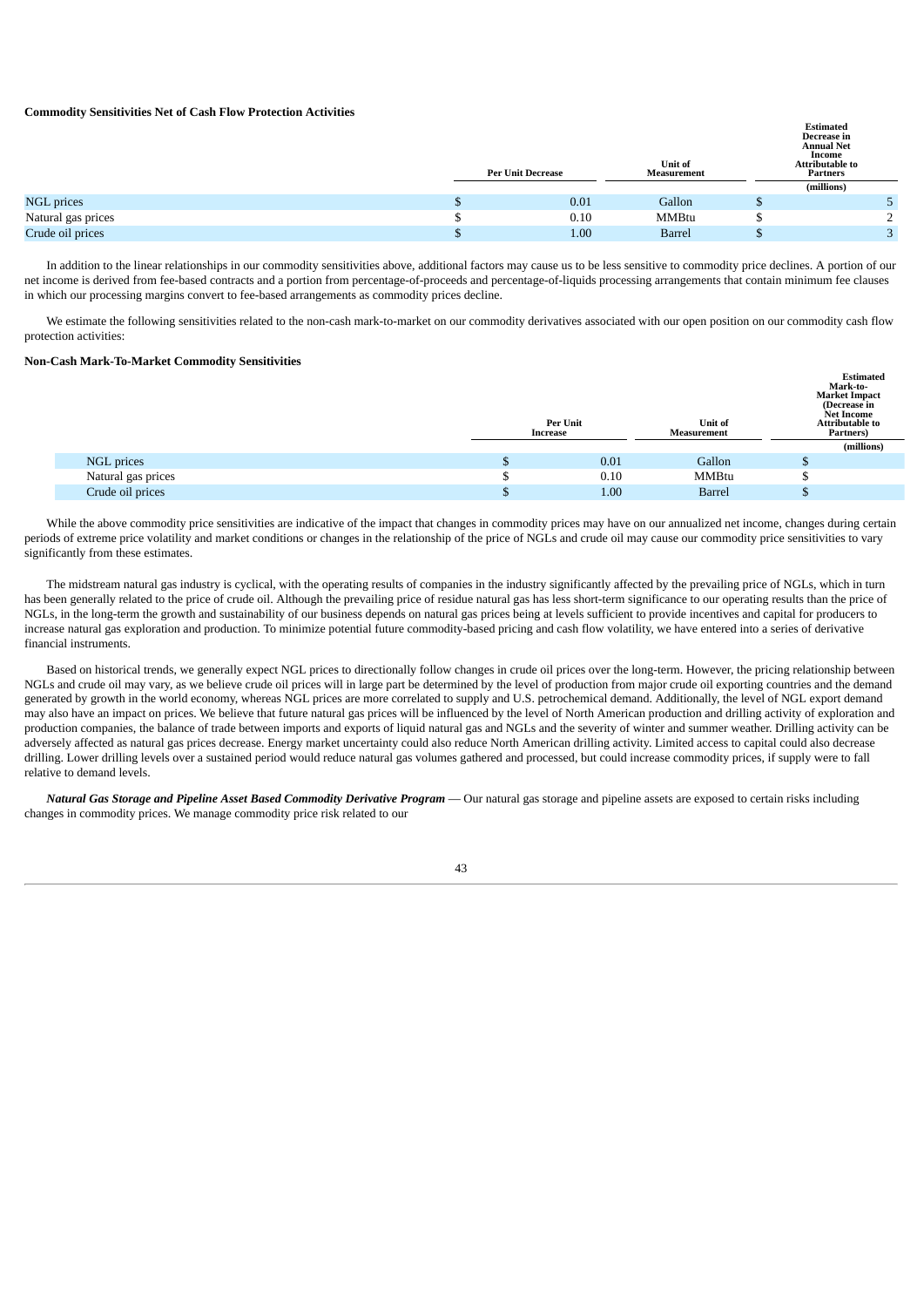# **Commodity Sensitivities Net of Cash Flow Protection Activities**

|                    | <b>Per Unit Decrease</b> | Unit of<br>Measurement | <b>Estimated</b><br>Decrease in<br><b>Annual Net</b><br>Income<br><b>Attributable to</b><br>Partners |  |
|--------------------|--------------------------|------------------------|------------------------------------------------------------------------------------------------------|--|
|                    |                          |                        | (millions)                                                                                           |  |
| <b>NGL</b> prices  | 0.01                     | Gallon                 |                                                                                                      |  |
| Natural gas prices | 0.10                     | <b>MMBtu</b>           | n                                                                                                    |  |
| Crude oil prices   | 1.00                     | <b>Barrel</b>          | $\overline{a}$                                                                                       |  |

In addition to the linear relationships in our commodity sensitivities above, additional factors may cause us to be less sensitive to commodity price declines. A portion of our net income is derived from fee-based contracts and a portion from percentage-of-proceeds and percentage-of-liquids processing arrangements that contain minimum fee clauses in which our processing margins convert to fee-based arrangements as commodity prices decline.

We estimate the following sensitivities related to the non-cash mark-to-market on our commodity derivatives associated with our open position on our commodity cash flow protection activities:

# **Non-Cash Mark-To-Market Commodity Sensitivities**

|                    | <b>Increase</b> | <b>Per Unit</b> | <b>Unit of</b><br>Measurement | <b>Estimated</b><br>Mark-to-<br><b>Market Impact</b><br>(Decrease in<br><b>Net Income</b><br><b>Attributable to</b><br>Partners) |
|--------------------|-----------------|-----------------|-------------------------------|----------------------------------------------------------------------------------------------------------------------------------|
|                    |                 |                 |                               | (millions)                                                                                                                       |
| NGL prices         |                 | 0.01            | Gallon                        |                                                                                                                                  |
| Natural gas prices |                 | 0.10            | <b>MMBtu</b>                  |                                                                                                                                  |
| Crude oil prices   |                 | 1.00            | <b>Barrel</b>                 |                                                                                                                                  |

While the above commodity price sensitivities are indicative of the impact that changes in commodity prices may have on our annualized net income, changes during certain periods of extreme price volatility and market conditions or changes in the relationship of the price of NGLs and crude oil may cause our commodity price sensitivities to vary significantly from these estimates.

The midstream natural gas industry is cyclical, with the operating results of companies in the industry significantly affected by the prevailing price of NGLs, which in turn has been generally related to the price of crude oil. Although the prevailing price of residue natural gas has less short-term significance to our operating results than the price of NGLs, in the long-term the growth and sustainability of our business depends on natural gas prices being at levels sufficient to provide incentives and capital for producers to increase natural gas exploration and production. To minimize potential future commodity-based pricing and cash flow volatility, we have entered into a series of derivative financial instruments.

Based on historical trends, we generally expect NGL prices to directionally follow changes in crude oil prices over the long-term. However, the pricing relationship between NGLs and crude oil may vary, as we believe crude oil prices will in large part be determined by the level of production from major crude oil exporting countries and the demand generated by growth in the world economy, whereas NGL prices are more correlated to supply and U.S. petrochemical demand. Additionally, the level of NGL export demand may also have an impact on prices. We believe that future natural gas prices will be influenced by the level of North American production and drilling activity of exploration and production companies, the balance of trade between imports and exports of liquid natural gas and NGLs and the severity of winter and summer weather. Drilling activity can be adversely affected as natural gas prices decrease. Energy market uncertainty could also reduce North American drilling activity. Limited access to capital could also decrease drilling. Lower drilling levels over a sustained period would reduce natural gas volumes gathered and processed, but could increase commodity prices, if supply were to fall relative to demand levels.

Natural Gas Storage and Pipeline Asset Based Commodity Derivative Program - Our natural gas storage and pipeline assets are exposed to certain risks including changes in commodity prices. We manage commodity price risk related to our

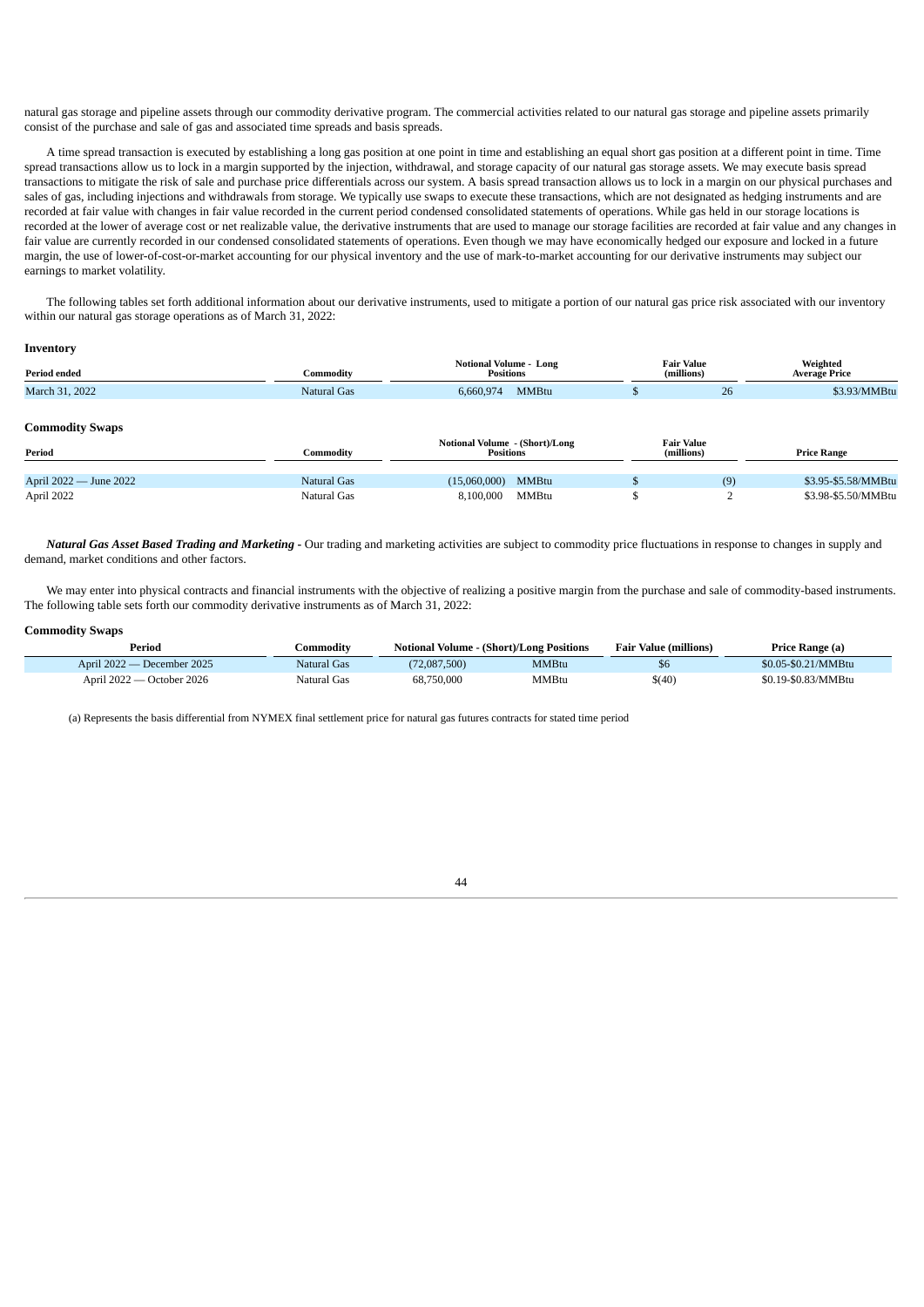natural gas storage and pipeline assets through our commodity derivative program. The commercial activities related to our natural gas storage and pipeline assets primarily consist of the purchase and sale of gas and associated time spreads and basis spreads.

A time spread transaction is executed by establishing a long gas position at one point in time and establishing an equal short gas position at a different point in time. Time spread transactions allow us to lock in a margin supported by the injection, withdrawal, and storage capacity of our natural gas storage assets. We may execute basis spread transactions to mitigate the risk of sale and purchase price differentials across our system. A basis spread transaction allows us to lock in a margin on our physical purchases and sales of gas, including injections and withdrawals from storage. We typically use swaps to execute these transactions, which are not designated as hedging instruments and are recorded at fair value with changes in fair value recorded in the current period condensed consolidated statements of operations. While gas held in our storage locations is recorded at the lower of average cost or net realizable value, the derivative instruments that are used to manage our storage facilities are recorded at fair value and any changes in fair value are currently recorded in our condensed consolidated statements of operations. Even though we may have economically hedged our exposure and locked in a future margin, the use of lower-of-cost-or-market accounting for our physical inventory and the use of mark-to-market accounting for our derivative instruments may subject our earnings to market volatility.

The following tables set forth additional information about our derivative instruments, used to mitigate a portion of our natural gas price risk associated with our inventory within our natural gas storage operations as of March 31, 2022:

| Inventory                        |             |                                                           |    |                                 |                                  |
|----------------------------------|-------------|-----------------------------------------------------------|----|---------------------------------|----------------------------------|
| <b>Period ended</b>              | Commodity   | <b>Notional Volume - Long</b><br><b>Positions</b>         |    | <b>Fair Value</b><br>(millions) | Weighted<br><b>Average Price</b> |
| March 31, 2022                   | Natural Gas | <b>MMBtu</b><br>6,660,974                                 | Æ  | 26                              | \$3.93/MMBtu                     |
| <b>Commodity Swaps</b><br>Period | Commodity   | <b>Notional Volume - (Short)/Long</b><br><b>Positions</b> |    | <b>Fair Value</b><br>(millions) | <b>Price Range</b>               |
| April 2022 — June 2022           | Natural Gas | (15,060,000)<br><b>MMBtu</b>                              | S  | (9)                             | \$3.95-\$5.58/MMBtu              |
| April 2022                       | Natural Gas | 8,100,000<br>MMBtu                                        | \$ | n<br>∠                          | \$3.98-\$5.50/MMBtu              |

*Natural Gas Asset Based Trading and Marketing* **-** Our trading and marketing activities are subject to commodity price fluctuations in response to changes in supply and demand, market conditions and other factors.

We may enter into physical contracts and financial instruments with the objective of realizing a positive margin from the purchase and sale of commodity-based instruments. The following table sets forth our commodity derivative instruments as of March 31, 2022:

# **Commodity Swaps**

| Period                     | <b>Commodity</b> | <b>Notional Volume - (Short)/Long Positions</b> |              | <b>Fair Value (millions)</b> | Price Range (a)     |
|----------------------------|------------------|-------------------------------------------------|--------------|------------------------------|---------------------|
| April 2022 — December 2025 | Natural Gas      | (72,087,500)                                    | <b>MMBtu</b> |                              | \$0.05-\$0.21/MMBtu |
| April 2022 — October 2026  | Natural Gas      | 68,750,000                                      | MMBtu        | \$(40)                       | \$0.19-\$0.83/MMBtu |

<span id="page-47-0"></span>(a) Represents the basis differential from NYMEX final settlement price for natural gas futures contracts for stated time period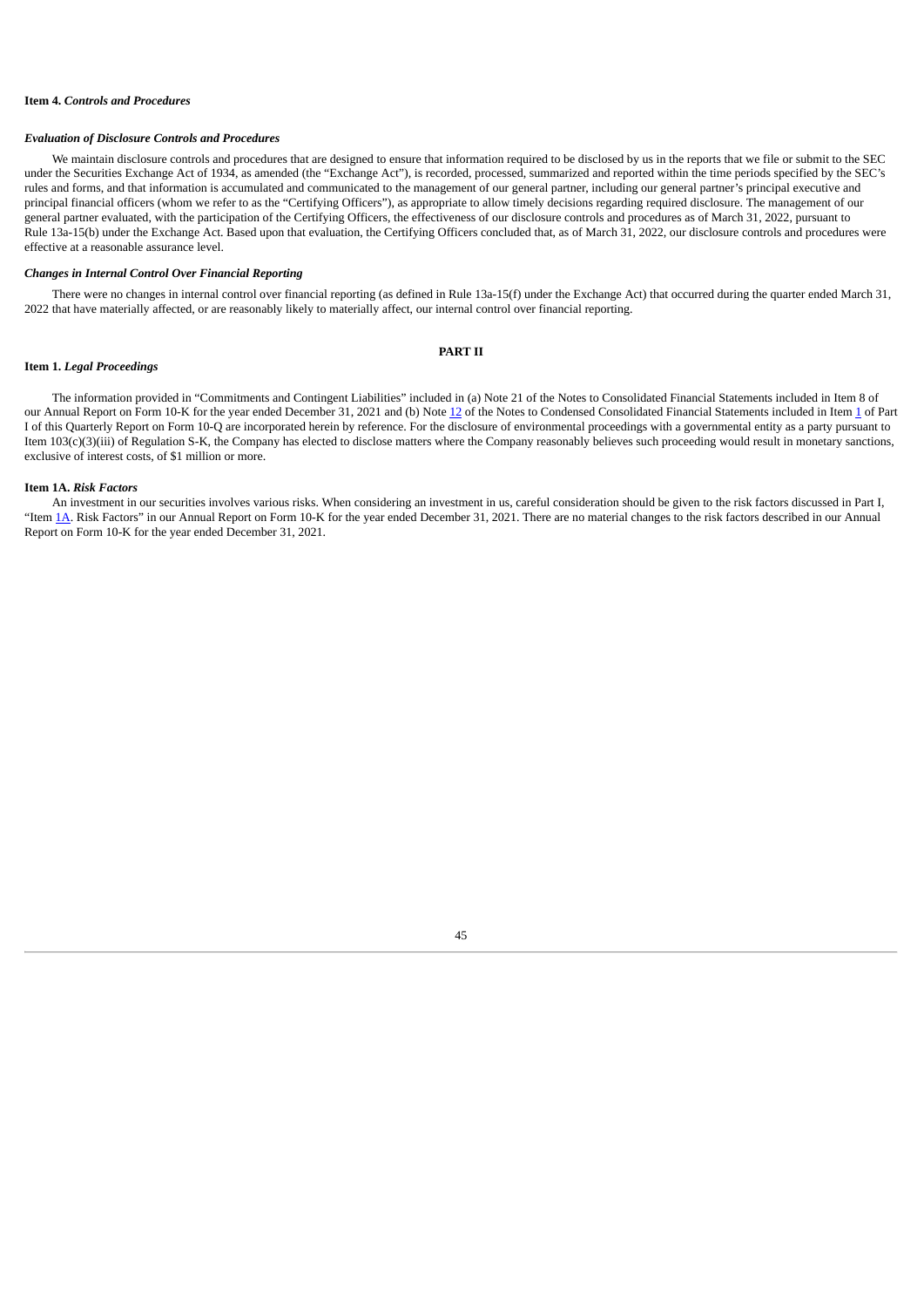#### **Item 4.** *Controls and Procedures*

#### *Evaluation of Disclosure Controls and Procedures*

We maintain disclosure controls and procedures that are designed to ensure that information required to be disclosed by us in the reports that we file or submit to the SEC under the Securities Exchange Act of 1934, as amended (the "Exchange Act"), is recorded, processed, summarized and reported within the time periods specified by the SEC's rules and forms, and that information is accumulated and communicated to the management of our general partner, including our general partner's principal executive and principal financial officers (whom we refer to as the "Certifying Officers"), as appropriate to allow timely decisions regarding required disclosure. The management of our general partner evaluated, with the participation of the Certifying Officers, the effectiveness of our disclosure controls and procedures as of March 31, 2022, pursuant to Rule 13a-15(b) under the Exchange Act. Based upon that evaluation, the Certifying Officers concluded that, as of March 31, 2022, our disclosure controls and procedures were effective at a reasonable assurance level.

#### *Changes in Internal Control Over Financial Reporting*

There were no changes in internal control over financial reporting (as defined in Rule 13a-15(f) under the Exchange Act) that occurred during the quarter ended March 31, 2022 that have materially affected, or are reasonably likely to materially affect, our internal control over financial reporting.

# <span id="page-48-0"></span>**Item 1.** *Legal Proceedings*

# **PART II**

The information provided in "Commitments and Contingent Liabilities" included in (a) Note 21 of the Notes to Consolidated Financial Statements included in Item 8 of our Annual Report on Form 10-K for the year ended December 31, 2021 and (b) Note [12](#page-23-0) of the Notes to Condensed Consolidated Financial Statements included in Item [1](#page-4-1) of Part I of this Quarterly Report on Form 10-Q are incorporated herein by reference. For the disclosure of environmental proceedings with a governmental entity as a party pursuant to Item 103(c)(3)(iii) of Regulation S-K, the Company has elected to disclose matters where the Company reasonably believes such proceeding would result in monetary sanctions, exclusive of interest costs, of \$1 million or more.

#### <span id="page-48-1"></span>**Item 1A.** *Risk Factors*

<span id="page-48-2"></span>An investment in our securities involves various risks. When considering an investment in us, careful consideration should be given to the risk factors discussed in Part I, "Item [1A](#page-48-1). Risk Factors" in our Annual Report on Form 10-K for the year ended December 31, 2021. There are no material changes to the risk factors described in our Annual Report on Form 10-K for the year ended December 31, 2021.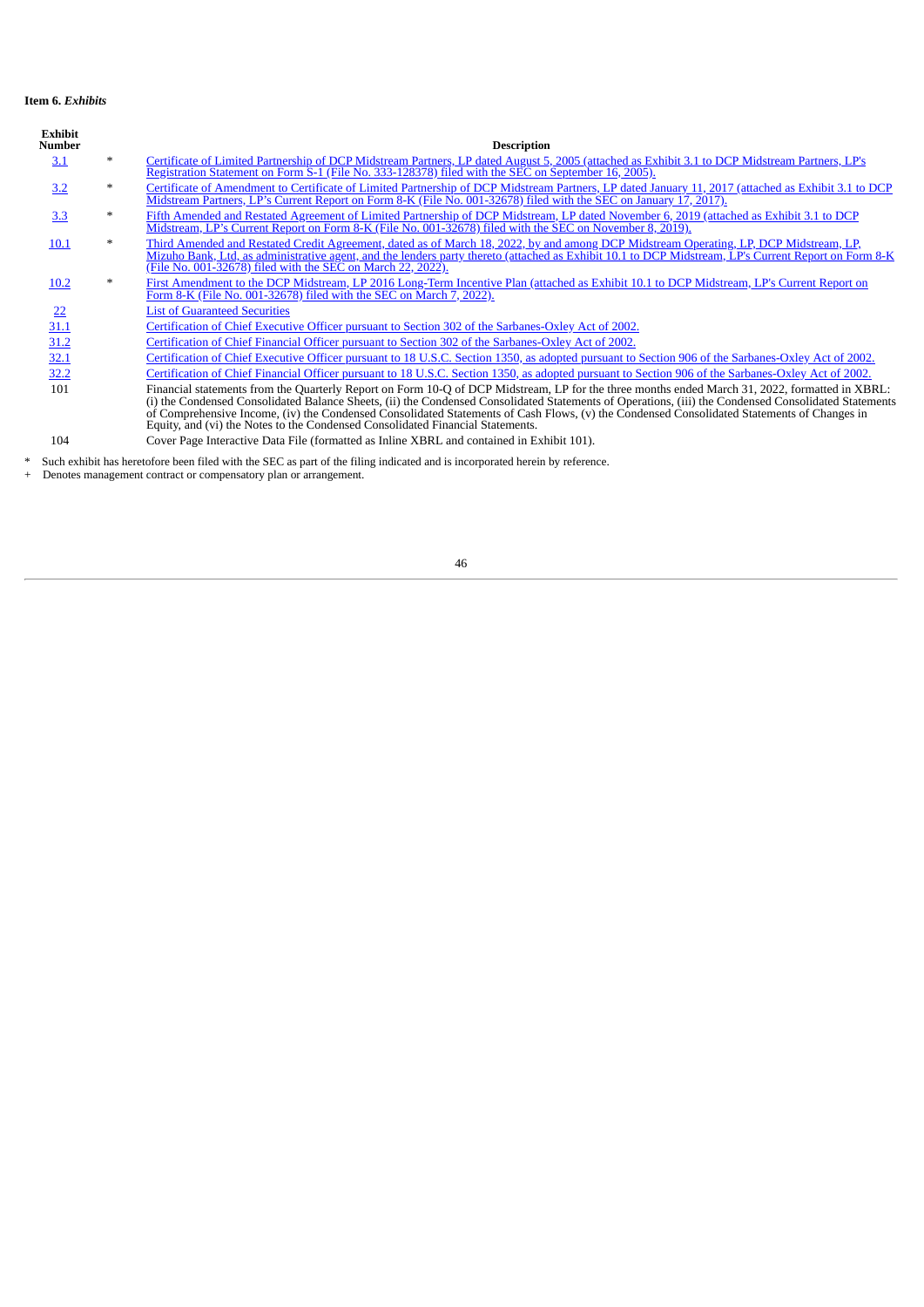# **Item 6.** *Exhibits*

| <b>Exhibit</b><br>Number |   | <b>Description</b>                                                                                                                                                                                                                                                                                                                                                                                                                                                                                                                     |
|--------------------------|---|----------------------------------------------------------------------------------------------------------------------------------------------------------------------------------------------------------------------------------------------------------------------------------------------------------------------------------------------------------------------------------------------------------------------------------------------------------------------------------------------------------------------------------------|
| 3.1                      | * | Certificate of Limited Partnership of DCP Midstream Partners, LP dated August 5, 2005 (attached as Exhibit 3.1 to DCP Midstream Partners, LP's<br>Registration Statement on Form S-1 (File No. 333-128378) filed with the SEC on September 16, 2005).                                                                                                                                                                                                                                                                                  |
| 3.2                      | ∗ | Certificate of Amendment to Certificate of Limited Partnership of DCP Midstream Partners, LP dated January 11, 2017 (attached as Exhibit 3.1 to DCP<br>Midstream Partners, LP's Current Report on Form 8-K (File No. 001-32678) filed with the SEC on January 17, 2017).                                                                                                                                                                                                                                                               |
| 3.3                      | ∗ | Fifth Amended and Restated Agreement of Limited Partnership of DCP Midstream, LP dated November 6, 2019 (attached as Exhibit 3.1 to DCP<br>Midstream, LP's Current Report on Form 8-K (File No. 001-32678) filed with the SEC on November 8, 2019).                                                                                                                                                                                                                                                                                    |
| 10.1                     | ∗ | Third Amended and Restated Credit Agreement, dated as of March 18, 2022, by and among DCP Midstream Operating, LP, DCP Midstream, LP,<br>Mizuho Bank, Ltd, as administrative agent, and the lenders party thereto (attached as Exhibit 10.1 to DCP Midstream, LP's Current Report on Form 8-K<br>(File No. 001-32678) filed with the SEC on March 22, 2022).                                                                                                                                                                           |
| 10.2                     | ∗ | First Amendment to the DCP Midstream, LP 2016 Long-Term Incentive Plan (attached as Exhibit 10.1 to DCP Midstream, LP's Current Report on<br>Form 8-K (File No. 001-32678) filed with the SEC on March 7, 2022).                                                                                                                                                                                                                                                                                                                       |
| 22                       |   | <b>List of Guaranteed Securities</b>                                                                                                                                                                                                                                                                                                                                                                                                                                                                                                   |
| 31.1                     |   | Certification of Chief Executive Officer pursuant to Section 302 of the Sarbanes-Oxley Act of 2002.                                                                                                                                                                                                                                                                                                                                                                                                                                    |
| 31.2                     |   | Certification of Chief Financial Officer pursuant to Section 302 of the Sarbanes-Oxley Act of 2002.                                                                                                                                                                                                                                                                                                                                                                                                                                    |
| 32.1                     |   | Certification of Chief Executive Officer pursuant to 18 U.S.C. Section 1350, as adopted pursuant to Section 906 of the Sarbanes-Oxley Act of 2002.                                                                                                                                                                                                                                                                                                                                                                                     |
| 32.2                     |   | Certification of Chief Financial Officer pursuant to 18 U.S.C. Section 1350, as adopted pursuant to Section 906 of the Sarbanes-Oxley Act of 2002.                                                                                                                                                                                                                                                                                                                                                                                     |
| 101                      |   | Financial statements from the Quarterly Report on Form 10-Q of DCP Midstream, LP for the three months ended March 31, 2022, formatted in XBRL:<br>(i) the Condensed Consolidated Balance Sheets, (ii) the Condensed Consolidated Statements of Operations, (iii) the Condensed Consolidated Statements<br>of Comprehensive Income, (iv) the Condensed Consolidated Statements of Cash Flows, (v) the Condensed Consolidated Statements of Changes in<br>Equity, and (vi) the Notes to the Condensed Consolidated Financial Statements. |
| 104                      |   | Cover Page Interactive Data File (formatted as Inline XBRL and contained in Exhibit 101).                                                                                                                                                                                                                                                                                                                                                                                                                                              |

\* Such exhibit has heretofore been filed with the SEC as part of the filing indicated and is incorporated herein by reference.

<span id="page-49-0"></span>+ Denotes management contract or compensatory plan or arrangement.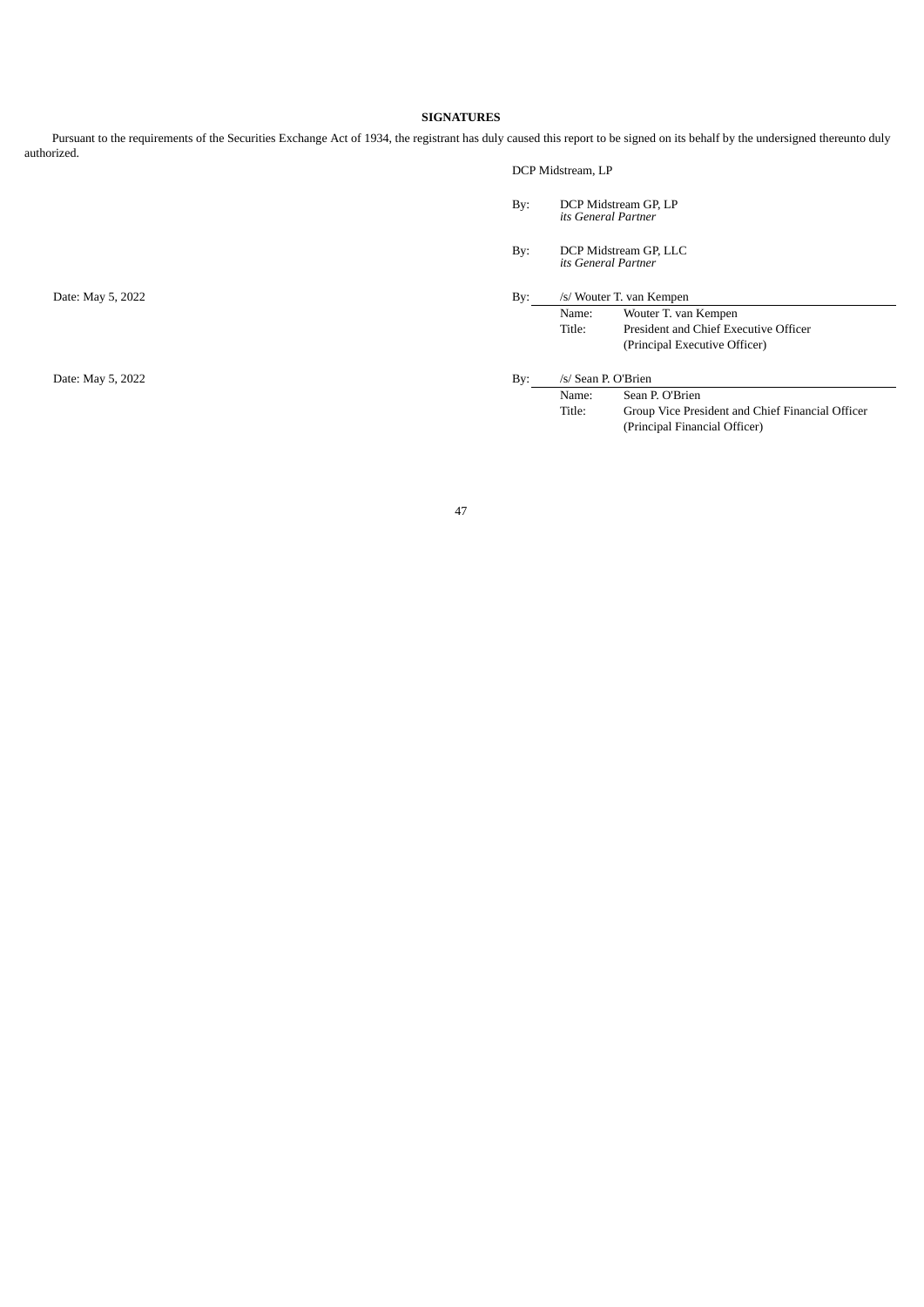# **SIGNATURES**

Pursuant to the requirements of the Securities Exchange Act of 1934, the registrant has duly caused this report to be signed on its behalf by the undersigned thereunto duly authorized. DCP Midstream, LP

| By: | DCP Midstream GP, LP<br>its General Partner  |                                       |  |  |  |  |
|-----|----------------------------------------------|---------------------------------------|--|--|--|--|
| By: | DCP Midstream GP, LLC<br>its General Partner |                                       |  |  |  |  |
| By: |                                              | /s/ Wouter T. van Kempen              |  |  |  |  |
|     | Name:                                        | Wouter T. van Kempen                  |  |  |  |  |
|     | Title:                                       | President and Chief Executive Officer |  |  |  |  |
|     |                                              | (Principal Executive Officer)         |  |  |  |  |
| Bv: | /s/ Sean P. O'Brien                          |                                       |  |  |  |  |

(Principal Financial Officer)

Group Vice President and Chief Financial Officer

Name: Sean P. O'Brien<br>Title: Group Vice Pres

47

Date: May 5, 2022

Date: May 5, 2022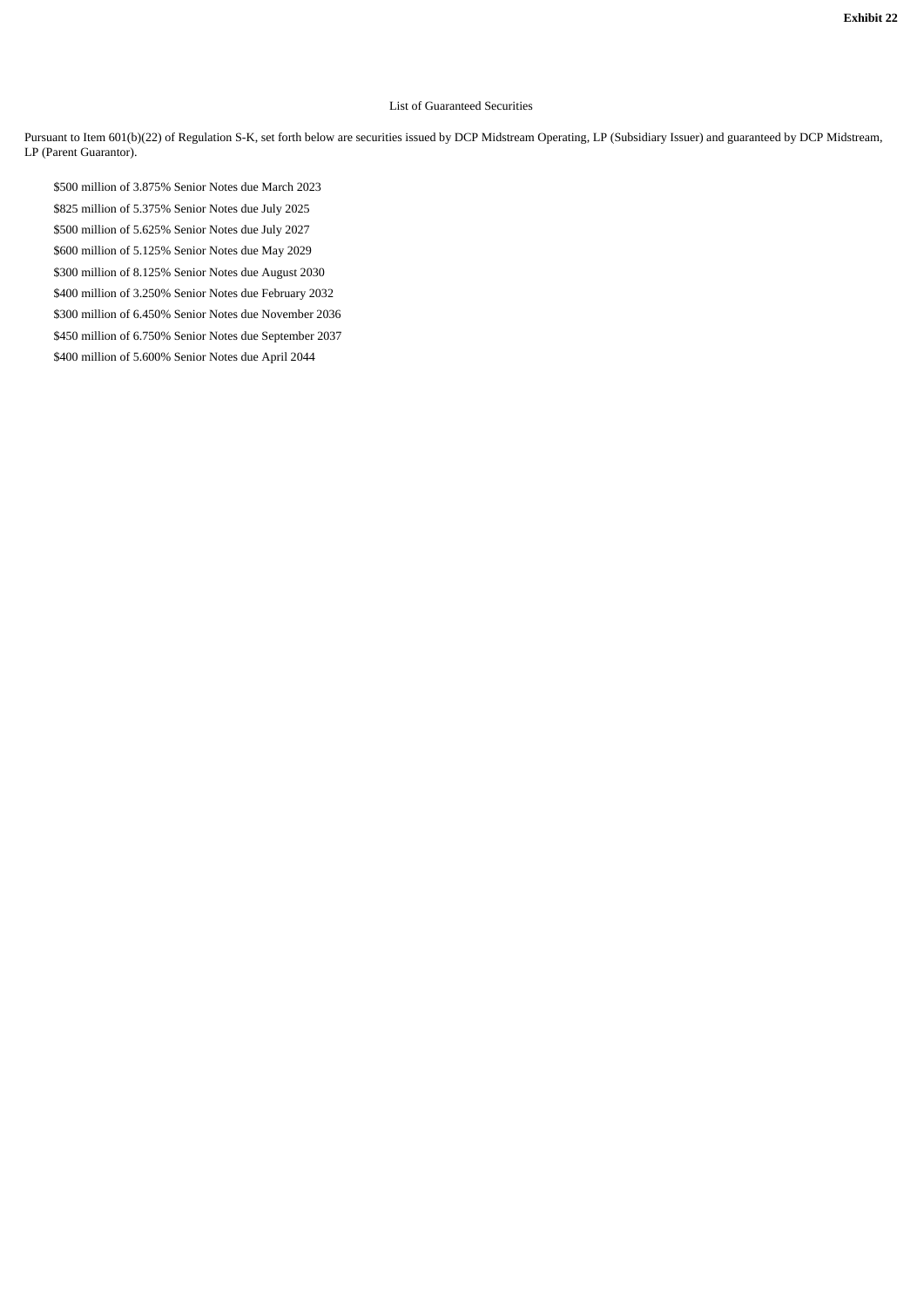# List of Guaranteed Securities

<span id="page-51-0"></span>Pursuant to Item 601(b)(22) of Regulation S-K, set forth below are securities issued by DCP Midstream Operating, LP (Subsidiary Issuer) and guaranteed by DCP Midstream, LP (Parent Guarantor).

\$500 million of 3.875% Senior Notes due March 2023 \$825 million of 5.375% Senior Notes due July 2025 \$500 million of 5.625% Senior Notes due July 2027 \$600 million of 5.125% Senior Notes due May 2029 \$300 million of 8.125% Senior Notes due August 2030 \$400 million of 3.250% Senior Notes due February 2032 \$300 million of 6.450% Senior Notes due November 2036 \$450 million of 6.750% Senior Notes due September 2037 \$400 million of 5.600% Senior Notes due April 2044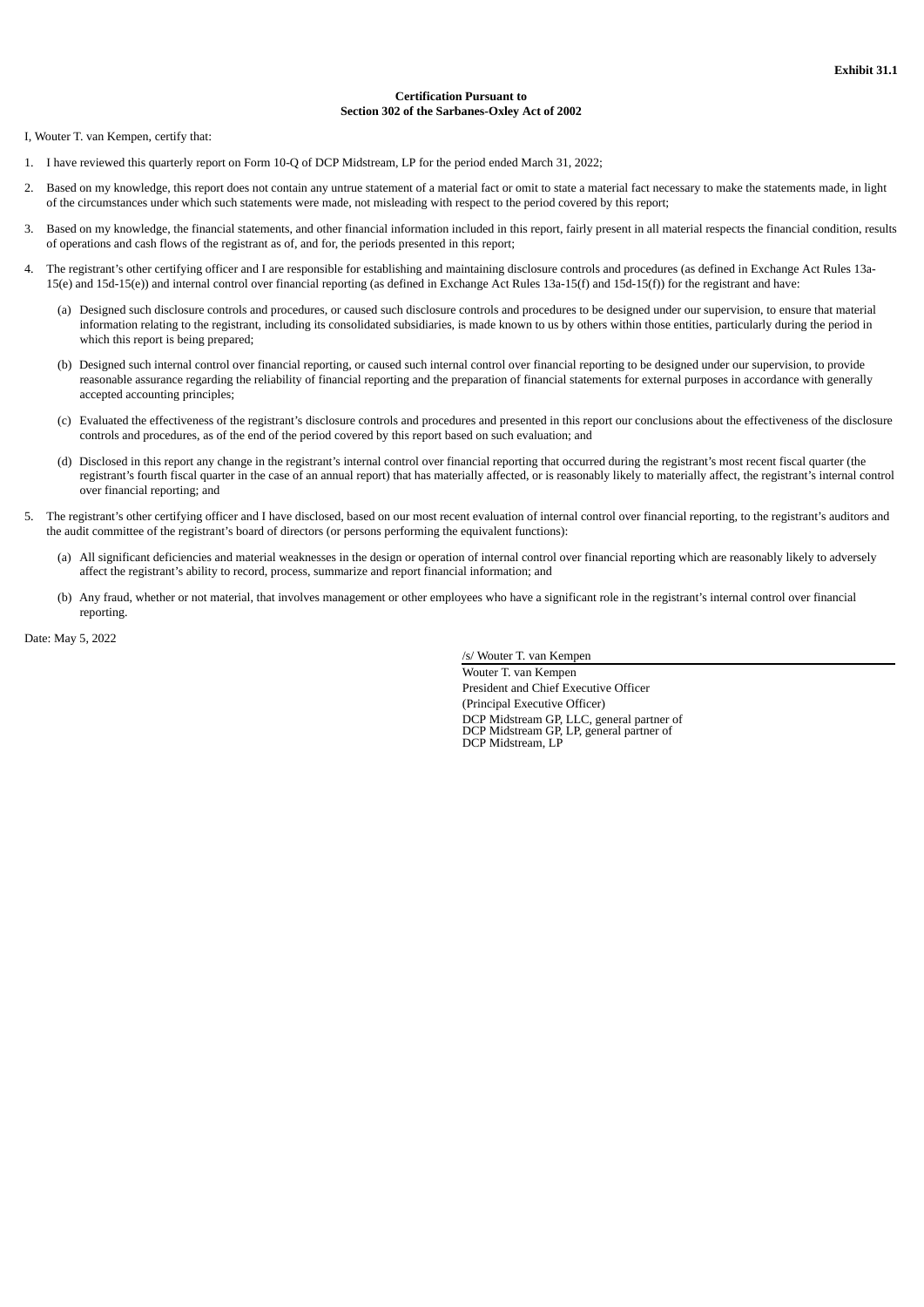# **Certification Pursuant to Section 302 of the Sarbanes-Oxley Act of 2002**

<span id="page-52-0"></span>I, Wouter T. van Kempen, certify that:

- 1. I have reviewed this quarterly report on Form 10-Q of DCP Midstream, LP for the period ended March 31, 2022;
- 2. Based on my knowledge, this report does not contain any untrue statement of a material fact or omit to state a material fact necessary to make the statements made, in light of the circumstances under which such statements were made, not misleading with respect to the period covered by this report;
- 3. Based on my knowledge, the financial statements, and other financial information included in this report, fairly present in all material respects the financial condition, results of operations and cash flows of the registrant as of, and for, the periods presented in this report;
- 4. The registrant's other certifying officer and I are responsible for establishing and maintaining disclosure controls and procedures (as defined in Exchange Act Rules 13a-15(e) and 15d-15(e)) and internal control over financial reporting (as defined in Exchange Act Rules 13a-15(f) and 15d-15(f)) for the registrant and have:
	- (a) Designed such disclosure controls and procedures, or caused such disclosure controls and procedures to be designed under our supervision, to ensure that material information relating to the registrant, including its consolidated subsidiaries, is made known to us by others within those entities, particularly during the period in which this report is being prepared;
	- (b) Designed such internal control over financial reporting, or caused such internal control over financial reporting to be designed under our supervision, to provide reasonable assurance regarding the reliability of financial reporting and the preparation of financial statements for external purposes in accordance with generally accepted accounting principles;
	- (c) Evaluated the effectiveness of the registrant's disclosure controls and procedures and presented in this report our conclusions about the effectiveness of the disclosure controls and procedures, as of the end of the period covered by this report based on such evaluation; and
	- (d) Disclosed in this report any change in the registrant's internal control over financial reporting that occurred during the registrant's most recent fiscal quarter (the registrant's fourth fiscal quarter in the case of an annual report) that has materially affected, or is reasonably likely to materially affect, the registrant's internal control over financial reporting; and
- 5. The registrant's other certifying officer and I have disclosed, based on our most recent evaluation of internal control over financial reporting, to the registrant's auditors and the audit committee of the registrant's board of directors (or persons performing the equivalent functions):
	- (a) All significant deficiencies and material weaknesses in the design or operation of internal control over financial reporting which are reasonably likely to adversely affect the registrant's ability to record, process, summarize and report financial information; and
	- (b) Any fraud, whether or not material, that involves management or other employees who have a significant role in the registrant's internal control over financial reporting.

Date: May 5, 2022

/s/ Wouter T. van Kempen

Wouter T. van Kempen President and Chief Executive Officer (Principal Executive Officer) DCP Midstream GP, LLC, general partner of DCP Midstream GP, LP, general partner of DCP Midstream, LP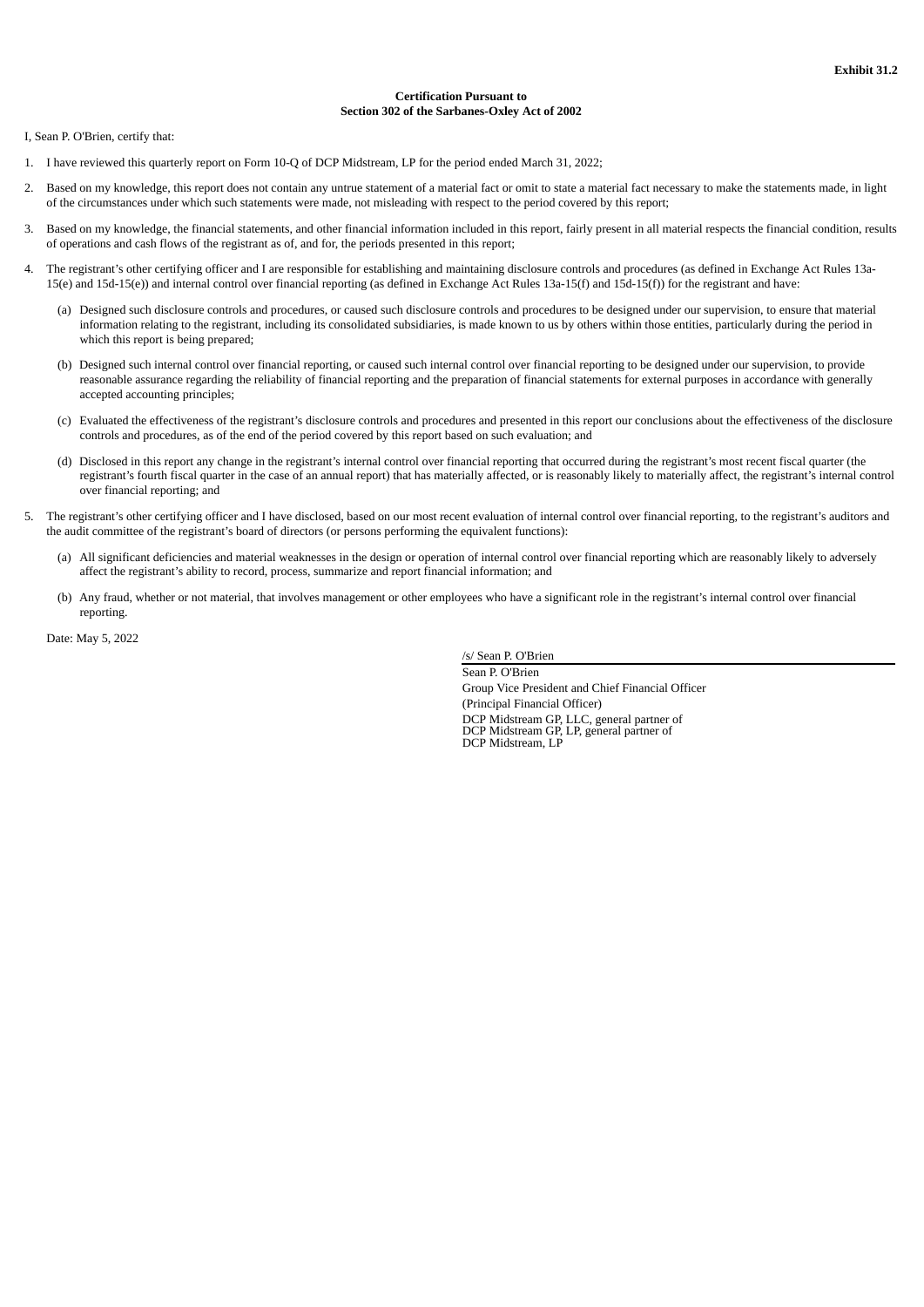# **Certification Pursuant to Section 302 of the Sarbanes-Oxley Act of 2002**

<span id="page-53-0"></span>I, Sean P. O'Brien, certify that:

- 1. I have reviewed this quarterly report on Form 10-Q of DCP Midstream, LP for the period ended March 31, 2022;
- 2. Based on my knowledge, this report does not contain any untrue statement of a material fact or omit to state a material fact necessary to make the statements made, in light of the circumstances under which such statements were made, not misleading with respect to the period covered by this report;
- 3. Based on my knowledge, the financial statements, and other financial information included in this report, fairly present in all material respects the financial condition, results of operations and cash flows of the registrant as of, and for, the periods presented in this report;
- 4. The registrant's other certifying officer and I are responsible for establishing and maintaining disclosure controls and procedures (as defined in Exchange Act Rules 13a-15(e) and 15d-15(e)) and internal control over financial reporting (as defined in Exchange Act Rules 13a-15(f) and 15d-15(f)) for the registrant and have:
	- (a) Designed such disclosure controls and procedures, or caused such disclosure controls and procedures to be designed under our supervision, to ensure that material information relating to the registrant, including its consolidated subsidiaries, is made known to us by others within those entities, particularly during the period in which this report is being prepared;
	- (b) Designed such internal control over financial reporting, or caused such internal control over financial reporting to be designed under our supervision, to provide reasonable assurance regarding the reliability of financial reporting and the preparation of financial statements for external purposes in accordance with generally accepted accounting principles;
	- (c) Evaluated the effectiveness of the registrant's disclosure controls and procedures and presented in this report our conclusions about the effectiveness of the disclosure controls and procedures, as of the end of the period covered by this report based on such evaluation; and
	- (d) Disclosed in this report any change in the registrant's internal control over financial reporting that occurred during the registrant's most recent fiscal quarter (the registrant's fourth fiscal quarter in the case of an annual report) that has materially affected, or is reasonably likely to materially affect, the registrant's internal control over financial reporting; and
- 5. The registrant's other certifying officer and I have disclosed, based on our most recent evaluation of internal control over financial reporting, to the registrant's auditors and the audit committee of the registrant's board of directors (or persons performing the equivalent functions):
	- (a) All significant deficiencies and material weaknesses in the design or operation of internal control over financial reporting which are reasonably likely to adversely affect the registrant's ability to record, process, summarize and report financial information; and
	- (b) Any fraud, whether or not material, that involves management or other employees who have a significant role in the registrant's internal control over financial reporting.

Date: May 5, 2022

/s/ Sean P. O'Brien Sean P. O'Brien

Group Vice President and Chief Financial Officer (Principal Financial Officer) DCP Midstream GP, LLC, general partner of DCP Midstream GP, LP, general partner of DCP Midstream, LP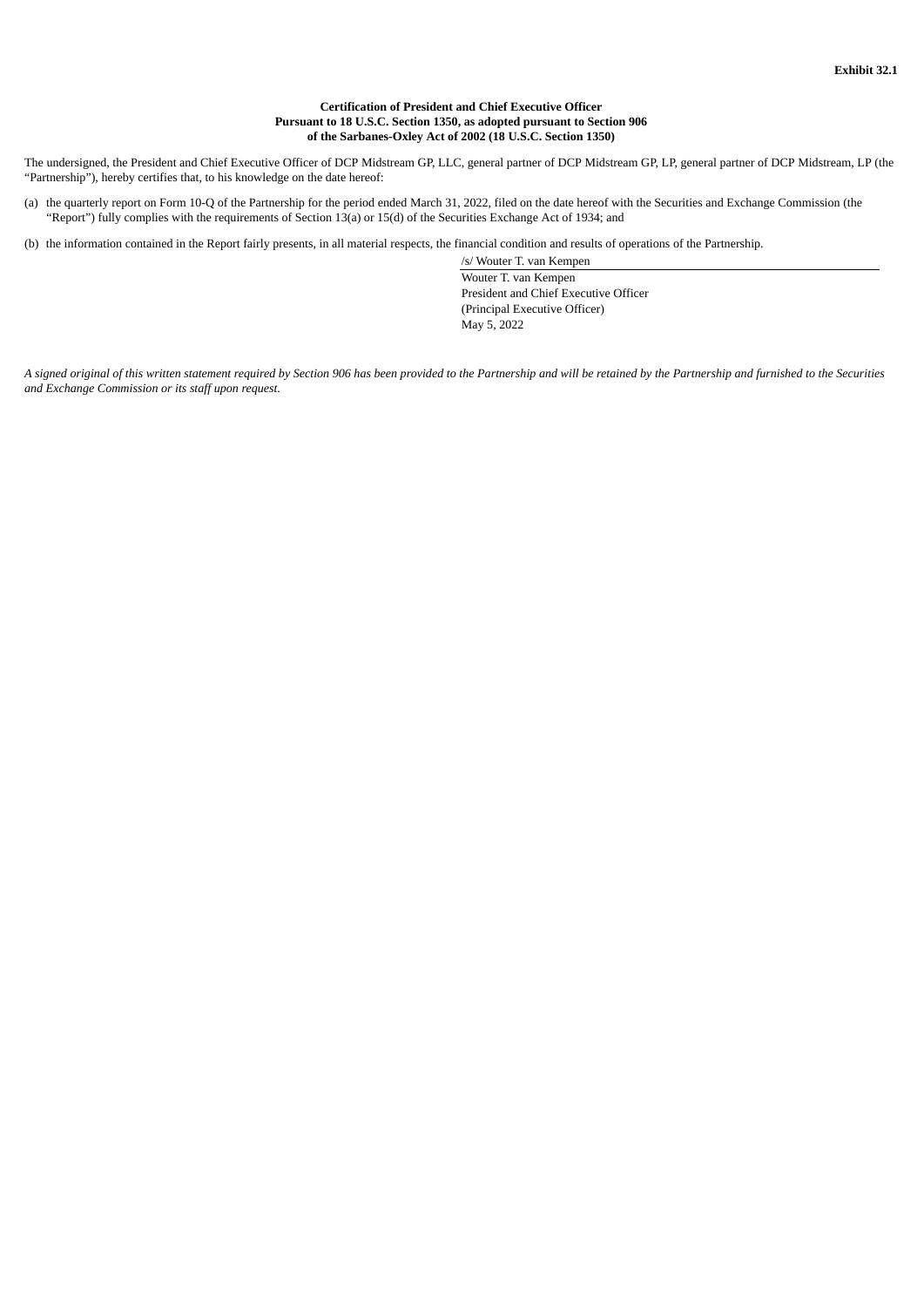## **Certification of President and Chief Executive Officer Pursuant to 18 U.S.C. Section 1350, as adopted pursuant to Section 906 of the Sarbanes-Oxley Act of 2002 (18 U.S.C. Section 1350)**

<span id="page-54-0"></span>The undersigned, the President and Chief Executive Officer of DCP Midstream GP, LLC, general partner of DCP Midstream GP, LP, general partner of DCP Midstream, LP (the "Partnership"), hereby certifies that, to his knowledge on the date hereof:

- (a) the quarterly report on Form 10-Q of the Partnership for the period ended March 31, 2022, filed on the date hereof with the Securities and Exchange Commission (the "Report") fully complies with the requirements of Section 13(a) or 15(d) of the Securities Exchange Act of 1934; and
- (b) the information contained in the Report fairly presents, in all material respects, the financial condition and results of operations of the Partnership.

/s/ Wouter T. van Kempen Wouter T. van Kempen President and Chief Executive Officer (Principal Executive Officer) May 5, 2022

A signed original of this written statement required by Section 906 has been provided to the Partnership and will be retained by the Partnership and furnished to the Securities *and Exchange Commission or its staff upon request.*